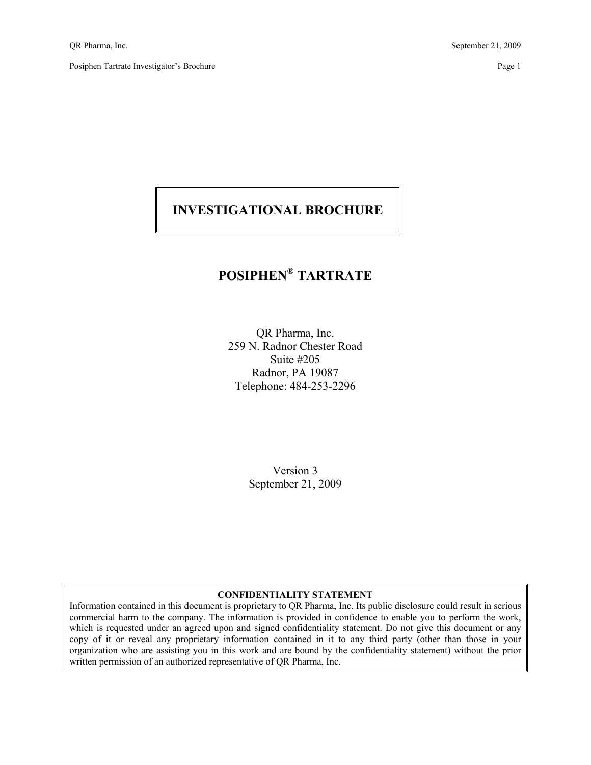## **INVESTIGATIONAL BROCHURE**

# **POSIPHEN® TARTRATE**

QR Pharma, Inc. 259 N. Radnor Chester Road Suite #205 Radnor, PA 19087 Telephone: 484-253-2296

> Version 3 September 21, 2009

#### **CONFIDENTIALITY STATEMENT**

Information contained in this document is proprietary to QR Pharma, Inc. Its public disclosure could result in serious commercial harm to the company. The information is provided in confidence to enable you to perform the work, which is requested under an agreed upon and signed confidentiality statement. Do not give this document or any copy of it or reveal any proprietary information contained in it to any third party (other than those in your organization who are assisting you in this work and are bound by the confidentiality statement) without the prior written permission of an authorized representative of QR Pharma, Inc.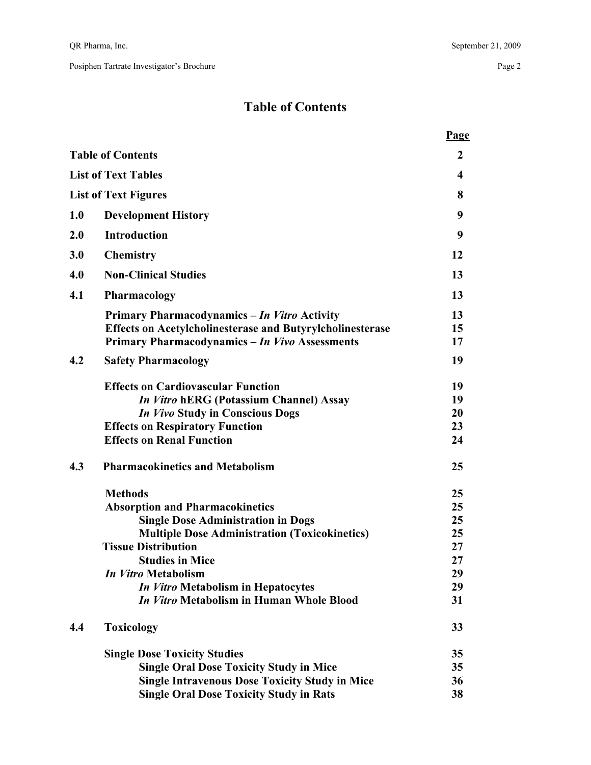## **Table of Contents**

|     |                                                                                       | <b>Page</b> |
|-----|---------------------------------------------------------------------------------------|-------------|
|     | <b>Table of Contents</b>                                                              | 2           |
|     | <b>List of Text Tables</b>                                                            | 4           |
|     | <b>List of Text Figures</b>                                                           | 8           |
| 1.0 | <b>Development History</b>                                                            | 9           |
| 2.0 | <b>Introduction</b>                                                                   | 9           |
| 3.0 | <b>Chemistry</b>                                                                      | 12          |
| 4.0 | <b>Non-Clinical Studies</b>                                                           | 13          |
| 4.1 | Pharmacology                                                                          | 13          |
|     | Primary Pharmacodynamics - In Vitro Activity                                          | 13          |
|     | <b>Effects on Acetylcholinesterase and Butyrylcholinesterase</b>                      | 15          |
|     | Primary Pharmacodynamics - In Vivo Assessments                                        | 17          |
| 4.2 | <b>Safety Pharmacology</b>                                                            | 19          |
|     | <b>Effects on Cardiovascular Function</b>                                             | 19          |
|     | <i>In Vitro</i> hERG (Potassium Channel) Assay                                        | 19          |
|     | <b>In Vivo Study in Conscious Dogs</b>                                                | 20          |
|     | <b>Effects on Respiratory Function</b>                                                | 23          |
|     | <b>Effects on Renal Function</b>                                                      | 24          |
| 4.3 | <b>Pharmacokinetics and Metabolism</b>                                                | 25          |
|     | <b>Methods</b>                                                                        | 25          |
|     | <b>Absorption and Pharmacokinetics</b>                                                | 25          |
|     | <b>Single Dose Administration in Dogs</b>                                             | 25          |
|     | <b>Multiple Dose Administration (Toxicokinetics)</b>                                  | 25          |
|     | <b>Tissue Distribution</b>                                                            | 27          |
|     | <b>Studies in Mice</b>                                                                | 27          |
|     | In Vitro Metabolism                                                                   | 29          |
|     | In Vitro Metabolism in Hepatocytes<br><i>In Vitro</i> Metabolism in Human Whole Blood | 29          |
|     |                                                                                       | 31          |
| 4.4 | <b>Toxicology</b>                                                                     | 33          |
|     | <b>Single Dose Toxicity Studies</b>                                                   | 35          |
|     | <b>Single Oral Dose Toxicity Study in Mice</b>                                        | 35          |
|     | <b>Single Intravenous Dose Toxicity Study in Mice</b>                                 | 36          |
|     | <b>Single Oral Dose Toxicity Study in Rats</b>                                        | 38          |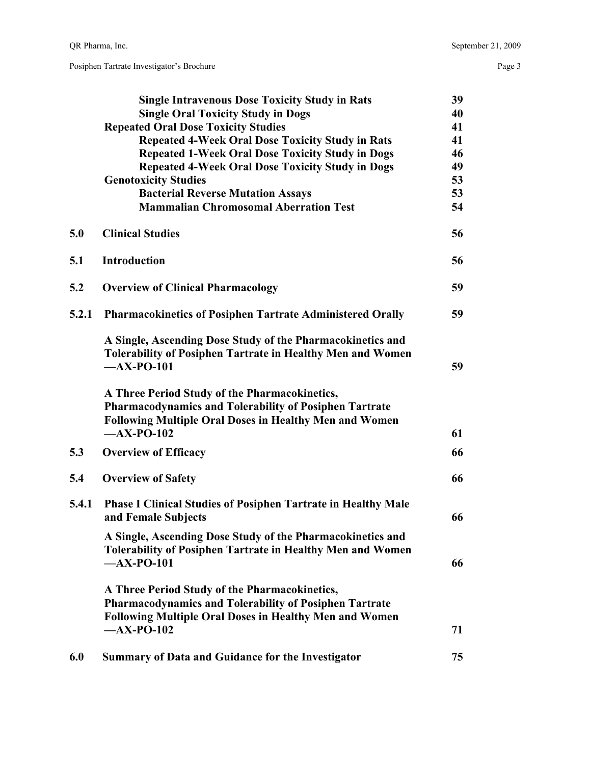|       | <b>Single Intravenous Dose Toxicity Study in Rats</b>                                                                                                                           | 39 |
|-------|---------------------------------------------------------------------------------------------------------------------------------------------------------------------------------|----|
|       | <b>Single Oral Toxicity Study in Dogs</b>                                                                                                                                       | 40 |
|       | <b>Repeated Oral Dose Toxicity Studies</b>                                                                                                                                      | 41 |
|       | <b>Repeated 4-Week Oral Dose Toxicity Study in Rats</b>                                                                                                                         | 41 |
|       | <b>Repeated 1-Week Oral Dose Toxicity Study in Dogs</b>                                                                                                                         | 46 |
|       | <b>Repeated 4-Week Oral Dose Toxicity Study in Dogs</b>                                                                                                                         | 49 |
|       | <b>Genotoxicity Studies</b>                                                                                                                                                     | 53 |
|       | <b>Bacterial Reverse Mutation Assays</b>                                                                                                                                        | 53 |
|       | <b>Mammalian Chromosomal Aberration Test</b>                                                                                                                                    | 54 |
| 5.0   | <b>Clinical Studies</b>                                                                                                                                                         | 56 |
| 5.1   | <b>Introduction</b>                                                                                                                                                             | 56 |
| 5.2   | <b>Overview of Clinical Pharmacology</b>                                                                                                                                        | 59 |
| 5.2.1 | <b>Pharmacokinetics of Posiphen Tartrate Administered Orally</b>                                                                                                                | 59 |
|       | A Single, Ascending Dose Study of the Pharmacokinetics and<br><b>Tolerability of Posiphen Tartrate in Healthy Men and Women</b>                                                 |    |
|       | $-AX-PO-101$                                                                                                                                                                    | 59 |
|       | A Three Period Study of the Pharmacokinetics,<br><b>Pharmacodynamics and Tolerability of Posiphen Tartrate</b><br><b>Following Multiple Oral Doses in Healthy Men and Women</b> |    |
|       | $-AX-PO-102$                                                                                                                                                                    | 61 |
| 5.3   | <b>Overview of Efficacy</b>                                                                                                                                                     | 66 |
| 5.4   | <b>Overview of Safety</b>                                                                                                                                                       | 66 |
| 5.4.1 | <b>Phase I Clinical Studies of Posiphen Tartrate in Healthy Male</b><br>and Female Subjects                                                                                     | 66 |
|       | A Single, Ascending Dose Study of the Pharmacokinetics and<br><b>Tolerability of Posiphen Tartrate in Healthy Men and Women</b>                                                 |    |
|       | $-AX-PO-101$                                                                                                                                                                    | 66 |
|       | A Three Period Study of the Pharmacokinetics,<br><b>Pharmacodynamics and Tolerability of Posiphen Tartrate</b>                                                                  |    |
|       | <b>Following Multiple Oral Doses in Healthy Men and Women</b>                                                                                                                   |    |
|       | $-AX-PO-102$                                                                                                                                                                    | 71 |
| 6.0   | <b>Summary of Data and Guidance for the Investigator</b>                                                                                                                        | 75 |
|       |                                                                                                                                                                                 |    |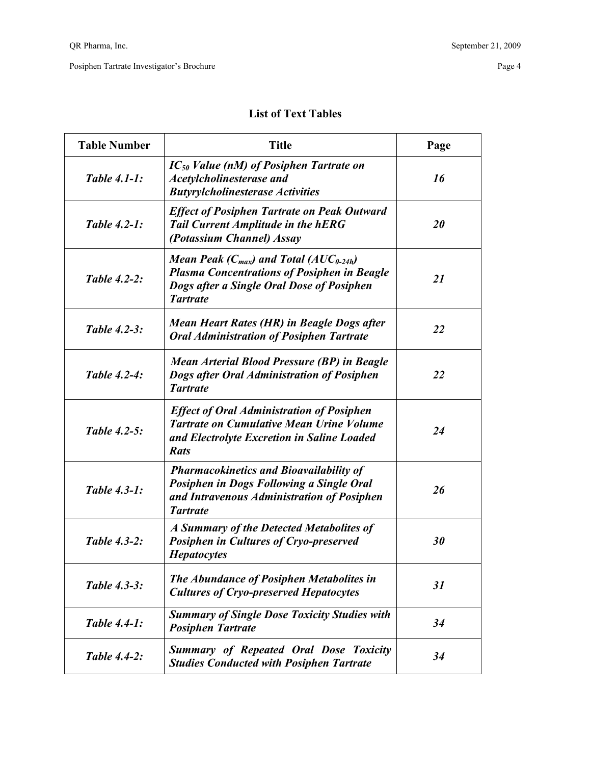| <b>Table Number</b> | <b>Title</b>                                                                                                                                                              | Page      |
|---------------------|---------------------------------------------------------------------------------------------------------------------------------------------------------------------------|-----------|
| <b>Table 4.1-1:</b> | $IC_{50}$ Value (nM) of Posiphen Tartrate on<br><b>Acetylcholinesterase and</b><br><b>Butyrylcholinesterase Activities</b>                                                | 16        |
| <b>Table 4.2-1:</b> | <b>Effect of Posiphen Tartrate on Peak Outward</b><br><b>Tail Current Amplitude in the hERG</b><br>(Potassium Channel) Assay                                              | 20        |
| <b>Table 4.2-2:</b> | Mean Peak ( $C_{max}$ ) and Total (AU $C_{0-24h}$ )<br><b>Plasma Concentrations of Posiphen in Beagle</b><br>Dogs after a Single Oral Dose of Posiphen<br><b>Tartrate</b> | <i>21</i> |
| <b>Table 4.2-3:</b> | Mean Heart Rates (HR) in Beagle Dogs after<br><b>Oral Administration of Posiphen Tartrate</b>                                                                             | 22        |
| <b>Table 4.2-4:</b> | Mean Arterial Blood Pressure (BP) in Beagle<br>Dogs after Oral Administration of Posiphen<br><b>Tartrate</b>                                                              | 22        |
| Table 4.2-5:        | <b>Effect of Oral Administration of Posiphen</b><br><b>Tartrate on Cumulative Mean Urine Volume</b><br>and Electrolyte Excretion in Saline Loaded<br><b>Rats</b>          | 24        |
| Table 4.3-1:        | <b>Pharmacokinetics and Bioavailability of</b><br>Posiphen in Dogs Following a Single Oral<br>and Intravenous Administration of Posiphen<br><b>Tartrate</b>               | 26        |
| Table 4.3-2:        | A Summary of the Detected Metabolites of<br><b>Posiphen in Cultures of Cryo-preserved</b><br><b>Hepatocytes</b>                                                           | 30        |
| <b>Table 4.3-3:</b> | <b>The Abundance of Posiphen Metabolites in</b><br><b>Cultures of Cryo-preserved Hepatocytes</b>                                                                          | 31        |
| <b>Table 4.4-1:</b> | <b>Summary of Single Dose Toxicity Studies with</b><br><b>Posiphen Tartrate</b>                                                                                           | 34        |
| <b>Table 4.4-2:</b> | <b>Summary of Repeated Oral Dose Toxicity</b><br><b>Studies Conducted with Posiphen Tartrate</b>                                                                          | 34        |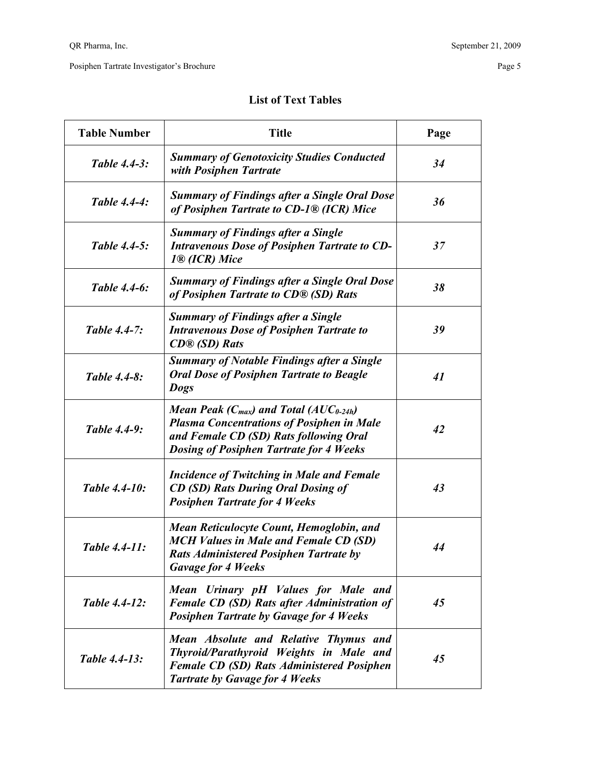| <b>Table Number</b>  | <b>Title</b>                                                                                                                                                                                        | Page |
|----------------------|-----------------------------------------------------------------------------------------------------------------------------------------------------------------------------------------------------|------|
| <b>Table 4.4-3:</b>  | <b>Summary of Genotoxicity Studies Conducted</b><br>with Posiphen Tartrate                                                                                                                          | 34   |
| <b>Table 4.4-4:</b>  | <b>Summary of Findings after a Single Oral Dose</b><br>of Posiphen Tartrate to CD-1 <sup>®</sup> (ICR) Mice                                                                                         | 36   |
| <b>Table 4.4-5:</b>  | <b>Summary of Findings after a Single</b><br><b>Intravenous Dose of Posiphen Tartrate to CD-</b><br>1 <sup>®</sup> (ICR) Mice                                                                       | 37   |
| Table 4.4-6:         | <b>Summary of Findings after a Single Oral Dose</b><br>of Posiphen Tartrate to CD® (SD) Rats                                                                                                        | 38   |
| <b>Table 4.4-7:</b>  | <b>Summary of Findings after a Single</b><br><b>Intravenous Dose of Posiphen Tartrate to</b><br>$CD@$ (SD) Rats                                                                                     | 39   |
| Table 4.4-8:         | <b>Summary of Notable Findings after a Single</b><br><b>Oral Dose of Posiphen Tartrate to Beagle</b><br><b>Dogs</b>                                                                                 | 41   |
| Table 4.4-9:         | Mean Peak ( $C_{max}$ ) and Total (AU $C_{0.24h}$ )<br><b>Plasma Concentrations of Posiphen in Male</b><br>and Female CD (SD) Rats following Oral<br><b>Dosing of Posiphen Tartrate for 4 Weeks</b> | 42   |
| <b>Table 4.4-10:</b> | <b>Incidence of Twitching in Male and Female</b><br><b>CD (SD) Rats During Oral Dosing of</b><br><b>Posiphen Tartrate for 4 Weeks</b>                                                               | 43   |
| Table 4.4-11:        | Mean Reticulocyte Count, Hemoglobin, and<br><b>MCH Values in Male and Female CD (SD)</b><br><b>Rats Administered Posiphen Tartrate by</b><br><b>Gavage for 4 Weeks</b>                              | 44   |
| Table 4.4-12:        | Mean Urinary pH Values for Male and<br><b>Female CD (SD) Rats after Administration of</b><br><b>Posiphen Tartrate by Gavage for 4 Weeks</b>                                                         | 45   |
| <b>Table 4.4-13:</b> | Mean Absolute and Relative Thymus and<br>Thyroid/Parathyroid Weights in Male and<br><b>Female CD (SD) Rats Administered Posiphen</b><br><b>Tartrate by Gavage for 4 Weeks</b>                       | 45   |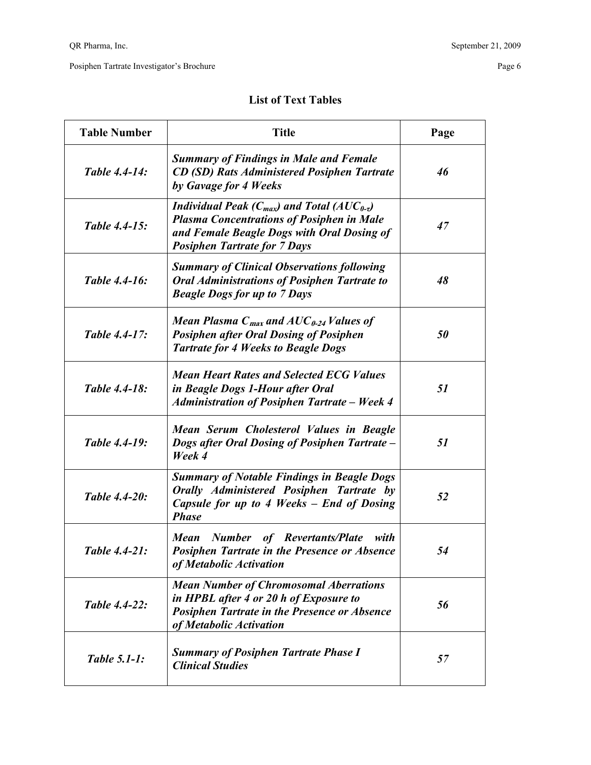| <b>Table Number</b>  | <b>Title</b>                                                                                                                                                                                        | Page |
|----------------------|-----------------------------------------------------------------------------------------------------------------------------------------------------------------------------------------------------|------|
| Table 4.4-14:        | <b>Summary of Findings in Male and Female</b><br><b>CD (SD) Rats Administered Posiphen Tartrate</b><br>by Gavage for 4 Weeks                                                                        | 46   |
| <b>Table 4.4-15:</b> | Individual Peak ( $C_{max}$ ) and Total (AU $C_{0-\tau}$ )<br><b>Plasma Concentrations of Posiphen in Male</b><br>and Female Beagle Dogs with Oral Dosing of<br><b>Posiphen Tartrate for 7 Days</b> | 47   |
| <b>Table 4.4-16:</b> | <b>Summary of Clinical Observations following</b><br><b>Oral Administrations of Posiphen Tartrate to</b><br><b>Beagle Dogs for up to 7 Days</b>                                                     | 48   |
| Table 4.4-17:        | Mean Plasma $C_{max}$ and $AUC_{0.24}$ Values of<br><b>Posiphen after Oral Dosing of Posiphen</b><br><b>Tartrate for 4 Weeks to Beagle Dogs</b>                                                     | 50   |
| Table 4.4-18:        | <b>Mean Heart Rates and Selected ECG Values</b><br>in Beagle Dogs 1-Hour after Oral<br><b>Administration of Posiphen Tartrate - Week 4</b>                                                          | 51   |
| <b>Table 4.4-19:</b> | Mean Serum Cholesterol Values in Beagle<br>Dogs after Oral Dosing of Posiphen Tartrate –<br>Week 4                                                                                                  | 51   |
| <b>Table 4.4-20:</b> | <b>Summary of Notable Findings in Beagle Dogs</b><br>Orally Administered Posiphen Tartrate by<br>Capsule for up to 4 Weeks – End of Dosing<br><b>Phase</b>                                          | 52   |
| Table 4.4-21:        | <b>Number</b> of Revertants/Plate<br><b>Mean</b><br>with<br><b>Posiphen Tartrate in the Presence or Absence</b><br>of Metabolic Activation                                                          | 54   |
| Table 4.4-22:        | <b>Mean Number of Chromosomal Aberrations</b><br>in HPBL after 4 or 20 h of Exposure to<br><b>Posiphen Tartrate in the Presence or Absence</b><br>of Metabolic Activation                           | 56   |
| <b>Table 5.1-1:</b>  | <b>Summary of Posiphen Tartrate Phase I</b><br><b>Clinical Studies</b>                                                                                                                              | 57   |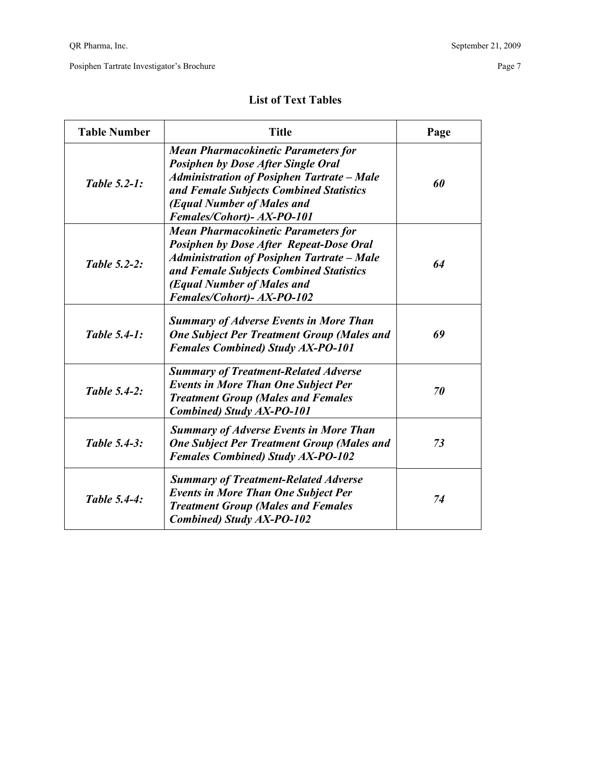| <b>Table Number</b> | <b>Title</b>                                                                                                                                                                                                                                             | Page |
|---------------------|----------------------------------------------------------------------------------------------------------------------------------------------------------------------------------------------------------------------------------------------------------|------|
| Table 5.2-1:        | <b>Mean Pharmacokinetic Parameters for</b><br><b>Posiphen by Dose After Single Oral</b><br><b>Administration of Posiphen Tartrate - Male</b><br>and Female Subjects Combined Statistics<br>(Equal Number of Males and<br>Females/Cohort)- AX-PO-101      | 60   |
| <b>Table 5.2-2:</b> | <b>Mean Pharmacokinetic Parameters for</b><br><b>Posiphen by Dose After Repeat-Dose Oral</b><br><b>Administration of Posiphen Tartrate - Male</b><br>and Female Subjects Combined Statistics<br>(Equal Number of Males and<br>Females/Cohort)- AX-PO-102 | 64   |
| Table 5.4-1:        | <b>Summary of Adverse Events in More Than</b><br><b>One Subject Per Treatment Group (Males and</b><br><b>Females Combined) Study AX-PO-101</b>                                                                                                           | 69   |
| Table 5.4-2:        | <b>Summary of Treatment-Related Adverse</b><br><b>Events in More Than One Subject Per</b><br><b>Treatment Group (Males and Females</b><br>Combined) Study AX-PO-101                                                                                      | 70   |
| Table 5.4-3:        | <b>Summary of Adverse Events in More Than</b><br><b>One Subject Per Treatment Group (Males and</b><br><b>Females Combined) Study AX-PO-102</b>                                                                                                           | 73   |
| Table 5.4-4:        | <b>Summary of Treatment-Related Adverse</b><br><b>Events in More Than One Subject Per</b><br><b>Treatment Group (Males and Females</b><br><b>Combined) Study AX-PO-102</b>                                                                               | 74   |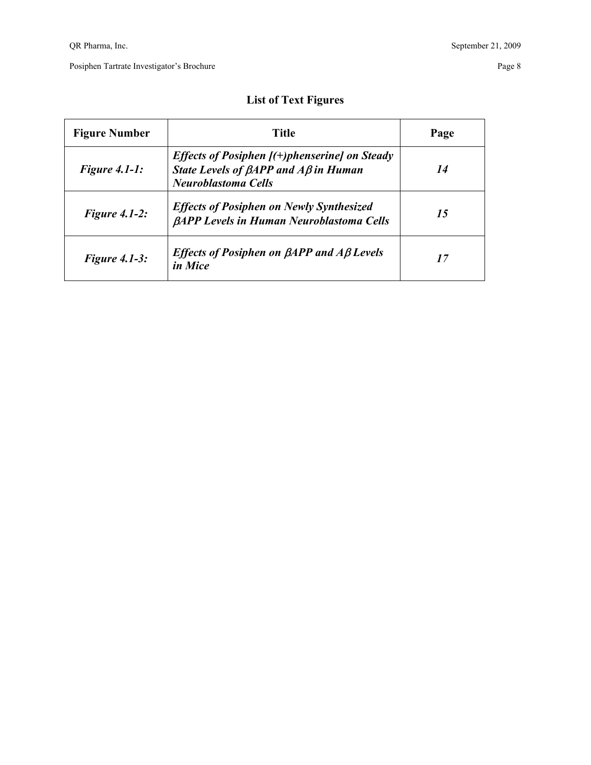## **List of Text Figures**

| Title<br><b>Figure Number</b> |                                                                                                                                               | Page |
|-------------------------------|-----------------------------------------------------------------------------------------------------------------------------------------------|------|
| Figure $4.1-1$ :              | <i>Effects of Posiphen <math>(+)</math>phenserine] on Steady</i><br>State Levels of $\beta$ APP and A $\beta$ in Human<br>Neuroblastoma Cells | 14   |
| Figure $4.1-2$ :              | <b>Effects of Posiphen on Newly Synthesized</b><br><b><i>BAPP Levels in Human Neuroblastoma Cells</i></b>                                     | 15   |
| <b>Figure 4.1-3:</b>          | <i>Effects of Posiphen on <math>\beta</math>APP and A<math>\beta</math> Levels</i><br>in Mice                                                 | 17   |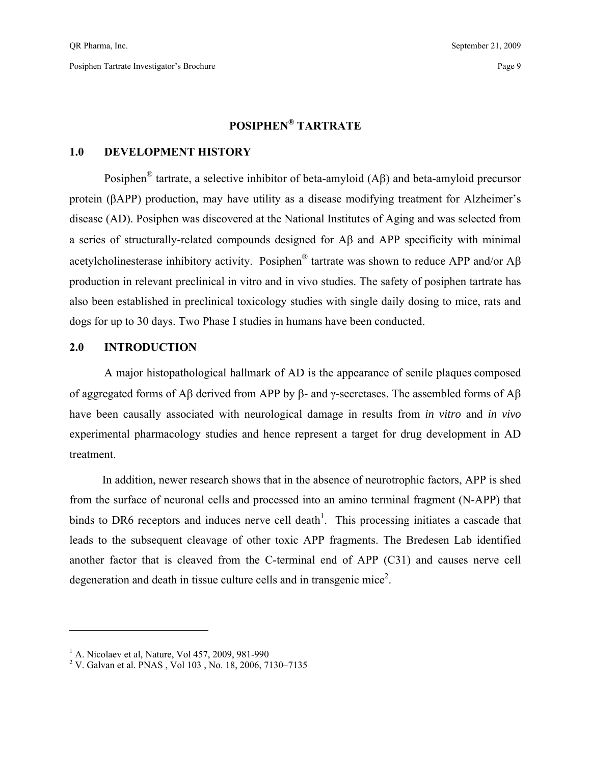## **POSIPHEN® TARTRATE**

#### **1.0 DEVELOPMENT HISTORY**

 Posiphen® tartrate, a selective inhibitor of beta-amyloid (Aβ) and beta-amyloid precursor protein (βAPP) production, may have utility as a disease modifying treatment for Alzheimer's disease (AD). Posiphen was discovered at the National Institutes of Aging and was selected from a series of structurally-related compounds designed for Aβ and APP specificity with minimal acetylcholinesterase inhibitory activity. Posiphen® tartrate was shown to reduce APP and/or Aβ production in relevant preclinical in vitro and in vivo studies. The safety of posiphen tartrate has also been established in preclinical toxicology studies with single daily dosing to mice, rats and dogs for up to 30 days. Two Phase I studies in humans have been conducted.

#### **2.0 INTRODUCTION**

 A major histopathological hallmark of AD is the appearance of senile plaques composed of aggregated forms of Aβ derived from APP by β- and γ-secretases. The assembled forms of Aβ have been causally associated with neurological damage in results from *in vitro* and *in vivo* experimental pharmacology studies and hence represent a target for drug development in AD treatment.

 In addition, newer research shows that in the absence of neurotrophic factors, APP is shed from the surface of neuronal cells and processed into an amino terminal fragment (N-APP) that binds to DR6 receptors and induces nerve cell death<sup>1</sup>. This processing initiates a cascade that leads to the subsequent cleavage of other toxic APP fragments. The Bredesen Lab identified another factor that is cleaved from the C-terminal end of APP (C31) and causes nerve cell degeneration and death in tissue culture cells and in transgenic mice<sup>2</sup>.

 $\overline{a}$ 

<sup>&</sup>lt;sup>1</sup> A. Nicolaev et al, Nature, Vol 457, 2009, 981-990

<sup>&</sup>lt;sup>2</sup> V. Galvan et al. PNAS, Vol 103, No. 18, 2006, 7130–7135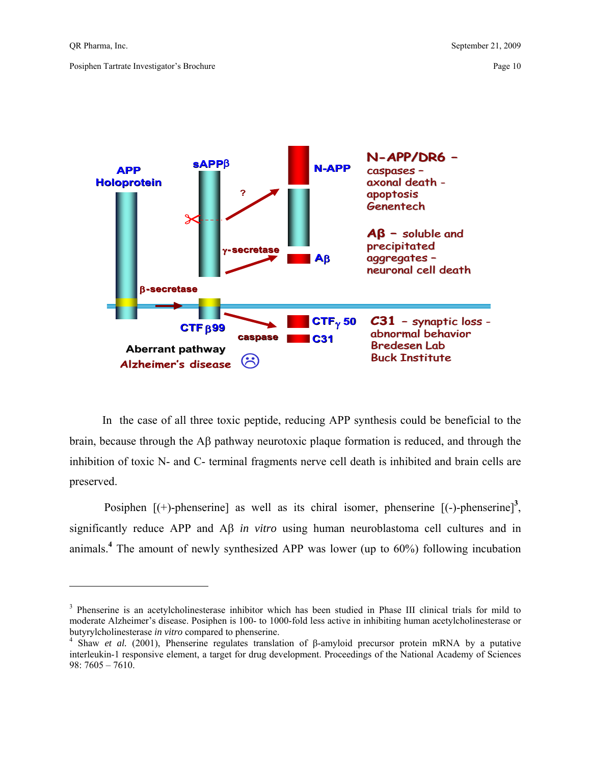$\overline{a}$ 

Posiphen Tartrate Investigator's Brochure Page 10



 In the case of all three toxic peptide, reducing APP synthesis could be beneficial to the brain, because through the Aβ pathway neurotoxic plaque formation is reduced, and through the inhibition of toxic N- and C- terminal fragments nerve cell death is inhibited and brain cells are preserved.

Posiphen  $[(+)$ -phenserine] as well as its chiral isomer, phenserine  $[(-)$ -phenserine]<sup>3</sup>, significantly reduce APP and Aβ *in vitro* using human neuroblastoma cell cultures and in animals.**<sup>4</sup>** The amount of newly synthesized APP was lower (up to 60%) following incubation

<sup>&</sup>lt;sup>3</sup> Phenserine is an acetylcholinesterase inhibitor which has been studied in Phase III clinical trials for mild to moderate Alzheimer's disease. Posiphen is 100- to 1000-fold less active in inhibiting human acetylcholinesterase or butyrylcholinesterase *in vitro* compared to phenserine. 4

Shaw *et al.* (2001), Phenserine regulates translation of β-amyloid precursor protein mRNA by a putative interleukin-1 responsive element, a target for drug development. Proceedings of the National Academy of Sciences 98: 7605 – 7610.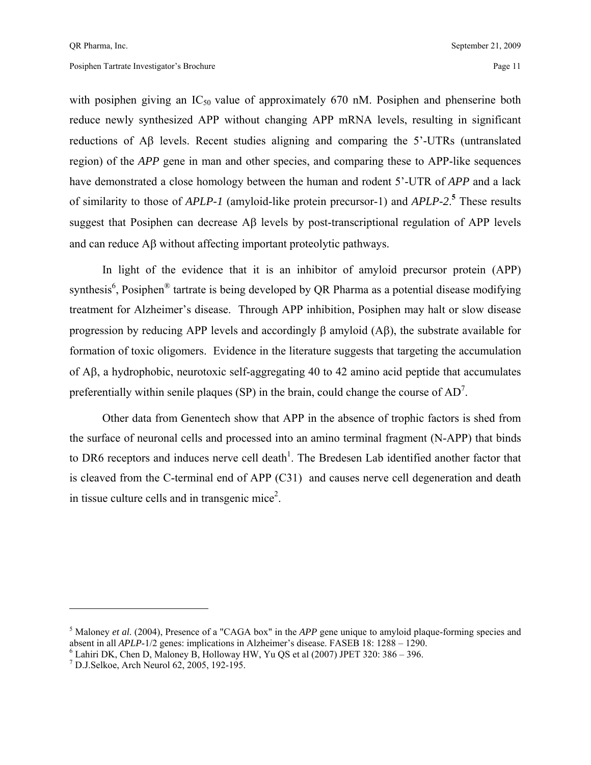with posiphen giving an  $IC_{50}$  value of approximately 670 nM. Posiphen and phenserine both reduce newly synthesized APP without changing APP mRNA levels, resulting in significant reductions of Aβ levels. Recent studies aligning and comparing the 5'-UTRs (untranslated region) of the *APP* gene in man and other species, and comparing these to APP-like sequences have demonstrated a close homology between the human and rodent 5'-UTR of *APP* and a lack of similarity to those of *APLP-1* (amyloid-like protein precursor-1) and *APLP-2*. **5** These results suggest that Posiphen can decrease Aβ levels by post-transcriptional regulation of APP levels and can reduce Aβ without affecting important proteolytic pathways.

 In light of the evidence that it is an inhibitor of amyloid precursor protein (APP) synthesis<sup>6</sup>, Posiphen<sup>®</sup> tartrate is being developed by QR Pharma as a potential disease modifying treatment for Alzheimer's disease. Through APP inhibition, Posiphen may halt or slow disease progression by reducing APP levels and accordingly β amyloid (Aβ), the substrate available for formation of toxic oligomers. Evidence in the literature suggests that targeting the accumulation of Aβ, a hydrophobic, neurotoxic self-aggregating 40 to 42 amino acid peptide that accumulates preferentially within senile plaques (SP) in the brain, could change the course of  $AD^7$ .

 Other data from Genentech show that APP in the absence of trophic factors is shed from the surface of neuronal cells and processed into an amino terminal fragment (N-APP) that binds to DR6 receptors and induces nerve cell death<sup>1</sup>. The Bredesen Lab identified another factor that is cleaved from the C-terminal end of APP (C31) and causes nerve cell degeneration and death in tissue culture cells and in transgenic mice<sup>2</sup>.

 $\overline{a}$ 

<sup>&</sup>lt;sup>5</sup> Maloney *et al.* (2004), Presence of a "CAGA box" in the *APP* gene unique to amyloid plaque-forming species and absent in all *APLP*-1/2 genes: implications in Alzheimer's disease. FASEB 18: 1288 – 1290.

 $6$  Lahiri DK, Chen D, Maloney B, Holloway HW, Yu QS et al (2007) JPET 320: 386 – 396.

<sup>7</sup> D.J.Selkoe, Arch Neurol 62, 2005, 192-195.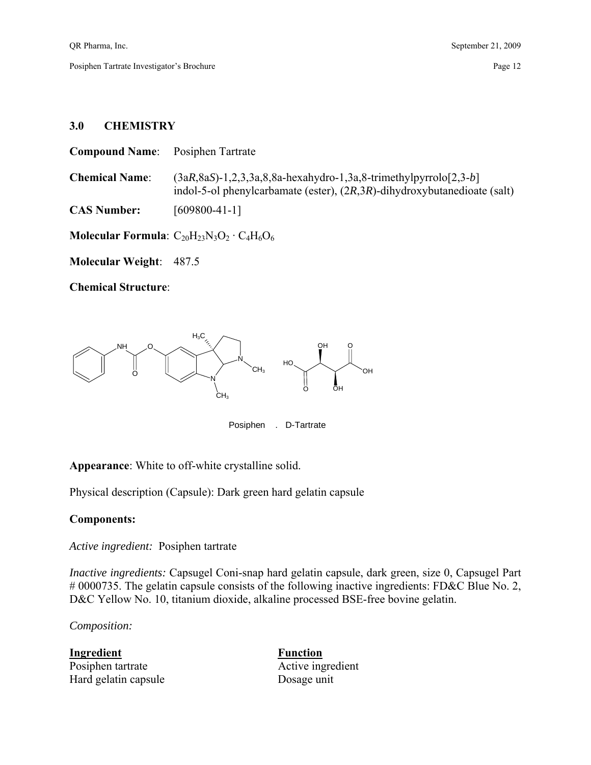#### **3.0 CHEMISTRY**

| <b>Compound Name:</b> Posiphen Tartrate |                                                                                                                                                        |
|-----------------------------------------|--------------------------------------------------------------------------------------------------------------------------------------------------------|
| <b>Chemical Name:</b>                   | $(3aR, 8aS)$ -1,2,3,3a,8,8a-hexahydro-1,3a,8-trimethylpyrrolo $[2,3-b]$<br>indol-5-ol phenylcarbamate (ester), $(2R,3R)$ -dihydroxybutanedioate (salt) |
| <b>CAS Number:</b>                      | $[609800-41-1]$                                                                                                                                        |
|                                         | Molecular Formula: $C_{20}H_{23}N_3O_2 \cdot C_4H_6O_6$                                                                                                |

**Molecular Weight**: 487.5

**Chemical Structure**:



Posiphen . D-Tartrate

**Appearance**: White to off-white crystalline solid.

Physical description (Capsule): Dark green hard gelatin capsule

#### **Components:**

*Active ingredient:* Posiphen tartrate

*Inactive ingredients:* Capsugel Coni-snap hard gelatin capsule, dark green, size 0, Capsugel Part # 0000735. The gelatin capsule consists of the following inactive ingredients: FD&C Blue No. 2, D&C Yellow No. 10, titanium dioxide, alkaline processed BSE-free bovine gelatin.

*Composition:* 

**Ingredient Function** Posiphen tartrate Active ingredient Hard gelatin capsule Dosage unit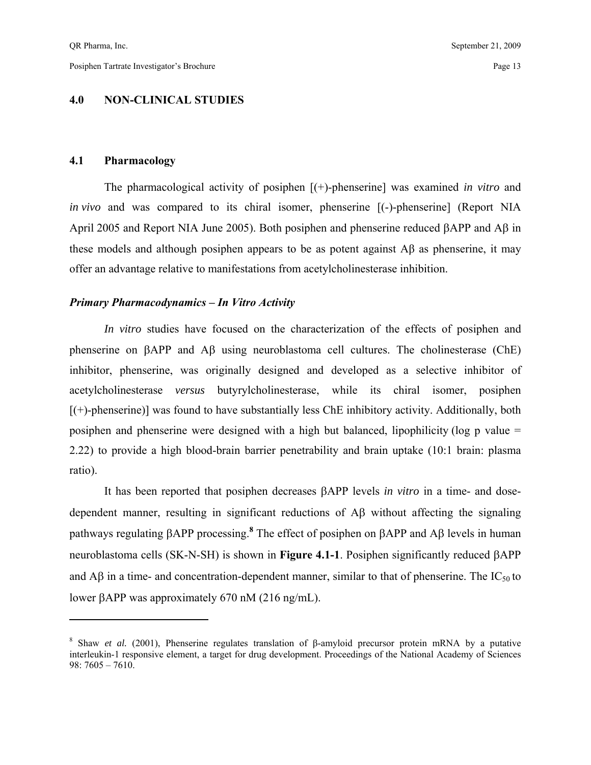$\overline{a}$ 

#### **4.0 NON-CLINICAL STUDIES**

#### **4.1 Pharmacology**

 The pharmacological activity of posiphen [(+)-phenserine] was examined *in vitro* and *in vivo* and was compared to its chiral isomer, phenserine [(-)-phenserine] (Report NIA April 2005 and Report NIA June 2005). Both posiphen and phenserine reduced βAPP and Aβ in these models and although posiphen appears to be as potent against Aβ as phenserine, it may offer an advantage relative to manifestations from acetylcholinesterase inhibition.

#### *Primary Pharmacodynamics – In Vitro Activity*

*In vitro* studies have focused on the characterization of the effects of posiphen and phenserine on βAPP and Aβ using neuroblastoma cell cultures. The cholinesterase (ChE) inhibitor, phenserine, was originally designed and developed as a selective inhibitor of acetylcholinesterase *versus* butyrylcholinesterase, while its chiral isomer, posiphen  $[(+)$ -phenserine)] was found to have substantially less ChE inhibitory activity. Additionally, both posiphen and phenserine were designed with a high but balanced, lipophilicity (log p value = 2.22) to provide a high blood-brain barrier penetrability and brain uptake (10:1 brain: plasma ratio).

 It has been reported that posiphen decreases βAPP levels *in vitro* in a time- and dosedependent manner, resulting in significant reductions of Aβ without affecting the signaling pathways regulating βAPP processing.**<sup>8</sup>** The effect of posiphen on βAPP and Aβ levels in human neuroblastoma cells (SK-N-SH) is shown in **Figure 4.1-1**. Posiphen significantly reduced βAPP and A $\beta$  in a time- and concentration-dependent manner, similar to that of phenserine. The IC<sub>50</sub> to lower βAPP was approximately 670 nM (216 ng/mL).

<sup>&</sup>lt;sup>8</sup> Shaw *et al.* (2001), Phenserine regulates translation of β-amyloid precursor protein mRNA by a putative interleukin-1 responsive element, a target for drug development. Proceedings of the National Academy of Sciences 98: 7605 – 7610.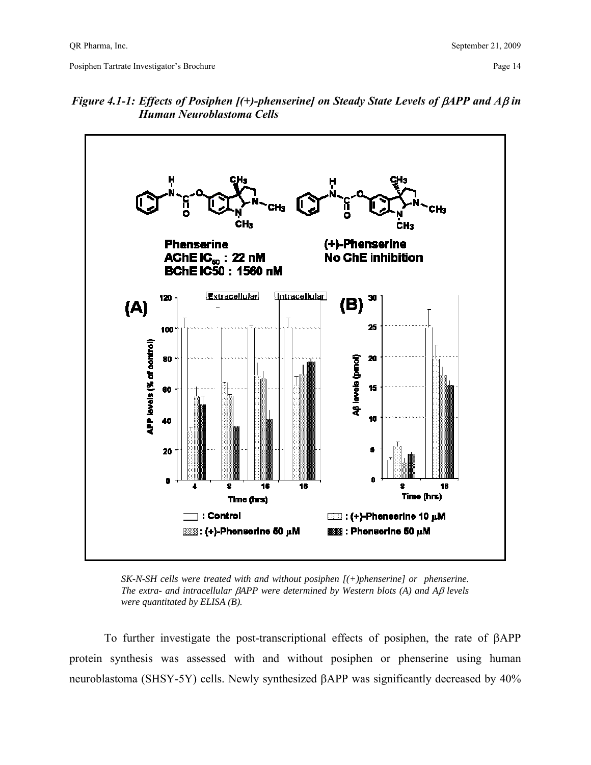Posiphen Tartrate Investigator's Brochure Page 14 and 2008 14 and 2008 14 and 2008 14 and 2008 14 and 2008 14 and 2008 14 and 2008 14 and 2008 14 and 2008 14 and 2008 14 and 2008 14 and 2008 14 and 2008 14 and 2008 14 and



*Figure 4.1-1: Effects of Posiphen [(+)-phenserine] on Steady State Levels of βAPP and Aβ in Human Neuroblastoma Cells* 

*SK-N-SH cells were treated with and without posiphen [(+)phenserine] or phenserine. The extra- and intracellular* β*APP were determined by Western blots (A) and A*β *levels were quantitated by ELISA (B).*

To further investigate the post-transcriptional effects of posiphen, the rate of βAPP protein synthesis was assessed with and without posiphen or phenserine using human neuroblastoma (SHSY-5Y) cells. Newly synthesized βAPP was significantly decreased by 40%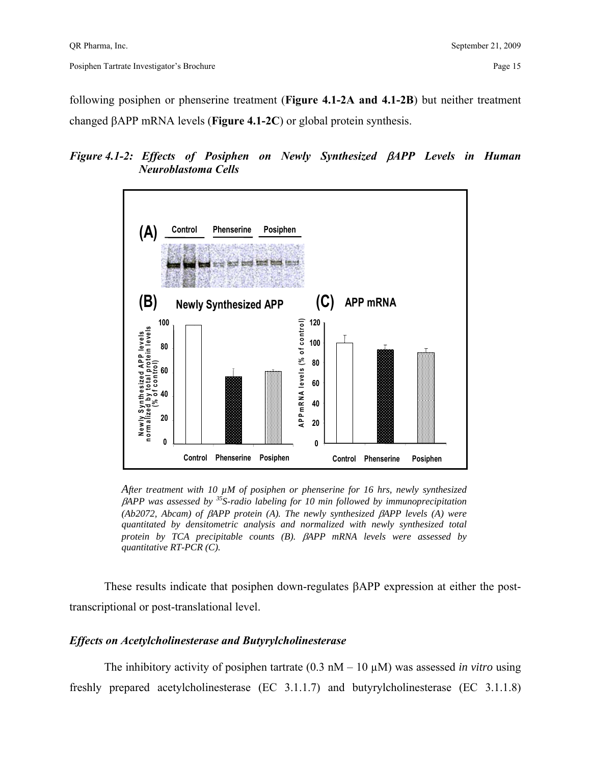following posiphen or phenserine treatment (**Figure 4.1-2A and 4.1-2B**) but neither treatment changed βAPP mRNA levels (**Figure 4.1-2C**) or global protein synthesis.

### *Figure 4.1-2: Effects of Posiphen on Newly Synthesized* β*APP Levels in Human Neuroblastoma Cells*



*After treatment with 10 µM of posiphen or phenserine for 16 hrs, newly synthesized*  β*APP was assessed by 35S-radio labeling for 10 min followed by immunoprecipitation (Ab2072, Abcam) of* β*APP protein (A). The newly synthesized* β*APP levels (A) were quantitated by densitometric analysis and normalized with newly synthesized total protein by TCA precipitable counts (B).* β*APP mRNA levels were assessed by quantitative RT-PCR (C).*

These results indicate that posiphen down-regulates βAPP expression at either the posttranscriptional or post-translational level.

#### *Effects on Acetylcholinesterase and Butyrylcholinesterase*

The inhibitory activity of posiphen tartrate  $(0.3 \text{ nM} - 10 \mu \text{M})$  was assessed *in vitro* using freshly prepared acetylcholinesterase (EC 3.1.1.7) and butyrylcholinesterase (EC 3.1.1.8)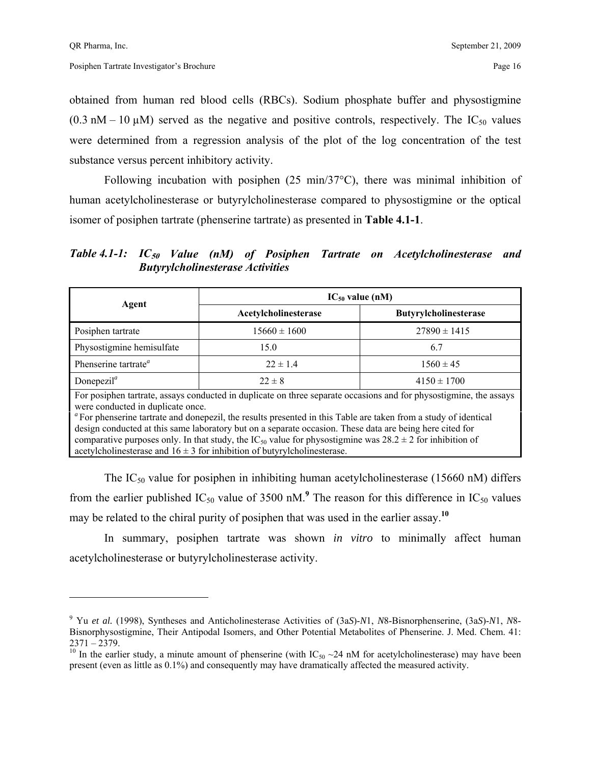<u>.</u>

obtained from human red blood cells (RBCs). Sodium phosphate buffer and physostigmine  $(0.3 \text{ nM} - 10 \text{ µ})$  served as the negative and positive controls, respectively. The IC<sub>50</sub> values were determined from a regression analysis of the plot of the log concentration of the test substance versus percent inhibitory activity.

 Following incubation with posiphen (25 min/37°C), there was minimal inhibition of human acetylcholinesterase or butyrylcholinesterase compared to physostigmine or the optical isomer of posiphen tartrate (phenserine tartrate) as presented in **Table 4.1-1**.

*Table 4.1-1: IC***50** *Value (nM) of Posiphen Tartrate on Acetylcholinesterase and Butyrylcholinesterase Activities* 

| Agent                                                                                                                                                                                                                                                                                                                                                                                                                                                                                                                                                                                               | $IC_{50}$ value (nM)          |                              |  |  |  |
|-----------------------------------------------------------------------------------------------------------------------------------------------------------------------------------------------------------------------------------------------------------------------------------------------------------------------------------------------------------------------------------------------------------------------------------------------------------------------------------------------------------------------------------------------------------------------------------------------------|-------------------------------|------------------------------|--|--|--|
|                                                                                                                                                                                                                                                                                                                                                                                                                                                                                                                                                                                                     | Acetylcholinesterase          | <b>Butyrylcholinesterase</b> |  |  |  |
| Posiphen tartrate                                                                                                                                                                                                                                                                                                                                                                                                                                                                                                                                                                                   | $15660 \pm 1600$              | $27890 \pm 1415$             |  |  |  |
| Physostigmine hemisulfate                                                                                                                                                                                                                                                                                                                                                                                                                                                                                                                                                                           | 15.0                          | 6.7                          |  |  |  |
| Phenserine tartrate <sup><i>a</i></sup>                                                                                                                                                                                                                                                                                                                                                                                                                                                                                                                                                             | $22 \pm 1.4$                  | $1560 \pm 45$                |  |  |  |
| Donepezil <sup><math>a</math></sup>                                                                                                                                                                                                                                                                                                                                                                                                                                                                                                                                                                 | $4150 \pm 1700$<br>$22 \pm 8$ |                              |  |  |  |
| For posiphen tartrate, assays conducted in duplicate on three separate occasions and for physostigmine, the assays<br>were conducted in duplicate once.<br>"For phenserine tartrate and donepezil, the results presented in this Table are taken from a study of identical<br>design conducted at this same laboratory but on a separate occasion. These data are being here cited for<br>comparative purposes only. In that study, the IC <sub>50</sub> value for physostigmine was $28.2 \pm 2$ for inhibition of<br>acetylcholinesterase and $16 \pm 3$ for inhibition of butyrylcholinesterase. |                               |                              |  |  |  |

The  $IC_{50}$  value for posiphen in inhibiting human acetylcholinesterase (15660 nM) differs from the earlier published  $IC_{50}$  value of 3500 nM.<sup>9</sup> The reason for this difference in  $IC_{50}$  values may be related to the chiral purity of posiphen that was used in the earlier assay.**<sup>10</sup>**

 In summary, posiphen tartrate was shown *in vitro* to minimally affect human acetylcholinesterase or butyrylcholinesterase activity.

<sup>9</sup> Yu *et al.* (1998), Syntheses and Anticholinesterase Activities of (3a*S*)-*N*1, *N*8-Bisnorphenserine, (3a*S*)-*N*1, *N*8- Bisnorphysostigmine, Their Antipodal Isomers, and Other Potential Metabolites of Phenserine. J. Med. Chem. 41: 2371 – 2379.

<sup>&</sup>lt;sup>10</sup> In the earlier study, a minute amount of phenserine (with IC<sub>50</sub> ~24 nM for acetylcholinesterase) may have been present (even as little as 0.1%) and consequently may have dramatically affected the measured activity.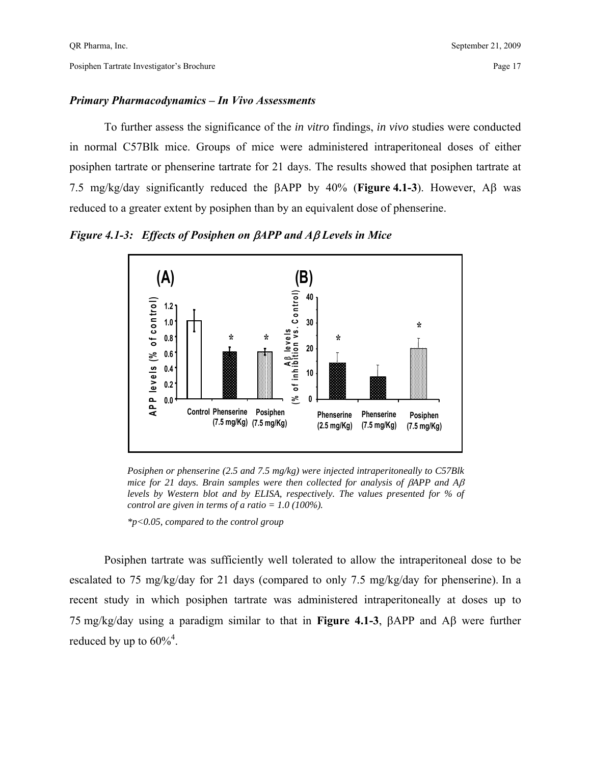#### *Primary Pharmacodynamics – In Vivo Assessments*

 To further assess the significance of the *in vitro* findings, *in vivo* studies were conducted in normal C57Blk mice. Groups of mice were administered intraperitoneal doses of either posiphen tartrate or phenserine tartrate for 21 days. The results showed that posiphen tartrate at 7.5 mg/kg/day significantly reduced the βAPP by 40% (**Figure 4.1-3**). However, Aβ was reduced to a greater extent by posiphen than by an equivalent dose of phenserine.

*Figure 4.1-3: Effects of Posiphen on* β*APP and A*β *Levels in Mice* 



*Posiphen or phenserine (2.5 and 7.5 mg/kg) were injected intraperitoneally to C57Blk mice for 21 days. Brain samples were then collected for analysis of βAPP and Aβ levels by Western blot and by ELISA, respectively. The values presented for % of control are given in terms of a ratio = 1.0 (100%).* 

*\*p<0.05, compared to the control group* 

 Posiphen tartrate was sufficiently well tolerated to allow the intraperitoneal dose to be escalated to 75 mg/kg/day for 21 days (compared to only 7.5 mg/kg/day for phenserine). In a recent study in which posiphen tartrate was administered intraperitoneally at doses up to 75 mg/kg/day using a paradigm similar to that in **Figure 4.1-3**, βAPP and Aβ were further reduced by up to  $60\%$ <sup>4</sup>.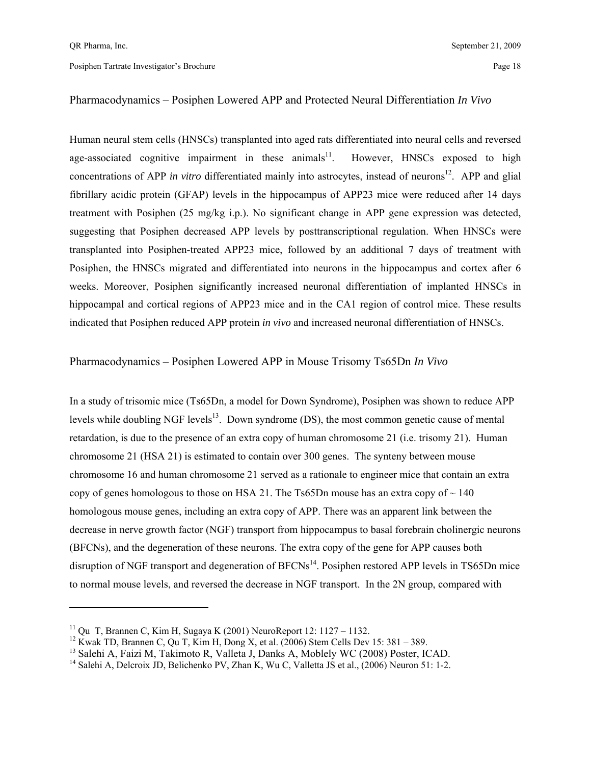$\overline{a}$ 

Posiphen Tartrate Investigator's Brochure Page 18

#### Pharmacodynamics – Posiphen Lowered APP and Protected Neural Differentiation *In Vivo*

Human neural stem cells (HNSCs) transplanted into aged rats differentiated into neural cells and reversed age-associated cognitive impairment in these animals $11$ . However, HNSCs exposed to high concentrations of APP *in vitro* differentiated mainly into astrocytes, instead of neurons<sup>12</sup>. APP and glial fibrillary acidic protein (GFAP) levels in the hippocampus of APP23 mice were reduced after 14 days treatment with Posiphen (25 mg/kg i.p.). No significant change in APP gene expression was detected, suggesting that Posiphen decreased APP levels by posttranscriptional regulation. When HNSCs were transplanted into Posiphen-treated APP23 mice, followed by an additional 7 days of treatment with Posiphen, the HNSCs migrated and differentiated into neurons in the hippocampus and cortex after 6 weeks. Moreover, Posiphen significantly increased neuronal differentiation of implanted HNSCs in hippocampal and cortical regions of APP23 mice and in the CA1 region of control mice. These results indicated that Posiphen reduced APP protein *in vivo* and increased neuronal differentiation of HNSCs.

#### Pharmacodynamics – Posiphen Lowered APP in Mouse Trisomy Ts65Dn *In Vivo*

In a study of trisomic mice (Ts65Dn, a model for Down Syndrome), Posiphen was shown to reduce APP levels while doubling NGF levels<sup>13</sup>. Down syndrome (DS), the most common genetic cause of mental retardation, is due to the presence of an extra copy of human chromosome 21 (i.e. trisomy 21). Human chromosome 21 (HSA 21) is estimated to contain over 300 genes. The synteny between mouse chromosome 16 and human chromosome 21 served as a rationale to engineer mice that contain an extra copy of genes homologous to those on HSA 21. The Ts65Dn mouse has an extra copy of  $\sim$  140 homologous mouse genes, including an extra copy of APP. There was an apparent link between the decrease in nerve growth factor (NGF) transport from hippocampus to basal forebrain cholinergic neurons (BFCNs), and the degeneration of these neurons. The extra copy of the gene for APP causes both disruption of NGF transport and degeneration of BFCNs<sup>14</sup>. Posiphen restored APP levels in TS65Dn mice to normal mouse levels, and reversed the decrease in NGF transport. In the 2N group, compared with

<sup>&</sup>lt;sup>11</sup> Qu T, Brannen C, Kim H, Sugaya K (2001) NeuroReport 12: 1127 – 1132.

<sup>&</sup>lt;sup>12</sup> Kwak TD, Brannen C, Qu T, Kim H, Dong X, et al. (2006) Stem Cells Dev 15: 381 – 389.<br><sup>13</sup> Salehi A, Faizi M, Takimoto R, Valleta J, Danks A, Moblely WC (2008) Poster, ICAD.

<sup>&</sup>lt;sup>14</sup> Salehi A, Delcroix JD, Belichenko PV, Zhan K, Wu C, Valletta JS et al.,  $(2006)$  Neuron 51: 1-2.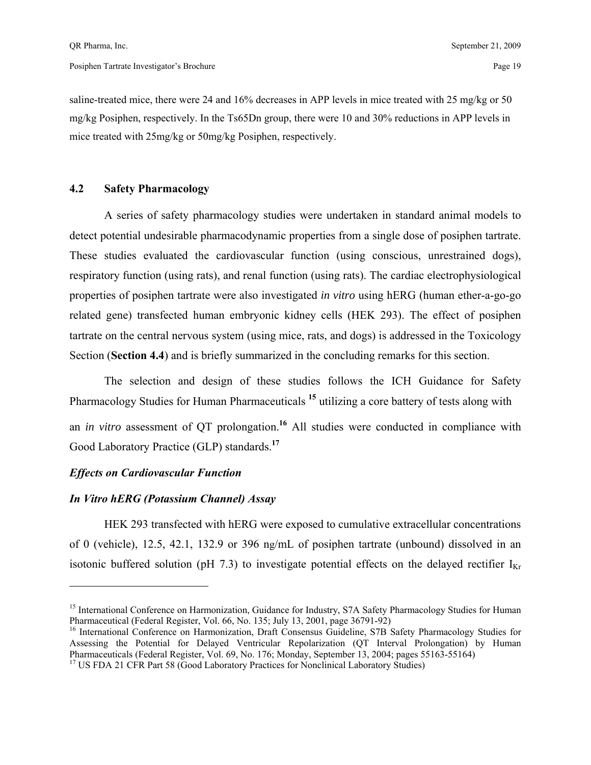saline-treated mice, there were 24 and 16% decreases in APP levels in mice treated with 25 mg/kg or 50 mg/kg Posiphen, respectively. In the Ts65Dn group, there were 10 and 30% reductions in APP levels in mice treated with 25mg/kg or 50mg/kg Posiphen, respectively.

#### **4.2 Safety Pharmacology**

 A series of safety pharmacology studies were undertaken in standard animal models to detect potential undesirable pharmacodynamic properties from a single dose of posiphen tartrate. These studies evaluated the cardiovascular function (using conscious, unrestrained dogs), respiratory function (using rats), and renal function (using rats). The cardiac electrophysiological properties of posiphen tartrate were also investigated *in vitro* using hERG (human ether-a-go-go related gene) transfected human embryonic kidney cells (HEK 293). The effect of posiphen tartrate on the central nervous system (using mice, rats, and dogs) is addressed in the Toxicology Section (**Section 4.4**) and is briefly summarized in the concluding remarks for this section.

 The selection and design of these studies follows the ICH Guidance for Safety Pharmacology Studies for Human Pharmaceuticals **<sup>15</sup>** utilizing a core battery of tests along with an *in vitro* assessment of QT prolongation.**<sup>16</sup>** All studies were conducted in compliance with Good Laboratory Practice (GLP) standards.**<sup>17</sup>**

#### *Effects on Cardiovascular Function*

1

#### *In Vitro hERG (Potassium Channel) Assay*

 HEK 293 transfected with hERG were exposed to cumulative extracellular concentrations of 0 (vehicle), 12.5, 42.1, 132.9 or 396 ng/mL of posiphen tartrate (unbound) dissolved in an isotonic buffered solution (pH 7.3) to investigate potential effects on the delayed rectifier  $I_{Kr}$ 

<sup>&</sup>lt;sup>15</sup> International Conference on Harmonization, Guidance for Industry, S7A Safety Pharmacology Studies for Human Pharmaceutical (Federal Register, Vol. 66, No. 135; July 13, 2001, page 36791-92)<br><sup>16</sup> International Conference on Harmonization, Draft Consensus Guideline, S7B Safety Pharmacology Studies for

Assessing the Potential for Delayed Ventricular Repolarization (QT Interval Prolongation) by Human Pharmaceuticals (Federal Register, Vol. 69, No. 176; Monday, September 13, 2004; pages 55163-55164) 17 US FDA 21 CFR Part 58 (Good Laboratory Practices for Nonclinical Laboratory Studies)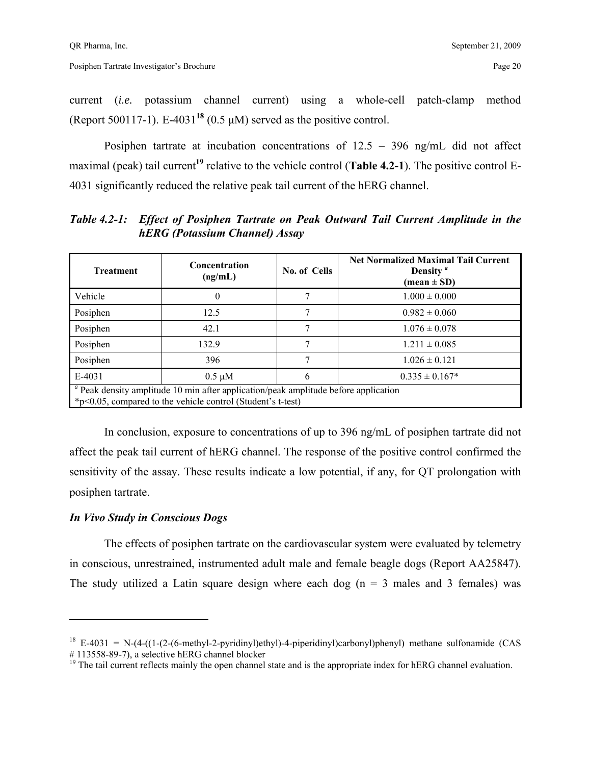current (*i.e.* potassium channel current) using a whole-cell patch-clamp method (Report 500117-1). E-4031<sup>18</sup> (0.5  $\mu$ M) served as the positive control.

 Posiphen tartrate at incubation concentrations of 12.5 – 396 ng/mL did not affect maximal (peak) tail current**<sup>19</sup>** relative to the vehicle control (**Table 4.2-1**). The positive control E-4031 significantly reduced the relative peak tail current of the hERG channel.

*Table 4.2-1: Effect of Posiphen Tartrate on Peak Outward Tail Current Amplitude in the hERG (Potassium Channel) Assay* 

| <b>Treatment</b>                                                                                                                                                     | Concentration<br>(ng/mL) | No. of Cells | <b>Net Normalized Maximal Tail Current</b><br>Density <sup><math>a</math></sup><br>$(\text{mean} \pm \text{SD})$ |  |  |  |
|----------------------------------------------------------------------------------------------------------------------------------------------------------------------|--------------------------|--------------|------------------------------------------------------------------------------------------------------------------|--|--|--|
| Vehicle                                                                                                                                                              | $\theta$                 |              | $1.000 \pm 0.000$                                                                                                |  |  |  |
| Posiphen                                                                                                                                                             | 12.5                     |              | $0.982 \pm 0.060$                                                                                                |  |  |  |
| Posiphen                                                                                                                                                             | 42.1                     |              | $1.076 \pm 0.078$                                                                                                |  |  |  |
| Posiphen                                                                                                                                                             | 132.9                    |              | $1.211 \pm 0.085$                                                                                                |  |  |  |
| Posiphen                                                                                                                                                             | 396                      |              | $1.026 \pm 0.121$                                                                                                |  |  |  |
| E-4031                                                                                                                                                               | $0.5 \mu M$              | 6            | $0.335 \pm 0.167*$                                                                                               |  |  |  |
| <sup><i>a</i></sup> Peak density amplitude 10 min after application/peak amplitude before application<br>*p<0.05, compared to the vehicle control (Student's t-test) |                          |              |                                                                                                                  |  |  |  |

 In conclusion, exposure to concentrations of up to 396 ng/mL of posiphen tartrate did not affect the peak tail current of hERG channel. The response of the positive control confirmed the sensitivity of the assay. These results indicate a low potential, if any, for QT prolongation with posiphen tartrate.

#### *In Vivo Study in Conscious Dogs*

 $\overline{a}$ 

 The effects of posiphen tartrate on the cardiovascular system were evaluated by telemetry in conscious, unrestrained, instrumented adult male and female beagle dogs (Report AA25847). The study utilized a Latin square design where each dog ( $n = 3$  males and 3 females) was

<sup>&</sup>lt;sup>18</sup> E-4031 = N-(4-((1-(2-(6-methyl-2-pyridinyl)ethyl)-4-piperidinyl)carbonyl)phenyl) methane sulfonamide (CAS # 113558-89-7), a selective hERG channel blocker

<sup>&</sup>lt;sup>19</sup> The tail current reflects mainly the open channel state and is the appropriate index for hERG channel evaluation.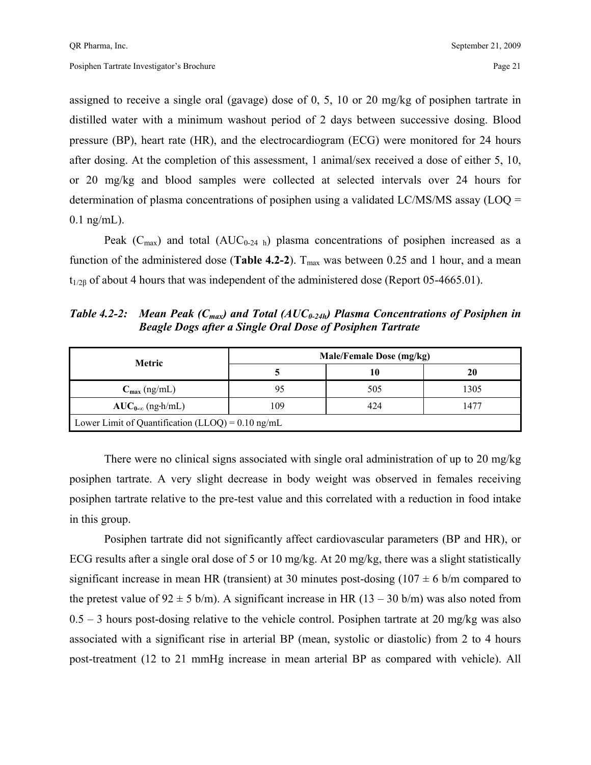assigned to receive a single oral (gavage) dose of 0, 5, 10 or 20 mg/kg of posiphen tartrate in distilled water with a minimum washout period of 2 days between successive dosing. Blood pressure (BP), heart rate (HR), and the electrocardiogram (ECG) were monitored for 24 hours after dosing. At the completion of this assessment, 1 animal/sex received a dose of either 5, 10, or 20 mg/kg and blood samples were collected at selected intervals over 24 hours for determination of plasma concentrations of posiphen using a validated LC/MS/MS assay (LOQ =  $0.1$  ng/mL).

Peak ( $C_{\text{max}}$ ) and total ( $AUC_{0.24 h}$ ) plasma concentrations of posiphen increased as a function of the administered dose (**Table 4.2-2**).  $T_{\text{max}}$  was between 0.25 and 1 hour, and a mean  $t_{1/26}$  of about 4 hours that was independent of the administered dose (Report 05-4665.01).

*Table 4.2-2: Mean Peak (C<sub>max</sub>) and Total (AUC<sub>0-24h</sub>) Plasma Concentrations of Posiphen in Beagle Dogs after a Single Oral Dose of Posiphen Tartrate* 

| <b>Metric</b>                                               | Male/Female Dose (mg/kg) |     |      |  |
|-------------------------------------------------------------|--------------------------|-----|------|--|
|                                                             |                          | 10  | 20   |  |
| $C_{\text{max}}$ (ng/mL)                                    | 95                       | 505 | 1305 |  |
| $AUC_{0-\infty}$ (ng-h/mL)                                  | 109                      | 424 | 1477 |  |
| Lower Limit of Quantification (LLOQ) = $0.10 \text{ ng/mL}$ |                          |     |      |  |

There were no clinical signs associated with single oral administration of up to 20 mg/kg posiphen tartrate. A very slight decrease in body weight was observed in females receiving posiphen tartrate relative to the pre-test value and this correlated with a reduction in food intake in this group.

 Posiphen tartrate did not significantly affect cardiovascular parameters (BP and HR), or ECG results after a single oral dose of 5 or 10 mg/kg. At 20 mg/kg, there was a slight statistically significant increase in mean HR (transient) at 30 minutes post-dosing  $(107 \pm 6 \text{ b/m}$  compared to the pretest value of  $92 \pm 5$  b/m). A significant increase in HR (13 – 30 b/m) was also noted from  $0.5 - 3$  hours post-dosing relative to the vehicle control. Posiphen tartrate at 20 mg/kg was also associated with a significant rise in arterial BP (mean, systolic or diastolic) from 2 to 4 hours post-treatment (12 to 21 mmHg increase in mean arterial BP as compared with vehicle). All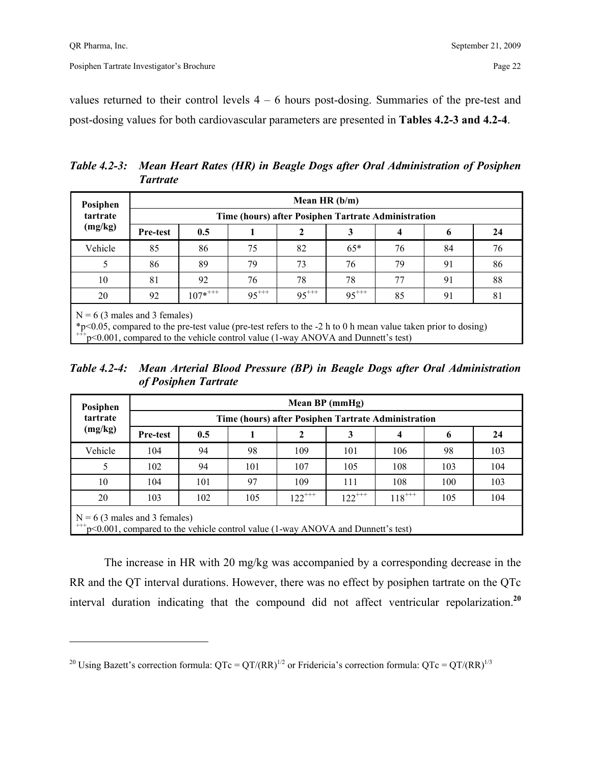1

values returned to their control levels  $4 - 6$  hours post-dosing. Summaries of the pre-test and post-dosing values for both cardiovascular parameters are presented in **Tables 4.2-3 and 4.2-4**.

*Table 4.2-3: Mean Heart Rates (HR) in Beagle Dogs after Oral Administration of Posiphen Tartrate* 

| Posiphen                                                                                                                                                                                                                                  |                                                     |              |            | Mean HR $(b/m)$ |            |    |    |    |
|-------------------------------------------------------------------------------------------------------------------------------------------------------------------------------------------------------------------------------------------|-----------------------------------------------------|--------------|------------|-----------------|------------|----|----|----|
| tartrate                                                                                                                                                                                                                                  | Time (hours) after Posiphen Tartrate Administration |              |            |                 |            |    |    |    |
| (mg/kg)                                                                                                                                                                                                                                   | Pre-test                                            | 0.5          |            | 2               | 3          | 4  | 6  | 24 |
| Vehicle                                                                                                                                                                                                                                   | 85                                                  | 86           | 75         | 82              | $65*$      | 76 | 84 | 76 |
| 5                                                                                                                                                                                                                                         | 86                                                  | 89           | 79         | 73              | 76         | 79 | 91 | 86 |
| 10                                                                                                                                                                                                                                        | 81                                                  | 92           | 76         | 78              | 78         | 77 | 91 | 88 |
| 20                                                                                                                                                                                                                                        | 92                                                  | $107^{*+++}$ | $95^{***}$ | $95^{***}$      | $95^{***}$ | 85 | 91 | 81 |
| $N = 6$ (3 males and 3 females)<br>*p<0.05, compared to the pre-test value (pre-test refers to the -2 h to 0 h mean value taken prior to dosing)<br>$+++p$ <0.001, compared to the vehicle control value (1-way ANOVA and Dunnett's test) |                                                     |              |            |                 |            |    |    |    |

*Table 4.2-4: Mean Arterial Blood Pressure (BP) in Beagle Dogs after Oral Administration of Posiphen Tartrate* 

| Posiphen                                                                                                                    | Mean BP (mmHg)                                      |     |     |             |             |             |     |     |  |  |  |
|-----------------------------------------------------------------------------------------------------------------------------|-----------------------------------------------------|-----|-----|-------------|-------------|-------------|-----|-----|--|--|--|
| tartrate                                                                                                                    | Time (hours) after Posiphen Tartrate Administration |     |     |             |             |             |     |     |  |  |  |
| (mg/kg)                                                                                                                     | Pre-test                                            | 0.5 |     | 2           | 3           | 4           | 6   | 24  |  |  |  |
| Vehicle                                                                                                                     | 104                                                 | 94  | 98  | 109         | 101         | 106         | 98  | 103 |  |  |  |
| 5                                                                                                                           | 102                                                 | 94  | 101 | 107         | 105         | 108         | 103 | 104 |  |  |  |
| 10                                                                                                                          | 104                                                 | 101 | 97  | 109         | 111         | 108         | 100 | 103 |  |  |  |
| 20                                                                                                                          | 103                                                 | 102 | 105 | $122^{+++}$ | $122^{***}$ | $118^{+++}$ | 105 | 104 |  |  |  |
| $N = 6$ (3 males and 3 females)<br>$^{+++}p<0.001$ , compared to the vehicle control value (1-way ANOVA and Dunnett's test) |                                                     |     |     |             |             |             |     |     |  |  |  |

 The increase in HR with 20 mg/kg was accompanied by a corresponding decrease in the RR and the QT interval durations. However, there was no effect by posiphen tartrate on the QTc interval duration indicating that the compound did not affect ventricular repolarization.**<sup>20</sup>**

<sup>&</sup>lt;sup>20</sup> Using Bazett's correction formula:  $QTc = QT/(RR)^{1/2}$  or Fridericia's correction formula:  $QTc = QT/(RR)^{1/3}$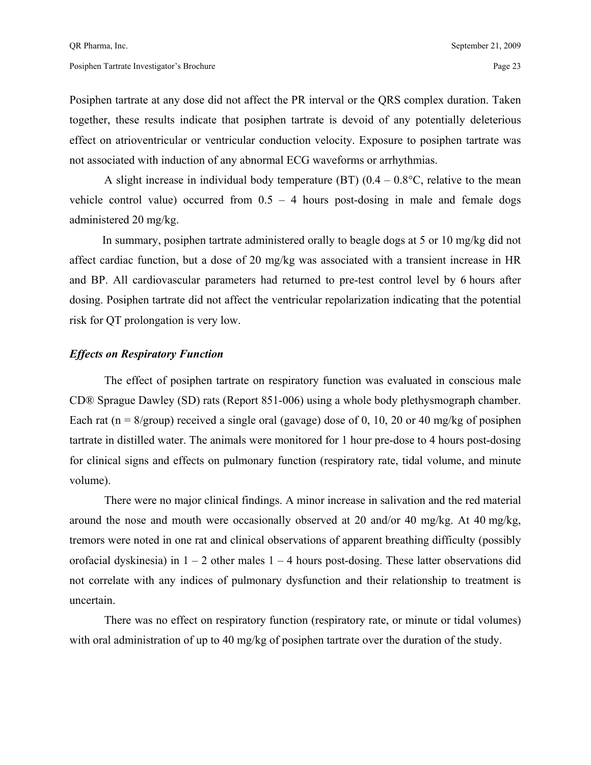Posiphen tartrate at any dose did not affect the PR interval or the QRS complex duration. Taken together, these results indicate that posiphen tartrate is devoid of any potentially deleterious effect on atrioventricular or ventricular conduction velocity. Exposure to posiphen tartrate was not associated with induction of any abnormal ECG waveforms or arrhythmias.

A slight increase in individual body temperature (BT)  $(0.4 - 0.8^{\circ}C)$ , relative to the mean vehicle control value) occurred from  $0.5 - 4$  hours post-dosing in male and female dogs administered 20 mg/kg.

 In summary, posiphen tartrate administered orally to beagle dogs at 5 or 10 mg/kg did not affect cardiac function, but a dose of 20 mg/kg was associated with a transient increase in HR and BP. All cardiovascular parameters had returned to pre-test control level by 6 hours after dosing. Posiphen tartrate did not affect the ventricular repolarization indicating that the potential risk for QT prolongation is very low.

#### *Effects on Respiratory Function*

The effect of posiphen tartrate on respiratory function was evaluated in conscious male CD® Sprague Dawley (SD) rats (Report 851-006) using a whole body plethysmograph chamber. Each rat ( $n = 8$ /group) received a single oral (gavage) dose of 0, 10, 20 or 40 mg/kg of posiphen tartrate in distilled water. The animals were monitored for 1 hour pre-dose to 4 hours post-dosing for clinical signs and effects on pulmonary function (respiratory rate, tidal volume, and minute volume).

 There were no major clinical findings. A minor increase in salivation and the red material around the nose and mouth were occasionally observed at 20 and/or 40 mg/kg. At 40 mg/kg, tremors were noted in one rat and clinical observations of apparent breathing difficulty (possibly orofacial dyskinesia) in  $1 - 2$  other males  $1 - 4$  hours post-dosing. These latter observations did not correlate with any indices of pulmonary dysfunction and their relationship to treatment is uncertain.

 There was no effect on respiratory function (respiratory rate, or minute or tidal volumes) with oral administration of up to 40 mg/kg of posiphen tartrate over the duration of the study.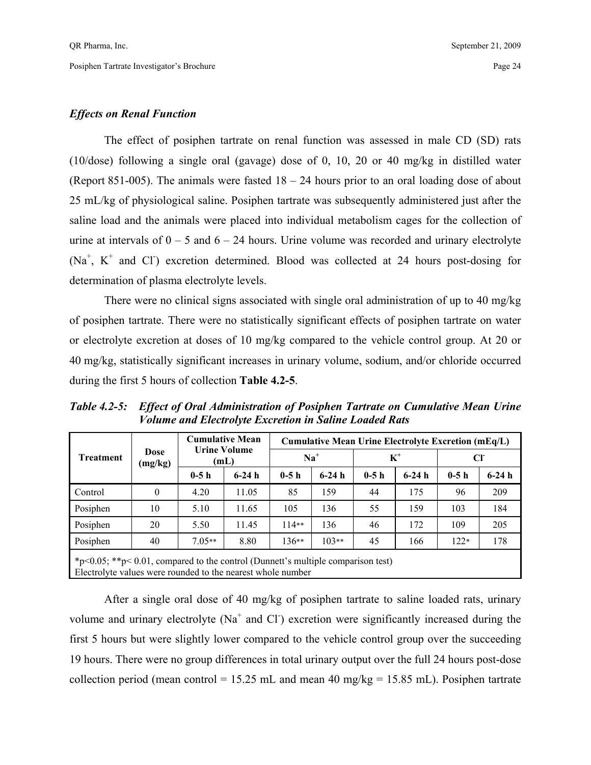#### *Effects on Renal Function*

The effect of posiphen tartrate on renal function was assessed in male CD (SD) rats (10/dose) following a single oral (gavage) dose of 0, 10, 20 or 40 mg/kg in distilled water (Report 851-005). The animals were fasted  $18 - 24$  hours prior to an oral loading dose of about 25 mL/kg of physiological saline. Posiphen tartrate was subsequently administered just after the saline load and the animals were placed into individual metabolism cages for the collection of urine at intervals of  $0 - 5$  and  $6 - 24$  hours. Urine volume was recorded and urinary electrolyte  $(Na^+, K^+$  and Cl<sup>-</sup>) excretion determined. Blood was collected at 24 hours post-dosing for determination of plasma electrolyte levels.

 There were no clinical signs associated with single oral administration of up to 40 mg/kg of posiphen tartrate. There were no statistically significant effects of posiphen tartrate on water or electrolyte excretion at doses of 10 mg/kg compared to the vehicle control group. At 20 or 40 mg/kg, statistically significant increases in urinary volume, sodium, and/or chloride occurred during the first 5 hours of collection **Table 4.2-5**.

*Table 4.2-5: Effect of Oral Administration of Posiphen Tartrate on Cumulative Mean Urine Volume and Electrolyte Excretion in Saline Loaded Rats* 

|                                                                                                                                                                |          | <b>Cumulative Mean</b><br><b>Urine Volume</b><br>Dose<br>(mL) |         | <b>Cumulative Mean Urine Electrolyte Excretion (mEq/L)</b> |         |        |         |        |         |  |  |
|----------------------------------------------------------------------------------------------------------------------------------------------------------------|----------|---------------------------------------------------------------|---------|------------------------------------------------------------|---------|--------|---------|--------|---------|--|--|
| <b>Treatment</b>                                                                                                                                               | (mg/kg)  |                                                               |         | $Na+$                                                      |         | $K^+$  |         | CI     |         |  |  |
|                                                                                                                                                                |          | $0-5h$                                                        | $6-24h$ | $0-5h$                                                     | $6-24h$ | $0-5h$ | $6-24h$ | $0-5h$ | $6-24h$ |  |  |
| Control                                                                                                                                                        | $\theta$ | 4.20                                                          | 11.05   | 85                                                         | 159     | 44     | 175     | 96     | 209     |  |  |
| Posiphen                                                                                                                                                       | 10       | 5.10                                                          | 11.65   | 105                                                        | 136     | 55     | 159     | 103    | 184     |  |  |
| Posiphen                                                                                                                                                       | 20       | 5.50                                                          | 11.45   | $114**$                                                    | 136     | 46     | 172     | 109    | 205     |  |  |
| Posiphen                                                                                                                                                       | 40       | $7.05**$                                                      | 8.80    | $136**$                                                    | $103**$ | 45     | 166     | $122*$ | 178     |  |  |
| * $p \le 0.05$ ; ** $p \le 0.01$ , compared to the control (Dunnett's multiple comparison test)<br>Electrolyte values were rounded to the nearest whole number |          |                                                               |         |                                                            |         |        |         |        |         |  |  |

 After a single oral dose of 40 mg/kg of posiphen tartrate to saline loaded rats, urinary volume and urinary electrolyte ( $Na<sup>+</sup>$  and Cl ) excretion were significantly increased during the first 5 hours but were slightly lower compared to the vehicle control group over the succeeding 19 hours. There were no group differences in total urinary output over the full 24 hours post-dose collection period (mean control = 15.25 mL and mean 40 mg/kg = 15.85 mL). Posiphen tartrate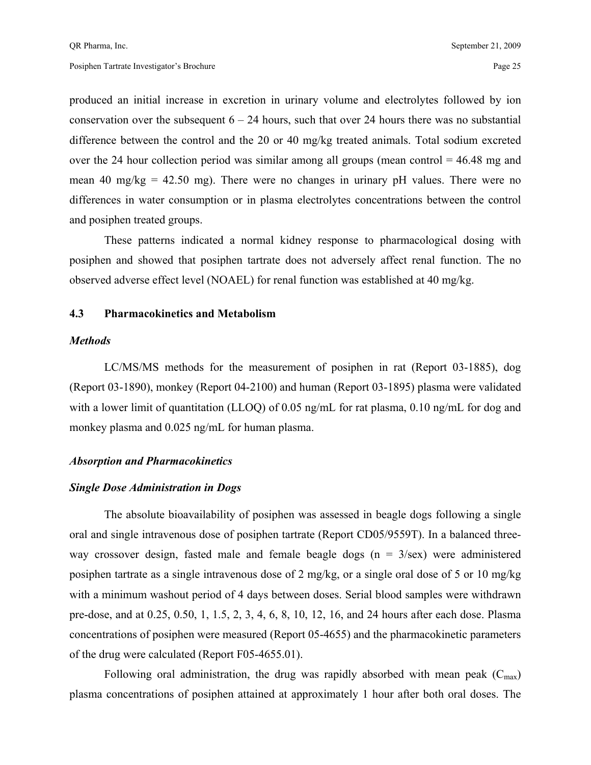produced an initial increase in excretion in urinary volume and electrolytes followed by ion conservation over the subsequent  $6 - 24$  hours, such that over 24 hours there was no substantial difference between the control and the 20 or 40 mg/kg treated animals. Total sodium excreted over the 24 hour collection period was similar among all groups (mean control  $= 46.48$  mg and mean 40 mg/kg  $= 42.50$  mg). There were no changes in urinary pH values. There were no differences in water consumption or in plasma electrolytes concentrations between the control and posiphen treated groups.

 These patterns indicated a normal kidney response to pharmacological dosing with posiphen and showed that posiphen tartrate does not adversely affect renal function. The no observed adverse effect level (NOAEL) for renal function was established at 40 mg/kg.

#### **4.3 Pharmacokinetics and Metabolism**

#### *Methods*

 LC/MS/MS methods for the measurement of posiphen in rat (Report 03-1885), dog (Report 03-1890), monkey (Report 04-2100) and human (Report 03-1895) plasma were validated with a lower limit of quantitation (LLOQ) of 0.05 ng/mL for rat plasma, 0.10 ng/mL for dog and monkey plasma and 0.025 ng/mL for human plasma.

#### *Absorption and Pharmacokinetics*

#### *Single Dose Administration in Dogs*

 The absolute bioavailability of posiphen was assessed in beagle dogs following a single oral and single intravenous dose of posiphen tartrate (Report CD05/9559T). In a balanced threeway crossover design, fasted male and female beagle dogs ( $n = 3$ /sex) were administered posiphen tartrate as a single intravenous dose of 2 mg/kg, or a single oral dose of 5 or 10 mg/kg with a minimum washout period of 4 days between doses. Serial blood samples were withdrawn pre-dose, and at 0.25, 0.50, 1, 1.5, 2, 3, 4, 6, 8, 10, 12, 16, and 24 hours after each dose. Plasma concentrations of posiphen were measured (Report 05-4655) and the pharmacokinetic parameters of the drug were calculated (Report F05-4655.01).

Following oral administration, the drug was rapidly absorbed with mean peak  $(C_{\text{max}})$ plasma concentrations of posiphen attained at approximately 1 hour after both oral doses. The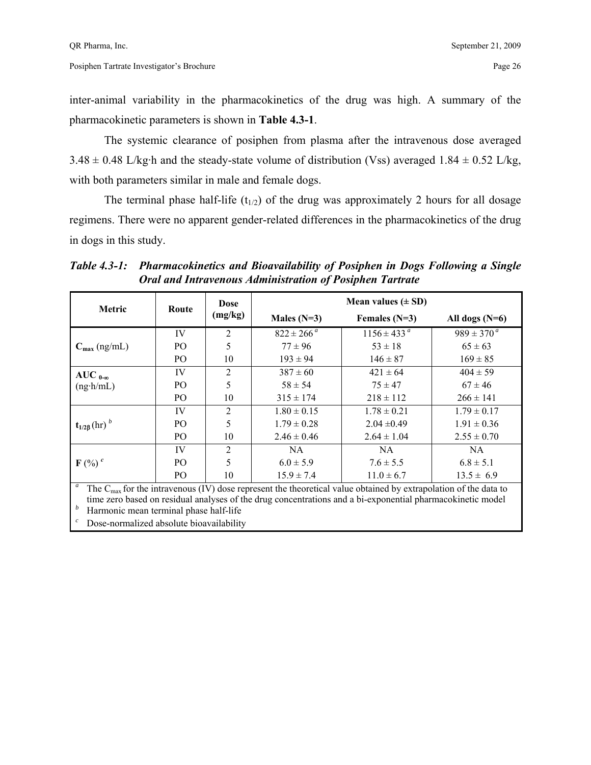inter-animal variability in the pharmacokinetics of the drug was high. A summary of the pharmacokinetic parameters is shown in **Table 4.3-1**.

 The systemic clearance of posiphen from plasma after the intravenous dose averaged  $3.48 \pm 0.48$  L/kg·h and the steady-state volume of distribution (Vss) averaged 1.84  $\pm$  0.52 L/kg, with both parameters similar in male and female dogs.

The terminal phase half-life  $(t_{1/2})$  of the drug was approximately 2 hours for all dosage regimens. There were no apparent gender-related differences in the pharmacokinetics of the drug in dogs in this study.

| <b>Metric</b>                    | Route          | Dose           | Mean values $(\pm SD)$ |                                                                                                                                                                                                                                            |                       |  |  |
|----------------------------------|----------------|----------------|------------------------|--------------------------------------------------------------------------------------------------------------------------------------------------------------------------------------------------------------------------------------------|-----------------------|--|--|
|                                  |                | (mg/kg)        | Males $(N=3)$          | Females $(N=3)$                                                                                                                                                                                                                            | All dogs $(N=6)$      |  |  |
|                                  | IV             | $\overline{2}$ | $822 \pm 266^{\,a}$    | $1156 \pm 433^{\circ}$                                                                                                                                                                                                                     | $989 \pm 370^{\circ}$ |  |  |
| $C_{\text{max}}$ (ng/mL)         | PO             | 5              | $77 \pm 96$            | $53 \pm 18$                                                                                                                                                                                                                                | $65 \pm 63$           |  |  |
|                                  | PO             | 10             | $193 \pm 94$           | $146 \pm 87$                                                                                                                                                                                                                               | $169 \pm 85$          |  |  |
| AUC $_{0-\infty}$                | IV             | $\overline{2}$ | $387 \pm 60$           | $421 \pm 64$                                                                                                                                                                                                                               | $404 \pm 59$          |  |  |
| $(ng \cdot h/mL)$                | PO             | 5              | $58 \pm 54$            | $75 \pm 47$                                                                                                                                                                                                                                | $67 \pm 46$           |  |  |
|                                  | PO             | 10             | $315 \pm 174$          | $218 \pm 112$                                                                                                                                                                                                                              | $266 \pm 141$         |  |  |
|                                  | IV             | 2              | $1.80 \pm 0.15$        | $1.78 \pm 0.21$                                                                                                                                                                                                                            | $1.79 \pm 0.17$       |  |  |
| $t_{1/2\beta}$ (hr) <sup>b</sup> | P <sub>O</sub> | 5              | $1.79 \pm 0.28$        | $2.04 \pm 0.49$                                                                                                                                                                                                                            | $1.91 \pm 0.36$       |  |  |
|                                  | PO             | 10             | $2.46 \pm 0.46$        | $2.64 \pm 1.04$                                                                                                                                                                                                                            | $2.55 \pm 0.70$       |  |  |
|                                  | IV             | $\overline{2}$ | NA.                    | NA.                                                                                                                                                                                                                                        | NA.                   |  |  |
| $F$ (%) $^{c}$                   | P <sub>O</sub> | 5              | $6.0 \pm 5.9$          | $7.6 \pm 5.5$                                                                                                                                                                                                                              | $6.8 \pm 5.1$         |  |  |
|                                  | PO             | 10             | $15.9 \pm 7.4$         | $11.0 \pm 6.7$                                                                                                                                                                                                                             | $13.5 \pm 6.9$        |  |  |
| $\boldsymbol{a}$                 |                |                |                        | The $C_{\text{max}}$ for the intravenous (IV) dose represent the theoretical value obtained by extrapolation of the data to<br>time zero hesed en residuel englyses of the drug concentrations and a bi-error ential phermecolinatio model |                       |  |  |

*Table 4.3-1: Pharmacokinetics and Bioavailability of Posiphen in Dogs Following a Single Oral and Intravenous Administration of Posiphen Tartrate* 

time zero based on residual analyses of the drug concentrations and a bi-exponential pharmacokinetic model *<sup>b</sup>* Harmonic mean terminal phase half-life

Dose-normalized absolute bioavailability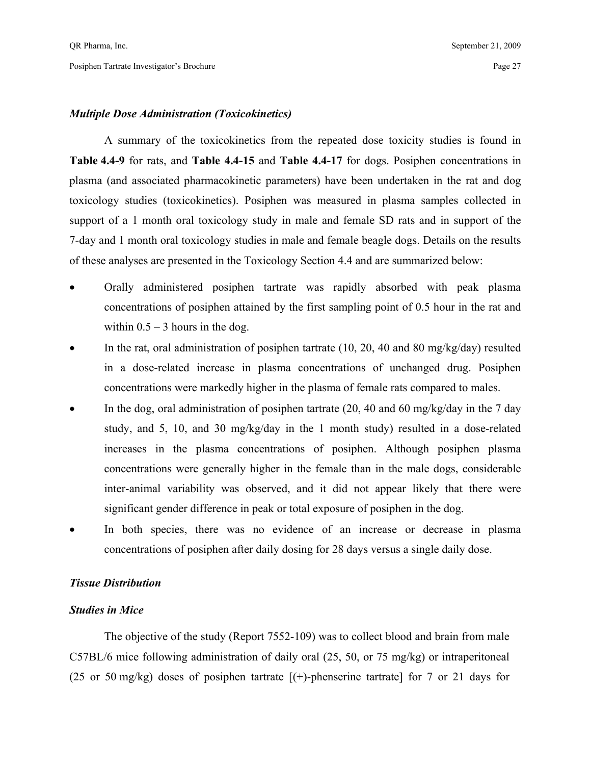#### *Multiple Dose Administration (Toxicokinetics)*

 A summary of the toxicokinetics from the repeated dose toxicity studies is found in **Table 4.4-9** for rats, and **Table 4.4-15** and **Table 4.4-17** for dogs. Posiphen concentrations in plasma (and associated pharmacokinetic parameters) have been undertaken in the rat and dog toxicology studies (toxicokinetics). Posiphen was measured in plasma samples collected in support of a 1 month oral toxicology study in male and female SD rats and in support of the 7-day and 1 month oral toxicology studies in male and female beagle dogs. Details on the results of these analyses are presented in the Toxicology Section 4.4 and are summarized below:

- Orally administered posiphen tartrate was rapidly absorbed with peak plasma concentrations of posiphen attained by the first sampling point of 0.5 hour in the rat and within  $0.5 - 3$  hours in the dog.
- In the rat, oral administration of posiphen tartrate  $(10, 20, 40, 40, 80, \text{mg/kg/day})$  resulted in a dose-related increase in plasma concentrations of unchanged drug. Posiphen concentrations were markedly higher in the plasma of female rats compared to males.
- In the dog, oral administration of posiphen tartrate  $(20, 40, 40, 60, \text{mg/kg/day})$  in the 7 day study, and 5, 10, and 30 mg/kg/day in the 1 month study) resulted in a dose-related increases in the plasma concentrations of posiphen. Although posiphen plasma concentrations were generally higher in the female than in the male dogs, considerable inter-animal variability was observed, and it did not appear likely that there were significant gender difference in peak or total exposure of posiphen in the dog.
- In both species, there was no evidence of an increase or decrease in plasma concentrations of posiphen after daily dosing for 28 days versus a single daily dose.

#### *Tissue Distribution*

#### *Studies in Mice*

 The objective of the study (Report 7552-109) was to collect blood and brain from male C57BL/6 mice following administration of daily oral (25, 50, or 75 mg/kg) or intraperitoneal (25 or 50 mg/kg) doses of posiphen tartrate  $[(+)$ -phenserine tartrate for 7 or 21 days for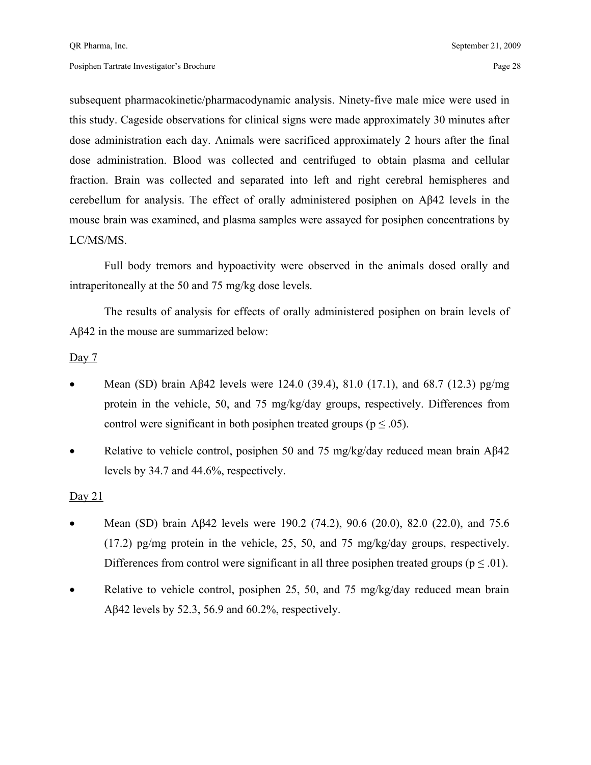subsequent pharmacokinetic/pharmacodynamic analysis. Ninety-five male mice were used in this study. Cageside observations for clinical signs were made approximately 30 minutes after dose administration each day. Animals were sacrificed approximately 2 hours after the final dose administration. Blood was collected and centrifuged to obtain plasma and cellular fraction. Brain was collected and separated into left and right cerebral hemispheres and cerebellum for analysis. The effect of orally administered posiphen on Aβ42 levels in the mouse brain was examined, and plasma samples were assayed for posiphen concentrations by LC/MS/MS.

 Full body tremors and hypoactivity were observed in the animals dosed orally and intraperitoneally at the 50 and 75 mg/kg dose levels.

 The results of analysis for effects of orally administered posiphen on brain levels of Aβ42 in the mouse are summarized below:

#### Day 7

- Mean (SD) brain Aβ42 levels were 124.0 (39.4), 81.0 (17.1), and 68.7 (12.3) pg/mg protein in the vehicle, 50, and 75 mg/kg/day groups, respectively. Differences from control were significant in both posiphen treated groups ( $p \le 0.05$ ).
- Relative to vehicle control, posiphen 50 and 75 mg/kg/day reduced mean brain Aβ42 levels by 34.7 and 44.6%, respectively.

#### Day 21

- Mean (SD) brain Aβ42 levels were 190.2 (74.2), 90.6 (20.0), 82.0 (22.0), and 75.6 (17.2) pg/mg protein in the vehicle, 25, 50, and 75 mg/kg/day groups, respectively. Differences from control were significant in all three posiphen treated groups ( $p \le 0.01$ ).
- Relative to vehicle control, posiphen 25, 50, and 75 mg/kg/day reduced mean brain Aβ42 levels by 52.3, 56.9 and 60.2%, respectively.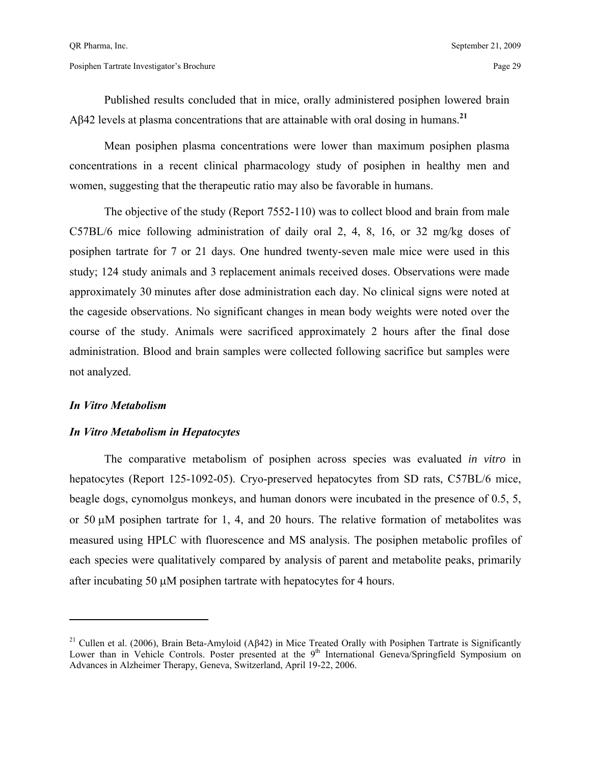Published results concluded that in mice, orally administered posiphen lowered brain Aβ42 levels at plasma concentrations that are attainable with oral dosing in humans.**<sup>21</sup>**

 Mean posiphen plasma concentrations were lower than maximum posiphen plasma concentrations in a recent clinical pharmacology study of posiphen in healthy men and women, suggesting that the therapeutic ratio may also be favorable in humans.

 The objective of the study (Report 7552-110) was to collect blood and brain from male C57BL/6 mice following administration of daily oral 2, 4, 8, 16, or 32 mg/kg doses of posiphen tartrate for 7 or 21 days. One hundred twenty-seven male mice were used in this study; 124 study animals and 3 replacement animals received doses. Observations were made approximately 30 minutes after dose administration each day. No clinical signs were noted at the cageside observations. No significant changes in mean body weights were noted over the course of the study. Animals were sacrificed approximately 2 hours after the final dose administration. Blood and brain samples were collected following sacrifice but samples were not analyzed.

#### *In Vitro Metabolism*

 $\overline{a}$ 

#### *In Vitro Metabolism in Hepatocytes*

 The comparative metabolism of posiphen across species was evaluated *in vitro* in hepatocytes (Report 125-1092-05). Cryo-preserved hepatocytes from SD rats, C57BL/6 mice, beagle dogs, cynomolgus monkeys, and human donors were incubated in the presence of 0.5, 5, or 50  $\mu$ M posiphen tartrate for 1, 4, and 20 hours. The relative formation of metabolites was measured using HPLC with fluorescence and MS analysis. The posiphen metabolic profiles of each species were qualitatively compared by analysis of parent and metabolite peaks, primarily after incubating 50 µM posiphen tartrate with hepatocytes for 4 hours.

<sup>&</sup>lt;sup>21</sup> Cullen et al. (2006), Brain Beta-Amyloid (Aβ42) in Mice Treated Orally with Posiphen Tartrate is Significantly Lower than in Vehicle Controls. Poster presented at the 9<sup>th</sup> International Geneva/Springfield Symposium on Advances in Alzheimer Therapy, Geneva, Switzerland, April 19-22, 2006.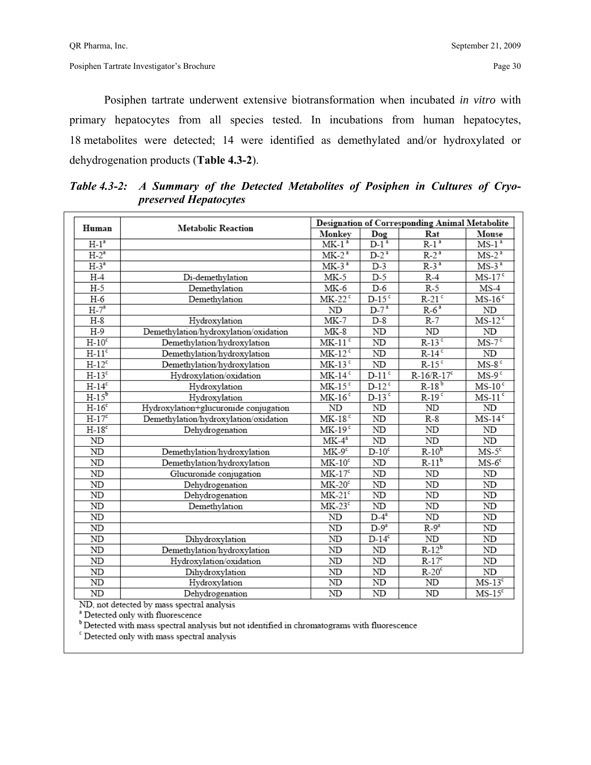Posiphen tartrate underwent extensive biotransformation when incubated *in vitro* with primary hepatocytes from all species tested. In incubations from human hepatocytes, 18 metabolites were detected; 14 were identified as demethylated and/or hydroxylated or dehydrogenation products (**Table 4.3-2**).

| Human    | <b>Metabolic Reaction</b>             |                            | Designation of Corresponding Animal Metabolite |                        |                      |  |  |  |
|----------|---------------------------------------|----------------------------|------------------------------------------------|------------------------|----------------------|--|--|--|
|          |                                       | Monkey                     | Dog                                            | Rat                    | Mouse                |  |  |  |
| $H-1a$   |                                       | $MK-1a$                    | $D-1^a$                                        | $R-13$                 | $MS-1a$              |  |  |  |
| $H-2^a$  |                                       | $MK-2a$                    | $D-2^a$                                        | $R-2^a$                | $MS-2^a$             |  |  |  |
| $H-3^a$  |                                       | $MK-3a$                    | $D-3$                                          | $R-3^a$                | $MS-3a$              |  |  |  |
| $H-4$    | Di-demethylation                      | $MK-5$                     | $D-5$                                          | $R-4$                  | $MS-17$              |  |  |  |
| $H-5$    | Demethylation                         | MK-6                       | $D-6$                                          | $R-5$                  | $MS-4$               |  |  |  |
| $H-6$    | Demethylation                         | $MK-22$ <sup>c</sup>       | $D-15c$                                        | $R-21$ <sup>c</sup>    | $MS-16$              |  |  |  |
| $H-7^a$  |                                       | ND                         | $D-7^a$                                        | $R-6a$                 | ND                   |  |  |  |
| $H-8$    | Hydroxylation                         | $MK-7$                     | $D-8$                                          | $R-7$                  | $MS-12^c$            |  |  |  |
| $H-9$    | Demethylation/hydroxylation/oxidation | $MK-8$                     | $\overline{ND}$                                | ND                     | ND                   |  |  |  |
| $H-10c$  | Demethylation/hydroxylation           | $MK-11$ <sup>c</sup>       | ND                                             | $R-13$ <sup>c</sup>    | $MS-7c$              |  |  |  |
| $H-11c$  | Demethylation/hydroxylation           | $MK-12$ <sup>c</sup>       | ND                                             | $R-14$ <sup>c</sup>    | ND                   |  |  |  |
| $H-12c$  | Demethylation/hydroxylation           | $MK-13c$                   | ND                                             | $R-15c$                | $MS-8$ <sup>c</sup>  |  |  |  |
| $H-13c$  | Hydroxylation/oxidation               | $MK-14$ <sup>c</sup>       | $D-11$ <sup>c</sup>                            | $R-16/R-17c$           | $MS-9c$              |  |  |  |
| $H-14c$  | Hydroxylation                         | $MK-15c$                   | $D-12^c$                                       | $R-18^b$               | $MS-10c$             |  |  |  |
| $H-15^b$ | Hydroxylation                         | $MK-16$                    | $D-13$ <sup>c</sup>                            | $R-19$ <sup>c</sup>    | $MS-11$ <sup>c</sup> |  |  |  |
| $H-16c$  | Hydroxylation+glucuronide conjugation | ND                         | ND                                             | ND                     | ND                   |  |  |  |
| $H-17c$  | Demethylation/hydroxylation/oxidation | $MK-18c$                   | $\overline{\mathrm{ND}}$                       | $R-8$                  | $MS-14c$             |  |  |  |
| $H-18c$  | Dehydrogenation                       | $MK-19c$                   | ND                                             | ND                     | ND                   |  |  |  |
| ND       |                                       | $\overline{\text{MK-4}}^a$ | $\overline{\text{ND}}$                         | $\overline{\text{ND}}$ | ND                   |  |  |  |
| ND       | Demethylation/hydroxylation           | $MK-9c$                    | $D-10^c$                                       | $R-10^b$               | $MS-5c$              |  |  |  |
| ND       | Demethylation/hydroxylation           | $MK-10c$                   | ND                                             | $R-11b$                | $MS-6c$              |  |  |  |
| ND       | Glucuronide conjugation               | $MK-17c$                   | ND                                             | ND                     | ND                   |  |  |  |
| ND       | Dehydrogenation                       | $MK-20c$                   | ND                                             | ND                     | ND                   |  |  |  |
| ND       | Dehydrogenation                       | $MK-21c$                   | $\overline{\text{ND}}$                         | ND                     | ND                   |  |  |  |
| ND       | Demethylation                         | $MK-23c$                   | $\overline{\mathrm{ND}}$                       | ND                     | ND                   |  |  |  |
| ND       |                                       | ND                         | $D-4^a$                                        | ND                     | ND                   |  |  |  |
| ND       |                                       | ND                         | $D-9^a$                                        | $R-9^a$                | ND                   |  |  |  |
| ND       | Dihydroxylation                       | ND                         | $D-14c$                                        | ND                     | ND                   |  |  |  |
| ND       | Demethylation/hydroxylation           | ND                         | ${\rm ND}$                                     | $R-12^b$               | ND                   |  |  |  |
| ND       | Hydroxylation/oxidation               | ND                         | ND                                             | $R-17c$                | $\rm ND$             |  |  |  |
| ND       | Dihydroxylation                       | ND                         | ND                                             | $R-20c$                | $\rm ND$             |  |  |  |
| ND       | Hydroxylation                         | ND                         | $\overline{ND}$                                | ND                     | $MS-13c$             |  |  |  |
| ND       | Dehydrogenation                       | ND                         | $\overline{\text{ND}}$                         | ND                     | $MS-15c$             |  |  |  |

*Table 4.3-2: A Summary of the Detected Metabolites of Posiphen in Cultures of Cryopreserved Hepatocytes* 

ND, not detected by mass spectral analysis

<sup>a</sup> Detected only with fluorescence

b Detected with mass spectral analysis but not identified in chromatograms with fluorescence

<sup>c</sup> Detected only with mass spectral analysis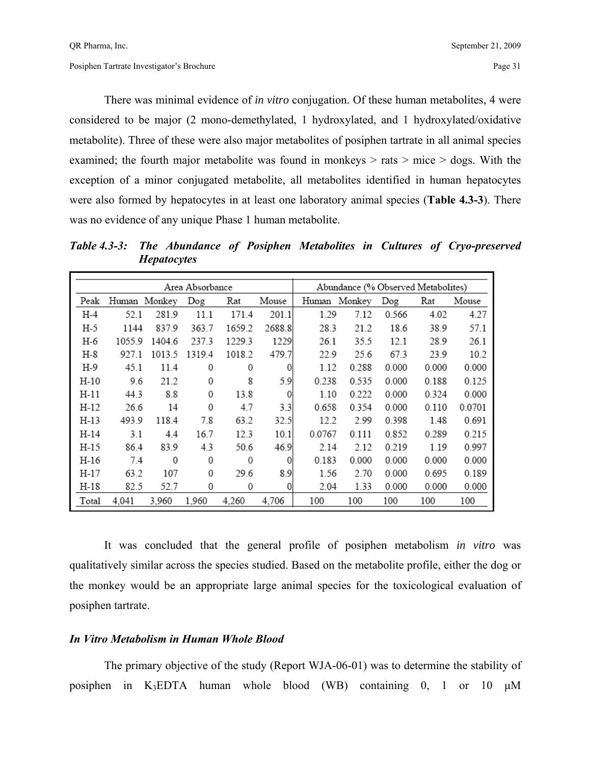There was minimal evidence of *in vitro* conjugation. Of these human metabolites, 4 were considered to be major (2 mono-demethylated, 1 hydroxylated, and 1 hydroxylated/oxidative metabolite). Three of these were also major metabolites of posiphen tartrate in all animal species examined; the fourth major metabolite was found in monkeys  $>$  rats  $>$  mice  $>$  dogs. With the exception of a minor conjugated metabolite, all metabolites identified in human hepatocytes were also formed by hepatocytes in at least one laboratory animal species (**Table 4.3-3**). There was no evidence of any unique Phase 1 human metabolite.

*Table 4.3-3: The Abundance of Posiphen Metabolites in Cultures of Cryo-preserved Hepatocytes* 

|       |              |        | Area Absorbance |        | Abundance (% Observed Metabolites) |        |              |       |       |        |
|-------|--------------|--------|-----------------|--------|------------------------------------|--------|--------------|-------|-------|--------|
| Peak  | Human Monkey |        | Dog             | Rat    | Mouse                              |        | Human Monkey | Dog   | Rat   | Mouse  |
| H-4   | 52.1         | 281.9  | 11.1            | 171.4  | 201.1                              | 1.29   | 7.12         | 0.566 | 4.02  | 4.27   |
| H-5   | 1144         | 837.9  | 363.7           | 1659.2 | 2688.8                             | 28.3   | 21.2         | 18.6  | 38.9  | 57.1   |
| H-6   | 1055.9       | 1404.6 | 237.3           | 1229.3 | 1229                               | 26.1   | 35.5         | 12.1  | 28.9  | 26.1   |
| H-8   | 927.1        | 1013.5 | 1319.4          | 1018.2 | 479.7                              | 22.9   | 25.6         | 67.3  | 23.9  | 10.2   |
| H-9   | 45.1         | 11.4   | 0               | 0      | 0                                  | 1.12   | 0.288        | 0.000 | 0.000 | 0.000  |
| H-10  | 9.6          | 21.2   | 0               | 8      | 5.9                                | 0.238  | 0.535        | 0.000 | 0.188 | 0.125  |
| H-11  | 44.3         | 8.8    | 0               | 13.8   | 0                                  | 1.10   | 0.222        | 0.000 | 0.324 | 0.000  |
| H-12  | 26.6         | 14     | $\mathbf{0}$    | 4.7    | 3.3                                | 0.658  | 0.354        | 0.000 | 0.110 | 0.0701 |
| H-13  | 493.9        | 118.4  | 7.8             | 63.2   | 32.5                               | 12.2   | 2.99         | 0.398 | 1.48  | 0.691  |
| H-14  | 3.1          | 4.4    | 16.7            | 12.3   | 10.1                               | 0.0767 | 0.111        | 0.852 | 0.289 | 0.215  |
| H-15  | 86.4         | 83.9   | 4.3             | 50.6   | 46.9                               | 2.14   | 2.12         | 0.219 | 1.19  | 0.997  |
| H-16  | 7.4          | 0      | 0               | 0      | 0                                  | 0.183  | 0.000        | 0.000 | 0.000 | 0.000  |
| H-17  | 63.2         | 107    | 0               | 29.6   | 8.9                                | 1.56   | 2.70         | 0.000 | 0.695 | 0.189  |
| H-18  | 82.5         | 52.7   | 0               | 0      | 0                                  | 2.04   | 1.33         | 0.000 | 0.000 | 0.000  |
| Total | 4.041        | 3,960  | 1,960           | 4,260  | 4,706                              | 100    | 100          | 100   | 100   | 100    |

 It was concluded that the general profile of posiphen metabolism *in vitro* was qualitatively similar across the species studied. Based on the metabolite profile, either the dog or the monkey would be an appropriate large animal species for the toxicological evaluation of posiphen tartrate.

#### *In Vitro Metabolism in Human Whole Blood*

 The primary objective of the study (Report WJA-06-01) was to determine the stability of posiphen in K3EDTA human whole blood (WB) containing 0, 1 or 10 µM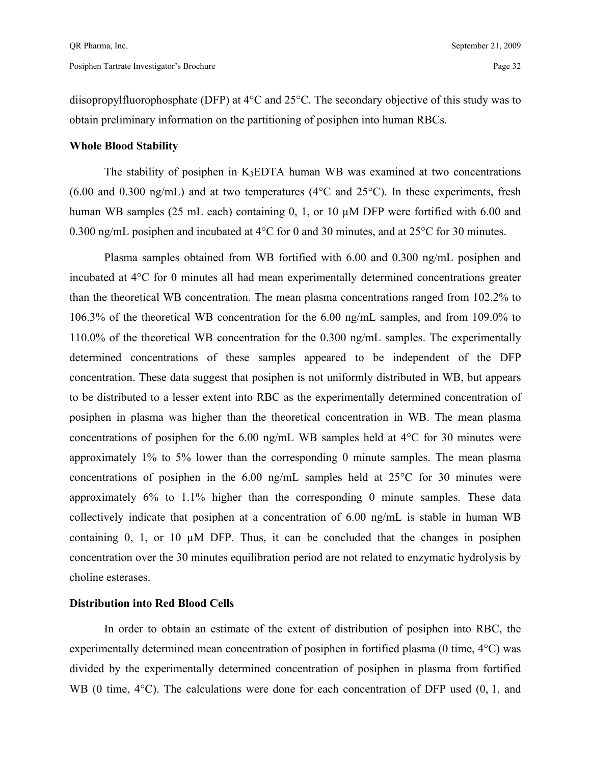diisopropylfluorophosphate (DFP) at 4°C and 25°C. The secondary objective of this study was to obtain preliminary information on the partitioning of posiphen into human RBCs.

#### **Whole Blood Stability**

The stability of posiphen in  $K_3EDTA$  human WB was examined at two concentrations  $(6.00$  and  $(0.300 \text{ ng/mL})$  and at two temperatures  $(4^{\circ}$ C and  $25^{\circ}$ C). In these experiments, fresh human WB samples (25 mL each) containing 0, 1, or 10  $\mu$ M DFP were fortified with 6.00 and 0.300 ng/mL posiphen and incubated at 4°C for 0 and 30 minutes, and at 25°C for 30 minutes.

 Plasma samples obtained from WB fortified with 6.00 and 0.300 ng/mL posiphen and incubated at 4°C for 0 minutes all had mean experimentally determined concentrations greater than the theoretical WB concentration. The mean plasma concentrations ranged from 102.2% to 106.3% of the theoretical WB concentration for the 6.00 ng/mL samples, and from 109.0% to 110.0% of the theoretical WB concentration for the 0.300 ng/mL samples. The experimentally determined concentrations of these samples appeared to be independent of the DFP concentration. These data suggest that posiphen is not uniformly distributed in WB, but appears to be distributed to a lesser extent into RBC as the experimentally determined concentration of posiphen in plasma was higher than the theoretical concentration in WB. The mean plasma concentrations of posiphen for the 6.00 ng/mL WB samples held at 4°C for 30 minutes were approximately 1% to 5% lower than the corresponding 0 minute samples. The mean plasma concentrations of posiphen in the 6.00 ng/mL samples held at 25°C for 30 minutes were approximately 6% to 1.1% higher than the corresponding 0 minute samples. These data collectively indicate that posiphen at a concentration of 6.00 ng/mL is stable in human WB containing  $0$ , 1, or 10  $\mu$ M DFP. Thus, it can be concluded that the changes in posiphen concentration over the 30 minutes equilibration period are not related to enzymatic hydrolysis by choline esterases.

#### **Distribution into Red Blood Cells**

 In order to obtain an estimate of the extent of distribution of posiphen into RBC, the experimentally determined mean concentration of posiphen in fortified plasma (0 time, 4°C) was divided by the experimentally determined concentration of posiphen in plasma from fortified WB (0 time,  $4^{\circ}$ C). The calculations were done for each concentration of DFP used (0, 1, and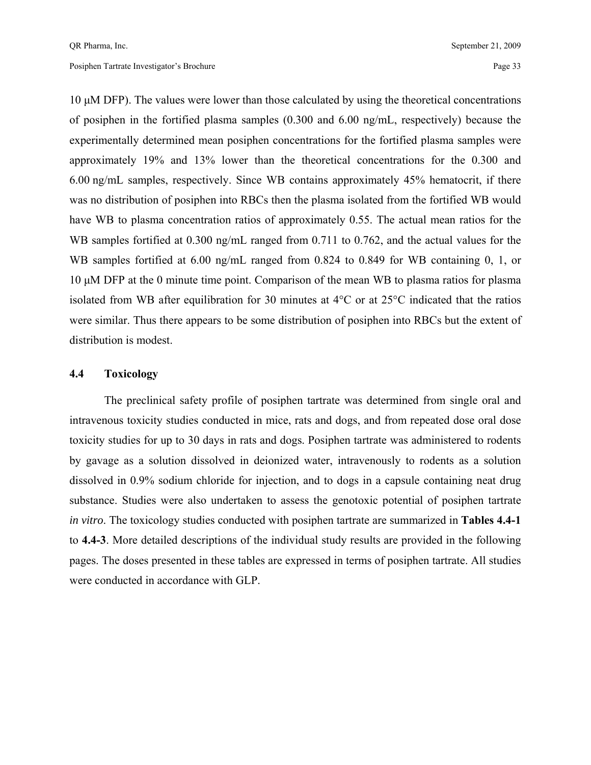10 µM DFP). The values were lower than those calculated by using the theoretical concentrations of posiphen in the fortified plasma samples (0.300 and 6.00 ng/mL, respectively) because the experimentally determined mean posiphen concentrations for the fortified plasma samples were approximately 19% and 13% lower than the theoretical concentrations for the 0.300 and 6.00 ng/mL samples, respectively. Since WB contains approximately 45% hematocrit, if there was no distribution of posiphen into RBCs then the plasma isolated from the fortified WB would have WB to plasma concentration ratios of approximately 0.55. The actual mean ratios for the WB samples fortified at 0.300 ng/mL ranged from 0.711 to 0.762, and the actual values for the WB samples fortified at 6.00 ng/mL ranged from 0.824 to 0.849 for WB containing 0, 1, or 10 µM DFP at the 0 minute time point. Comparison of the mean WB to plasma ratios for plasma isolated from WB after equilibration for 30 minutes at 4°C or at 25°C indicated that the ratios were similar. Thus there appears to be some distribution of posiphen into RBCs but the extent of distribution is modest.

#### **4.4 Toxicology**

 The preclinical safety profile of posiphen tartrate was determined from single oral and intravenous toxicity studies conducted in mice, rats and dogs, and from repeated dose oral dose toxicity studies for up to 30 days in rats and dogs. Posiphen tartrate was administered to rodents by gavage as a solution dissolved in deionized water, intravenously to rodents as a solution dissolved in 0.9% sodium chloride for injection, and to dogs in a capsule containing neat drug substance. Studies were also undertaken to assess the genotoxic potential of posiphen tartrate *in vitro*. The toxicology studies conducted with posiphen tartrate are summarized in **Tables 4.4-1**  to **4.4-3**. More detailed descriptions of the individual study results are provided in the following pages. The doses presented in these tables are expressed in terms of posiphen tartrate. All studies were conducted in accordance with GLP.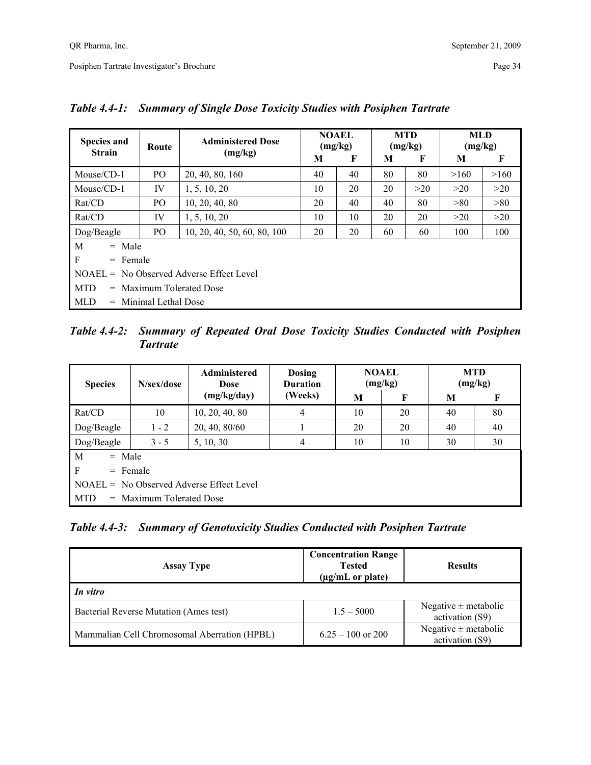| <b>Species and</b><br><b>Strain</b>        | Route               | <b>Administered Dose</b><br>(mg/kg) | <b>NOAEL</b><br>(mg/kg) |    | <b>MTD</b><br>(mg/kg) |     | <b>MLD</b><br>(mg/kg) |      |  |  |
|--------------------------------------------|---------------------|-------------------------------------|-------------------------|----|-----------------------|-----|-----------------------|------|--|--|
|                                            |                     |                                     | М                       | F  | M                     | F   | M                     | F    |  |  |
| $Mouse/CD-1$                               | P <sub>O</sub>      | 20, 40, 80, 160                     | 40                      | 40 | 80                    | 80  | >160                  | >160 |  |  |
| $Mouse/CD-1$                               | IV                  | 1, 5, 10, 20                        | 10                      | 20 | 20                    | >20 | >20                   | >20  |  |  |
| Rat/CD                                     | PO <sub>1</sub>     | 10, 20, 40, 80                      | 20                      | 40 | 40                    | 80  | >80                   | >80  |  |  |
| Rat/CD                                     | IV                  | 1, 5, 10, 20                        | 10                      | 10 | 20                    | 20  | >20                   | >20  |  |  |
| Dog/Beagle                                 | PO.                 | 10, 20, 40, 50, 60, 80, 100         | 20                      | 20 | 60                    | 60  | 100                   | 100  |  |  |
| M<br>$=$ Male                              |                     |                                     |                         |    |                       |     |                       |      |  |  |
| F                                          | $=$ Female          |                                     |                         |    |                       |     |                       |      |  |  |
| $NOAEL = No Observed Adverse Effect Level$ |                     |                                     |                         |    |                       |     |                       |      |  |  |
| <b>MTD</b><br>$=$ Maximum Tolerated Dose   |                     |                                     |                         |    |                       |     |                       |      |  |  |
| <b>MLD</b><br>$=$                          | Minimal Lethal Dose |                                     |                         |    |                       |     |                       |      |  |  |

## *Table 4.4-1: Summary of Single Dose Toxicity Studies with Posiphen Tartrate*

*Table 4.4-2: Summary of Repeated Oral Dose Toxicity Studies Conducted with Posiphen Tartrate*

| <b>Species</b>                             | N/sex/dose                 | Administered<br><b>Dose</b> | <b>Dosing</b><br><b>Duration</b> |    | <b>NOAEL</b><br>(mg/kg) | <b>MTD</b><br>(mg/kg) |    |  |  |  |
|--------------------------------------------|----------------------------|-----------------------------|----------------------------------|----|-------------------------|-----------------------|----|--|--|--|
|                                            |                            | (mg/kg/day)                 | (Weeks)                          | M  | F                       | M                     | F  |  |  |  |
| Rat/CD                                     | 10                         | 10, 20, 40, 80              | 4                                | 10 | 20                      | 40                    | 80 |  |  |  |
| Dog/Beagle                                 | $1 - 2$                    | 20, 40, 80/60               |                                  | 20 | 20                      | 40                    | 40 |  |  |  |
| Dog/Beagle                                 | $3 - 5$                    | 10<br>5, 10, 30<br>10<br>4  |                                  |    |                         |                       | 30 |  |  |  |
| M<br>$=$ Male                              |                            |                             |                                  |    |                         |                       |    |  |  |  |
| $\mathbf{F}$<br>$=$ Female                 |                            |                             |                                  |    |                         |                       |    |  |  |  |
| $NOAEL = No Observed Adverse Effect Level$ |                            |                             |                                  |    |                         |                       |    |  |  |  |
| <b>MTD</b>                                 | $=$ Maximum Tolerated Dose |                             |                                  |    |                         |                       |    |  |  |  |

*Table 4.4-3: Summary of Genotoxicity Studies Conducted with Posiphen Tartrate*

| <b>Assay Type</b>                            | <b>Concentration Range</b><br><b>Tested</b><br>$(\mu g/mL \text{ or plate})$ | <b>Results</b>                              |  |
|----------------------------------------------|------------------------------------------------------------------------------|---------------------------------------------|--|
| In vitro                                     |                                                                              |                                             |  |
| Bacterial Reverse Mutation (Ames test)       | $1.5 - 5000$                                                                 | Negative $\pm$ metabolic<br>activation (S9) |  |
| Mammalian Cell Chromosomal Aberration (HPBL) | $6.25 - 100$ or 200                                                          | Negative $\pm$ metabolic<br>activation (S9) |  |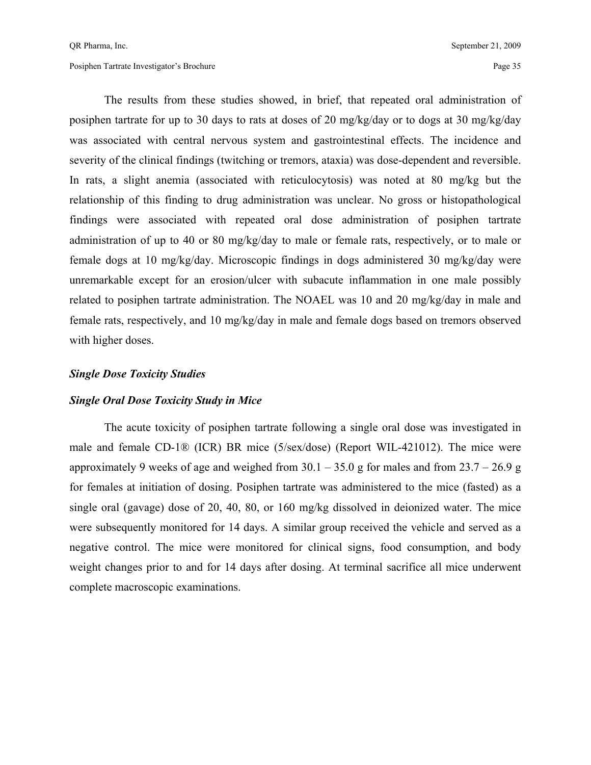The results from these studies showed, in brief, that repeated oral administration of posiphen tartrate for up to 30 days to rats at doses of 20 mg/kg/day or to dogs at 30 mg/kg/day was associated with central nervous system and gastrointestinal effects. The incidence and severity of the clinical findings (twitching or tremors, ataxia) was dose-dependent and reversible. In rats, a slight anemia (associated with reticulocytosis) was noted at 80 mg/kg but the relationship of this finding to drug administration was unclear. No gross or histopathological findings were associated with repeated oral dose administration of posiphen tartrate administration of up to 40 or 80 mg/kg/day to male or female rats, respectively, or to male or female dogs at 10 mg/kg/day. Microscopic findings in dogs administered 30 mg/kg/day were unremarkable except for an erosion/ulcer with subacute inflammation in one male possibly related to posiphen tartrate administration. The NOAEL was 10 and 20 mg/kg/day in male and female rats, respectively, and 10 mg/kg/day in male and female dogs based on tremors observed with higher doses.

#### *Single Dose Toxicity Studies*

#### *Single Oral Dose Toxicity Study in Mice*

 The acute toxicity of posiphen tartrate following a single oral dose was investigated in male and female CD-1® (ICR) BR mice (5/sex/dose) (Report WIL-421012). The mice were approximately 9 weeks of age and weighed from  $30.1 - 35.0$  g for males and from  $23.7 - 26.9$  g for females at initiation of dosing. Posiphen tartrate was administered to the mice (fasted) as a single oral (gavage) dose of 20, 40, 80, or 160 mg/kg dissolved in deionized water. The mice were subsequently monitored for 14 days. A similar group received the vehicle and served as a negative control. The mice were monitored for clinical signs, food consumption, and body weight changes prior to and for 14 days after dosing. At terminal sacrifice all mice underwent complete macroscopic examinations.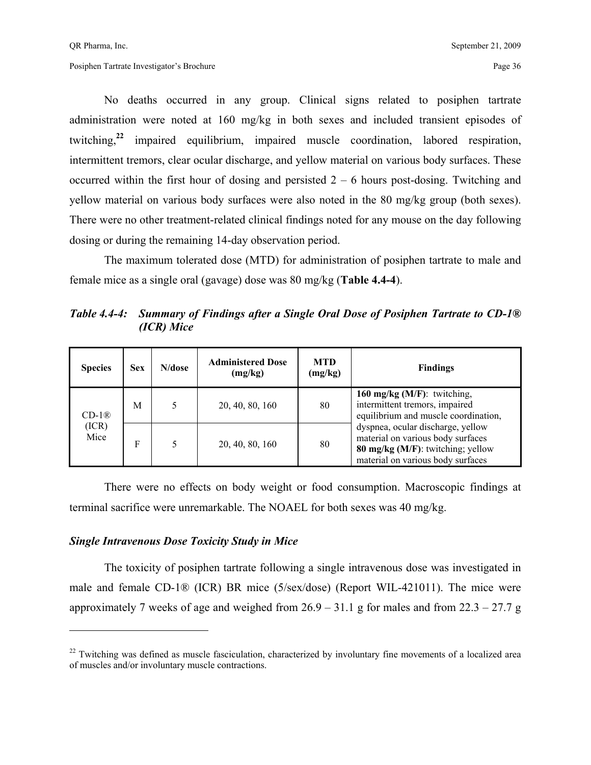No deaths occurred in any group. Clinical signs related to posiphen tartrate administration were noted at 160 mg/kg in both sexes and included transient episodes of twitching,**<sup>22</sup>** impaired equilibrium, impaired muscle coordination, labored respiration, intermittent tremors, clear ocular discharge, and yellow material on various body surfaces. These occurred within the first hour of dosing and persisted  $2 - 6$  hours post-dosing. Twitching and yellow material on various body surfaces were also noted in the 80 mg/kg group (both sexes). There were no other treatment-related clinical findings noted for any mouse on the day following dosing or during the remaining 14-day observation period.

The maximum tolerated dose (MTD) for administration of posiphen tartrate to male and female mice as a single oral (gavage) dose was 80 mg/kg (**Table 4.4-4**).

*Table 4.4-4: Summary of Findings after a Single Oral Dose of Posiphen Tartrate to CD-1® (ICR) Mice* 

| <b>Species</b> | <b>Sex</b> | N/dose | <b>Administered Dose</b><br>(mg/kg) | <b>MTD</b><br>(mg/kg) | <b>Findings</b>                                                                                                                                  |  |  |
|----------------|------------|--------|-------------------------------------|-----------------------|--------------------------------------------------------------------------------------------------------------------------------------------------|--|--|
| $CD-1®$        | M          |        | 20, 40, 80, 160                     | 80                    | 160 mg/kg ( $M/F$ ): twitching,<br>intermittent tremors, impaired<br>equilibrium and muscle coordination,                                        |  |  |
| (ICR)<br>Mice  | F          |        | 20, 40, 80, 160                     | 80                    | dyspnea, ocular discharge, yellow<br>material on various body surfaces<br>80 mg/kg (M/F): twitching; yellow<br>material on various body surfaces |  |  |

There were no effects on body weight or food consumption. Macroscopic findings at terminal sacrifice were unremarkable. The NOAEL for both sexes was 40 mg/kg.

#### *Single Intravenous Dose Toxicity Study in Mice*

 $\overline{a}$ 

The toxicity of posiphen tartrate following a single intravenous dose was investigated in male and female CD-1® (ICR) BR mice (5/sex/dose) (Report WIL-421011). The mice were approximately 7 weeks of age and weighed from  $26.9 - 31.1$  g for males and from  $22.3 - 27.7$  g

 $22$  Twitching was defined as muscle fasciculation, characterized by involuntary fine movements of a localized area of muscles and/or involuntary muscle contractions.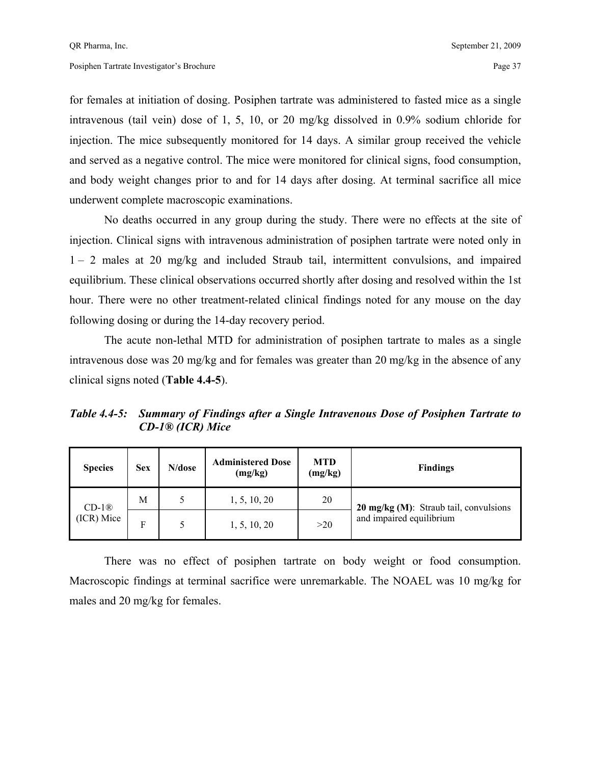for females at initiation of dosing. Posiphen tartrate was administered to fasted mice as a single intravenous (tail vein) dose of 1, 5, 10, or 20 mg/kg dissolved in 0.9% sodium chloride for injection. The mice subsequently monitored for 14 days. A similar group received the vehicle and served as a negative control. The mice were monitored for clinical signs, food consumption, and body weight changes prior to and for 14 days after dosing. At terminal sacrifice all mice underwent complete macroscopic examinations.

No deaths occurred in any group during the study. There were no effects at the site of injection. Clinical signs with intravenous administration of posiphen tartrate were noted only in 1 – 2 males at 20 mg/kg and included Straub tail, intermittent convulsions, and impaired equilibrium. These clinical observations occurred shortly after dosing and resolved within the 1st hour. There were no other treatment-related clinical findings noted for any mouse on the day following dosing or during the 14-day recovery period.

The acute non-lethal MTD for administration of posiphen tartrate to males as a single intravenous dose was 20 mg/kg and for females was greater than 20 mg/kg in the absence of any clinical signs noted (**Table 4.4-5**).

*Table 4.4-5: Summary of Findings after a Single Intravenous Dose of Posiphen Tartrate to CD-1® (ICR) Mice* 

| <b>Species</b> | <b>Sex</b> | N/dose | <b>Administered Dose</b><br>(mg/kg) | <b>MTD</b><br>(mg/kg) | <b>Findings</b>                                  |
|----------------|------------|--------|-------------------------------------|-----------------------|--------------------------------------------------|
| $CD-1®$        | М          |        | 1, 5, 10, 20                        | 20                    | $20 \text{ mg/kg}$ (M): Straub tail, convulsions |
| (ICR) Mice     | F          |        | 1, 5, 10, 20                        | >20                   | and impaired equilibrium                         |

There was no effect of posiphen tartrate on body weight or food consumption. Macroscopic findings at terminal sacrifice were unremarkable. The NOAEL was 10 mg/kg for males and 20 mg/kg for females.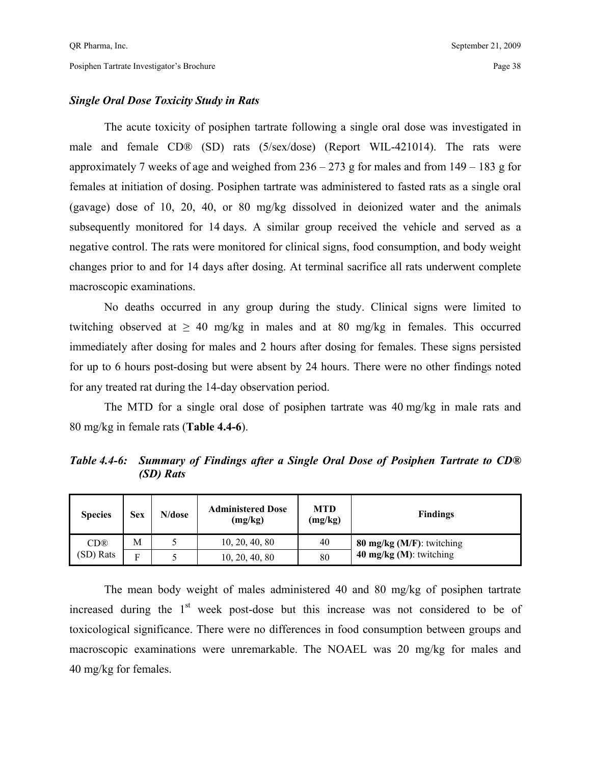## *Single Oral Dose Toxicity Study in Rats*

The acute toxicity of posiphen tartrate following a single oral dose was investigated in male and female CD® (SD) rats (5/sex/dose) (Report WIL-421014). The rats were approximately 7 weeks of age and weighed from  $236 - 273$  g for males and from  $149 - 183$  g for females at initiation of dosing. Posiphen tartrate was administered to fasted rats as a single oral (gavage) dose of 10, 20, 40, or 80 mg/kg dissolved in deionized water and the animals subsequently monitored for 14 days. A similar group received the vehicle and served as a negative control. The rats were monitored for clinical signs, food consumption, and body weight changes prior to and for 14 days after dosing. At terminal sacrifice all rats underwent complete macroscopic examinations.

 No deaths occurred in any group during the study. Clinical signs were limited to twitching observed at  $\geq 40$  mg/kg in males and at 80 mg/kg in females. This occurred immediately after dosing for males and 2 hours after dosing for females. These signs persisted for up to 6 hours post-dosing but were absent by 24 hours. There were no other findings noted for any treated rat during the 14-day observation period.

The MTD for a single oral dose of posiphen tartrate was 40 mg/kg in male rats and 80 mg/kg in female rats (**Table 4.4-6**).

*(SD) Rats* 

*Table 4.4-6: Summary of Findings after a Single Oral Dose of Posiphen Tartrate to CD®* 

| <b>Species</b>  | <b>Sex</b> | N/dose | <b>Administered Dose</b><br>(mg/kg) | <b>MTD</b><br>(mg/kg) | <b>Findings</b>              |
|-----------------|------------|--------|-------------------------------------|-----------------------|------------------------------|
| CD <sup>®</sup> | M          |        | 10, 20, 40, 80                      | 40                    | 80 mg/kg $(M/F)$ : twitching |
| (SD) Rats       | Е          |        | 10, 20, 40, 80                      | 80                    | 40 $mg/kg$ (M): twitching    |

The mean body weight of males administered 40 and 80 mg/kg of posiphen tartrate increased during the  $1<sup>st</sup>$  week post-dose but this increase was not considered to be of toxicological significance. There were no differences in food consumption between groups and macroscopic examinations were unremarkable. The NOAEL was 20 mg/kg for males and 40 mg/kg for females.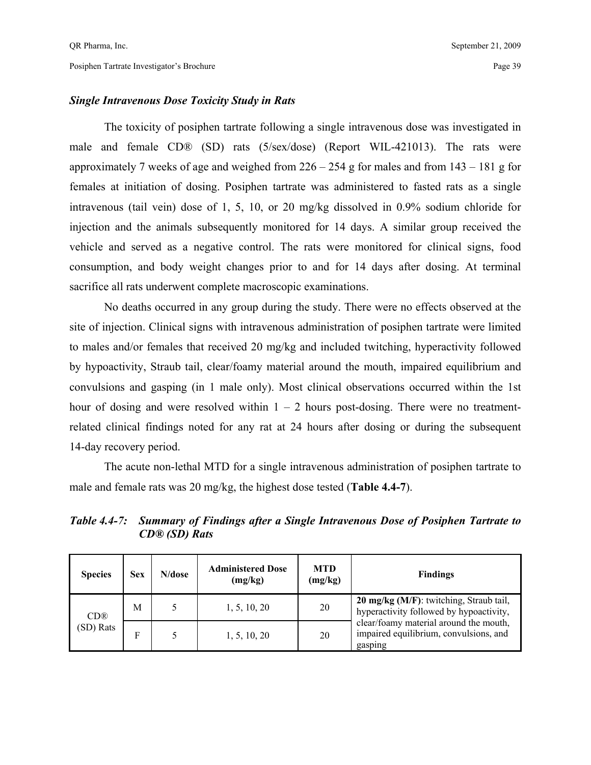## *Single Intravenous Dose Toxicity Study in Rats*

The toxicity of posiphen tartrate following a single intravenous dose was investigated in male and female CD® (SD) rats (5/sex/dose) (Report WIL-421013). The rats were approximately 7 weeks of age and weighed from  $226 - 254$  g for males and from  $143 - 181$  g for females at initiation of dosing. Posiphen tartrate was administered to fasted rats as a single intravenous (tail vein) dose of 1, 5, 10, or 20 mg/kg dissolved in 0.9% sodium chloride for injection and the animals subsequently monitored for 14 days. A similar group received the vehicle and served as a negative control. The rats were monitored for clinical signs, food consumption, and body weight changes prior to and for 14 days after dosing. At terminal sacrifice all rats underwent complete macroscopic examinations.

No deaths occurred in any group during the study. There were no effects observed at the site of injection. Clinical signs with intravenous administration of posiphen tartrate were limited to males and/or females that received 20 mg/kg and included twitching, hyperactivity followed by hypoactivity, Straub tail, clear/foamy material around the mouth, impaired equilibrium and convulsions and gasping (in 1 male only). Most clinical observations occurred within the 1st hour of dosing and were resolved within  $1 - 2$  hours post-dosing. There were no treatmentrelated clinical findings noted for any rat at 24 hours after dosing or during the subsequent 14-day recovery period.

The acute non-lethal MTD for a single intravenous administration of posiphen tartrate to male and female rats was 20 mg/kg, the highest dose tested (**Table 4.4-7**).

*CD® (SD) Rats* 

*Table 4.4-7: Summary of Findings after a Single Intravenous Dose of Posiphen Tartrate to* 

| <b>Species</b>  | <b>Sex</b> | N/dose | <b>Administered Dose</b><br>(mg/kg) | <b>MTD</b><br>(mg/kg) | <b>Findings</b>                                                                             |
|-----------------|------------|--------|-------------------------------------|-----------------------|---------------------------------------------------------------------------------------------|
| CD <sup>®</sup> | М          |        | 1, 5, 10, 20                        | 20                    | <b>20 mg/kg (M/F)</b> : twitching, Straub tail,<br>hyperactivity followed by hypoactivity,  |
| (SD) Rats       | Е          |        | 1, 5, 10, 20                        | 20                    | clear/foamy material around the mouth,<br>impaired equilibrium, convulsions, and<br>gasping |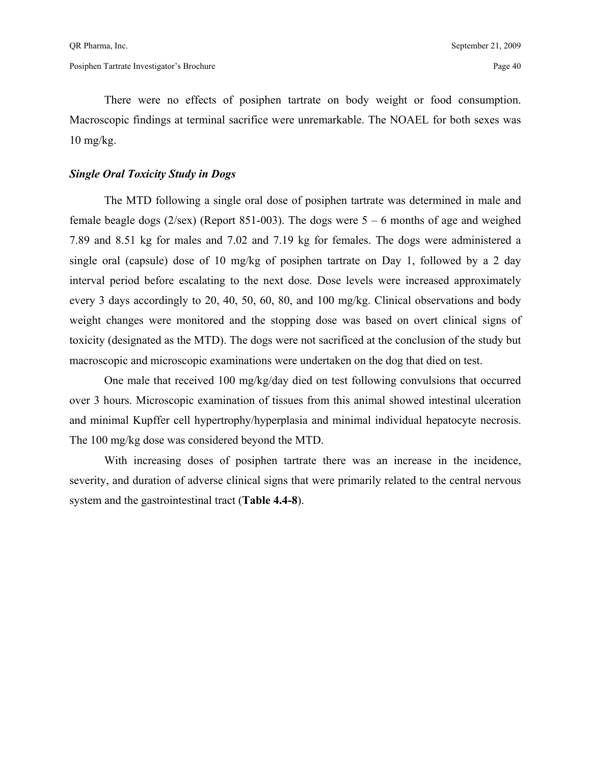There were no effects of posiphen tartrate on body weight or food consumption. Macroscopic findings at terminal sacrifice were unremarkable. The NOAEL for both sexes was  $10 \text{ mg/kg}$ .

## *Single Oral Toxicity Study in Dogs*

The MTD following a single oral dose of posiphen tartrate was determined in male and female beagle dogs ( $2$ /sex) (Report 851-003). The dogs were  $5 - 6$  months of age and weighed 7.89 and 8.51 kg for males and 7.02 and 7.19 kg for females. The dogs were administered a single oral (capsule) dose of 10 mg/kg of posiphen tartrate on Day 1, followed by a 2 day interval period before escalating to the next dose. Dose levels were increased approximately every 3 days accordingly to 20, 40, 50, 60, 80, and 100 mg/kg. Clinical observations and body weight changes were monitored and the stopping dose was based on overt clinical signs of toxicity (designated as the MTD). The dogs were not sacrificed at the conclusion of the study but macroscopic and microscopic examinations were undertaken on the dog that died on test.

 One male that received 100 mg/kg/day died on test following convulsions that occurred over 3 hours. Microscopic examination of tissues from this animal showed intestinal ulceration and minimal Kupffer cell hypertrophy/hyperplasia and minimal individual hepatocyte necrosis. The 100 mg/kg dose was considered beyond the MTD.

 With increasing doses of posiphen tartrate there was an increase in the incidence, severity, and duration of adverse clinical signs that were primarily related to the central nervous system and the gastrointestinal tract (**Table 4.4-8**).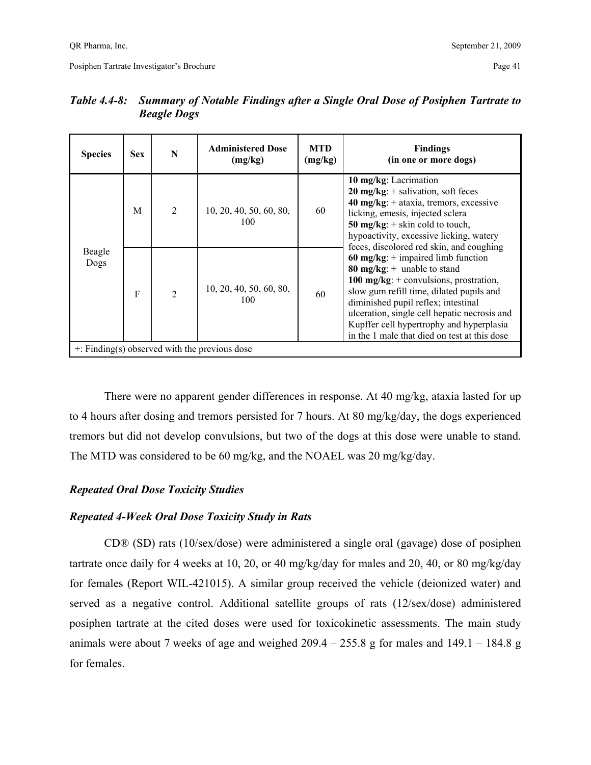| <b>Species</b> | <b>Sex</b>   | N              | <b>Administered Dose</b><br>(mg/kg)                | <b>MTD</b><br>(mg/kg) | <b>Findings</b><br>(in one or more dogs)                                                                                                                                                                                                                                                                                                         |
|----------------|--------------|----------------|----------------------------------------------------|-----------------------|--------------------------------------------------------------------------------------------------------------------------------------------------------------------------------------------------------------------------------------------------------------------------------------------------------------------------------------------------|
|                | M            | $\overline{2}$ | 10, 20, 40, 50, 60, 80,<br>100                     | 60                    | 10 mg/kg: Lacrimation<br><b>20 mg/kg</b> : $+$ salivation, soft feces<br>40 mg/kg: $+$ ataxia, tremors, excessive<br>licking, emesis, injected sclera<br>50 mg/kg: $+$ skin cold to touch,<br>hypoactivity, excessive licking, watery<br>feces, discolored red skin, and coughing                                                                |
| Beagle<br>Dogs | $\mathbf{F}$ | $\mathfrak{D}$ | 10, 20, 40, 50, 60, 80,<br>100                     | 60                    | 60 mg/kg: $+$ impaired limb function<br>80 mg/kg: $+$ unable to stand<br>100 mg/kg: $+$ convulsions, prostration,<br>slow gum refill time, dilated pupils and<br>diminished pupil reflex; intestinal<br>ulceration, single cell hepatic necrosis and<br>Kupffer cell hypertrophy and hyperplasia<br>in the 1 male that died on test at this dose |
|                |              |                | $\pm$ : Finding(s) observed with the previous dose |                       |                                                                                                                                                                                                                                                                                                                                                  |

## *Table 4.4-8: Summary of Notable Findings after a Single Oral Dose of Posiphen Tartrate to Beagle Dogs*

 There were no apparent gender differences in response. At 40 mg/kg, ataxia lasted for up to 4 hours after dosing and tremors persisted for 7 hours. At 80 mg/kg/day, the dogs experienced tremors but did not develop convulsions, but two of the dogs at this dose were unable to stand. The MTD was considered to be 60 mg/kg, and the NOAEL was 20 mg/kg/day.

## *Repeated Oral Dose Toxicity Studies*

## *Repeated 4-Week Oral Dose Toxicity Study in Rats*

 CD® (SD) rats (10/sex/dose) were administered a single oral (gavage) dose of posiphen tartrate once daily for 4 weeks at 10, 20, or 40 mg/kg/day for males and 20, 40, or 80 mg/kg/day for females (Report WIL-421015). A similar group received the vehicle (deionized water) and served as a negative control. Additional satellite groups of rats (12/sex/dose) administered posiphen tartrate at the cited doses were used for toxicokinetic assessments. The main study animals were about 7 weeks of age and weighed  $209.4 - 255.8$  g for males and  $149.1 - 184.8$  g for females.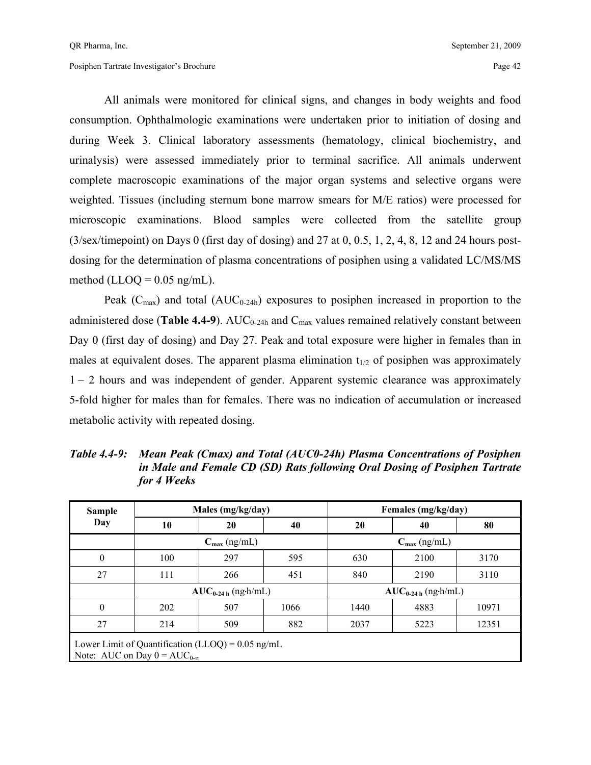All animals were monitored for clinical signs, and changes in body weights and food consumption. Ophthalmologic examinations were undertaken prior to initiation of dosing and during Week 3. Clinical laboratory assessments (hematology, clinical biochemistry, and urinalysis) were assessed immediately prior to terminal sacrifice. All animals underwent complete macroscopic examinations of the major organ systems and selective organs were weighted. Tissues (including sternum bone marrow smears for M/E ratios) were processed for microscopic examinations. Blood samples were collected from the satellite group (3/sex/timepoint) on Days 0 (first day of dosing) and 27 at 0, 0.5, 1, 2, 4, 8, 12 and 24 hours postdosing for the determination of plasma concentrations of posiphen using a validated LC/MS/MS method (LLOQ =  $0.05$  ng/mL).

Peak ( $C_{\text{max}}$ ) and total ( $AUC_{0.24h}$ ) exposures to posiphen increased in proportion to the administered dose (**Table 4.4-9**). AUC<sub>0-24h</sub> and  $C_{\text{max}}$  values remained relatively constant between Day 0 (first day of dosing) and Day 27. Peak and total exposure were higher in females than in males at equivalent doses. The apparent plasma elimination  $t_{1/2}$  of posiphen was approximately 1 – 2 hours and was independent of gender. Apparent systemic clearance was approximately 5-fold higher for males than for females. There was no indication of accumulation or increased metabolic activity with repeated dosing.

| <b>Sample</b> |                                                                                              | Males (mg/kg/day)        |      | Females (mg/kg/day)      |      |       |  |  |
|---------------|----------------------------------------------------------------------------------------------|--------------------------|------|--------------------------|------|-------|--|--|
| Day           | 10                                                                                           | 20                       |      | 20                       | 40   | 80    |  |  |
|               |                                                                                              | $C_{\text{max}}$ (ng/mL) |      | $C_{\text{max}}$ (ng/mL) |      |       |  |  |
| $\mathbf{0}$  | 100                                                                                          | 297                      | 595  | 630                      | 2100 | 3170  |  |  |
| 27            | 111                                                                                          | 266                      | 451  | 840                      | 2190 | 3110  |  |  |
|               |                                                                                              | $AUC_{0-24 h}$ (ng-h/mL) |      | $AUC_{0-24 h}$ (ng-h/mL) |      |       |  |  |
| $\theta$      | 202                                                                                          | 507                      | 1066 | 1440                     | 4883 | 10971 |  |  |
| 27            | 214                                                                                          | 509                      | 882  | 2037                     | 5223 | 12351 |  |  |
|               | Lower Limit of Quantification (LLOQ) = $0.05$ ng/mL<br>Note: AUC on Day $0 = AUC_{0-\infty}$ |                          |      |                          |      |       |  |  |

*Table 4.4-9: Mean Peak (Cmax) and Total (AUC0-24h) Plasma Concentrations of Posiphen in Male and Female CD (SD) Rats following Oral Dosing of Posiphen Tartrate for 4 Weeks*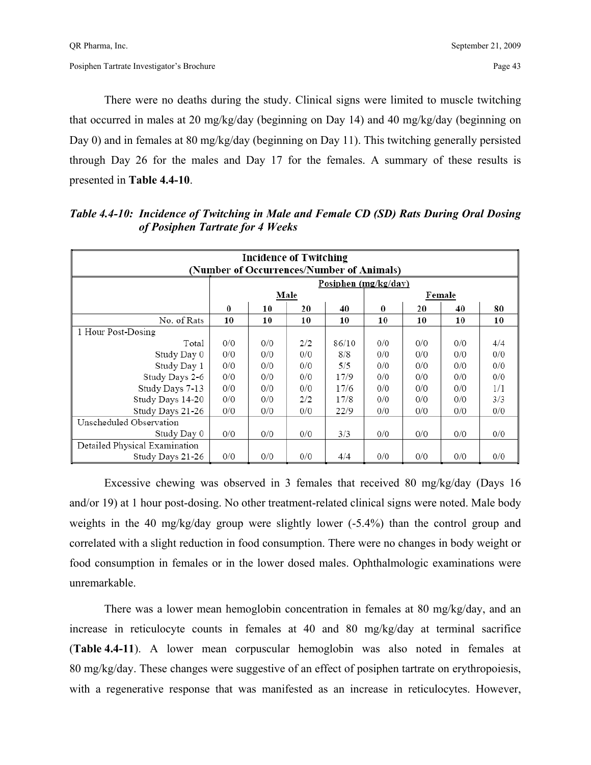There were no deaths during the study. Clinical signs were limited to muscle twitching that occurred in males at 20 mg/kg/day (beginning on Day 14) and 40 mg/kg/day (beginning on Day 0) and in females at 80 mg/kg/day (beginning on Day 11). This twitching generally persisted through Day 26 for the males and Day 17 for the females. A summary of these results is presented in **Table 4.4-10**.

| <b>Incidence of Twitching</b><br>(Number of Occurrences/Number of Animals) |          |     |      |                      |          |     |        |     |  |  |
|----------------------------------------------------------------------------|----------|-----|------|----------------------|----------|-----|--------|-----|--|--|
|                                                                            |          |     |      | Posiphen (mg/kg/day) |          |     |        |     |  |  |
|                                                                            |          |     | Male |                      |          |     | Female |     |  |  |
|                                                                            | $\bf{0}$ | 10  | 20   | 40                   | $\bf{0}$ | 20  | 40     | 80  |  |  |
| No. of Rats                                                                | 10       | 10  | 10   | 10                   | 10       | 10  | 10     | 10  |  |  |
| 1 Hour Post-Dosing                                                         |          |     |      |                      |          |     |        |     |  |  |
| Total                                                                      | 0/0      | 0/0 | 2/2  | 86/10                | 0/0      | 0/0 | 0/0    | 4/4 |  |  |
| Study Day 0                                                                | 0/0      | 0/0 | 0/0  | 8/8                  | 0/0      | 0/0 | 0/0    | 0/0 |  |  |
| Study Day 1                                                                | 0/0      | 0/0 | 0/0  | 5/5                  | 0/0      | 0/0 | 0/0    | 0/0 |  |  |
| Study Days 2-6                                                             | 0/0      | 0/0 | 0/0  | 17/9                 | 0/0      | 0/0 | 0/0    | 0/0 |  |  |
| Study Days 7-13                                                            | 0/0      | 0/0 | 0/0  | 17/6                 | 0/0      | 0/0 | 0/0    | 1/1 |  |  |
| Study Days 14-20                                                           | 0/0      | 0/0 | 2/2  | 17/8                 | 0/0      | 0/0 | 0/0    | 3/3 |  |  |
| Study Days 21-26                                                           | 0/0      | 0/0 | 0/0  | 22/9                 | 0/0      | 0/0 | 0/0    | 0/0 |  |  |
| Unscheduled Observation                                                    |          |     |      |                      |          |     |        |     |  |  |
| Study Day 0                                                                | 0/0      | 0/0 | 0/0  | 3/3                  | 0/0      | 0/0 | 0/0    | 0/0 |  |  |
| Detailed Physical Examination                                              |          |     |      |                      |          |     |        |     |  |  |
| Study Days 21-26                                                           | 0/0      | 0/0 | 0/0  | 4/4                  | 0/0      | 0/0 | 0/0    | 0/0 |  |  |

*Table 4.4-10: Incidence of Twitching in Male and Female CD (SD) Rats During Oral Dosing of Posiphen Tartrate for 4 Weeks* 

 Excessive chewing was observed in 3 females that received 80 mg/kg/day (Days 16 and/or 19) at 1 hour post-dosing. No other treatment-related clinical signs were noted. Male body weights in the 40 mg/kg/day group were slightly lower (-5.4%) than the control group and correlated with a slight reduction in food consumption. There were no changes in body weight or food consumption in females or in the lower dosed males. Ophthalmologic examinations were unremarkable.

 There was a lower mean hemoglobin concentration in females at 80 mg/kg/day, and an increase in reticulocyte counts in females at 40 and 80 mg/kg/day at terminal sacrifice (**Table 4.4-11**). A lower mean corpuscular hemoglobin was also noted in females at 80 mg/kg/day. These changes were suggestive of an effect of posiphen tartrate on erythropoiesis, with a regenerative response that was manifested as an increase in reticulocytes. However,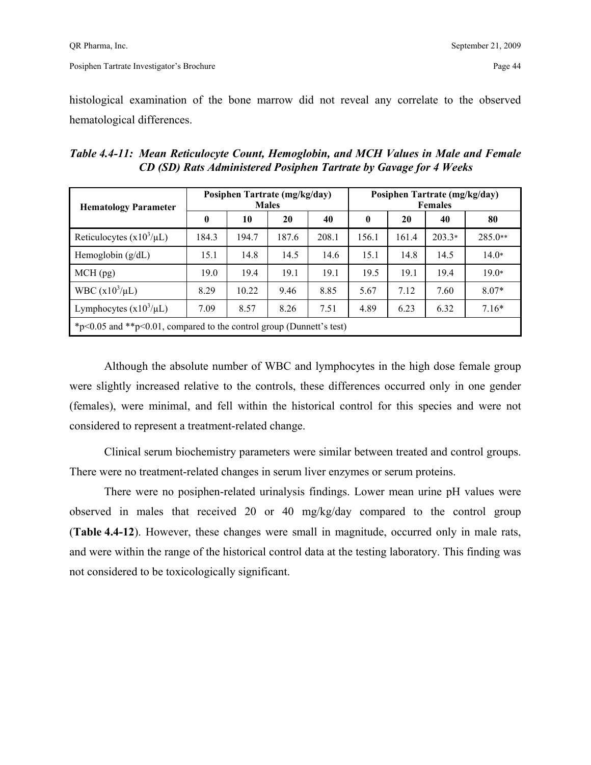histological examination of the bone marrow did not reveal any correlate to the observed hematological differences.

| Table 4.4-11: Mean Reticulocyte Count, Hemoglobin, and MCH Values in Male and Female |
|--------------------------------------------------------------------------------------|
| CD (SD) Rats Administered Posiphen Tartrate by Gavage for 4 Weeks                    |

| <b>Hematology Parameter</b>                                                 |              | Posiphen Tartrate (mg/kg/day) | <b>Males</b> |       | Posiphen Tartrate (mg/kg/day)<br><b>Females</b> |       |          |           |
|-----------------------------------------------------------------------------|--------------|-------------------------------|--------------|-------|-------------------------------------------------|-------|----------|-----------|
|                                                                             | $\mathbf{0}$ | 10                            | 20           | 40    | 0                                               | 20    | 40       | 80        |
| Reticulocytes $(x10^3/\mu L)$                                               | 184.3        | 194.7                         | 187.6        | 208.1 | 156.1                                           | 161.4 | $203.3*$ | $285.0**$ |
| Hemoglobin $(g/dL)$                                                         | 15.1         | 14.8                          | 14.5         | 14.6  | 15.1                                            | 14.8  | 14.5     | $14.0*$   |
| $MCH$ (pg)                                                                  | 19.0         | 19.4                          | 19.1         | 19.1  | 19.5                                            | 19.1  | 19.4     | $19.0*$   |
| WBC $(x10^3/\mu L)$                                                         | 8.29         | 10.22                         | 9.46         | 8.85  | 5.67                                            | 7.12  | 7.60     | $8.07*$   |
| Lymphocytes $(x10^3/\mu L)$                                                 | 7.09         | 8.57                          | 8.26         | 7.51  | 4.89                                            | 6.23  | 6.32     | $7.16*$   |
| * $p<0.05$ and ** $p<0.01$ , compared to the control group (Dunnett's test) |              |                               |              |       |                                                 |       |          |           |

 Although the absolute number of WBC and lymphocytes in the high dose female group were slightly increased relative to the controls, these differences occurred only in one gender (females), were minimal, and fell within the historical control for this species and were not considered to represent a treatment-related change.

 Clinical serum biochemistry parameters were similar between treated and control groups. There were no treatment-related changes in serum liver enzymes or serum proteins.

 There were no posiphen-related urinalysis findings. Lower mean urine pH values were observed in males that received 20 or 40 mg/kg/day compared to the control group (**Table 4.4-12**). However, these changes were small in magnitude, occurred only in male rats, and were within the range of the historical control data at the testing laboratory. This finding was not considered to be toxicologically significant.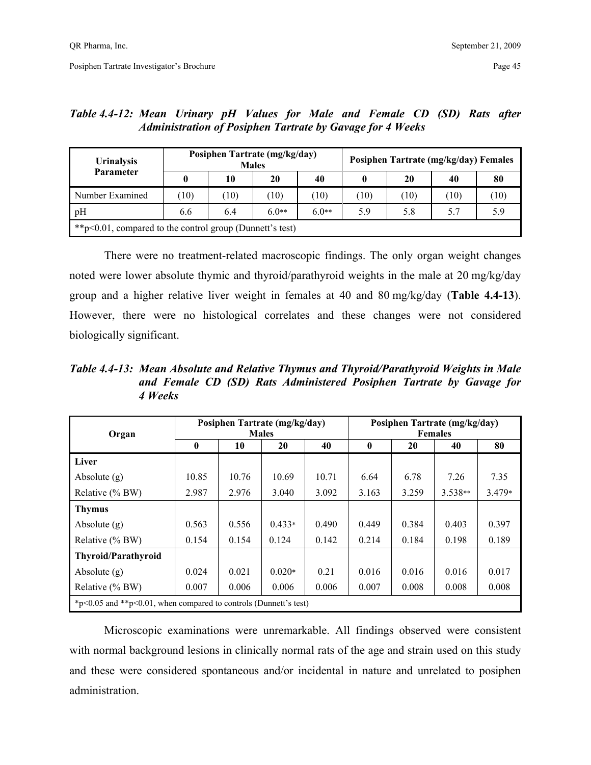| <b>Urinalysis</b><br>Parameter                               |     |      | Posiphen Tartrate (mg/kg/day)<br><b>Males</b> |         | Posiphen Tartrate (mg/kg/day) Females |      |      |      |  |
|--------------------------------------------------------------|-----|------|-----------------------------------------------|---------|---------------------------------------|------|------|------|--|
|                                                              | 0   | 10   | 20                                            | 40      |                                       | 20   | 40   | 80   |  |
| Number Examined                                              | 10) | (10) | (10)                                          | 10)     | (10)                                  | (10) | (10) | (10) |  |
| pH                                                           | 6.6 | 6.4  | $6.0**$                                       | $6.0**$ | 5.9                                   | 5.8  | 5.7  | 5.9  |  |
| ** $p<0.01$ , compared to the control group (Dunnett's test) |     |      |                                               |         |                                       |      |      |      |  |

*Table 4.4-12: Mean Urinary pH Values for Male and Female CD (SD) Rats after Administration of Posiphen Tartrate by Gavage for 4 Weeks* 

 There were no treatment-related macroscopic findings. The only organ weight changes noted were lower absolute thymic and thyroid/parathyroid weights in the male at 20 mg/kg/day group and a higher relative liver weight in females at 40 and 80 mg/kg/day (**Table 4.4-13**). However, there were no histological correlates and these changes were not considered biologically significant.

*Table 4.4-13: Mean Absolute and Relative Thymus and Thyroid/Parathyroid Weights in Male and Female CD (SD) Rats Administered Posiphen Tartrate by Gavage for 4 Weeks* 

| Organ                                                            |              |       | Posiphen Tartrate (mg/kg/day)<br><b>Males</b> |       | Posiphen Tartrate (mg/kg/day)<br><b>Females</b> |       |           |          |
|------------------------------------------------------------------|--------------|-------|-----------------------------------------------|-------|-------------------------------------------------|-------|-----------|----------|
|                                                                  | $\mathbf{0}$ | 10    | 20                                            | 40    | $\bf{0}$                                        | 20    | 40        | 80       |
| Liver                                                            |              |       |                                               |       |                                                 |       |           |          |
| Absolute $(g)$                                                   | 10.85        | 10.76 | 10.69                                         | 10.71 | 6.64                                            | 6.78  | 7.26      | 7.35     |
| Relative (% BW)                                                  | 2.987        | 2.976 | 3.040                                         | 3.092 | 3.163                                           | 3.259 | $3.538**$ | $3.479*$ |
| <b>Thymus</b>                                                    |              |       |                                               |       |                                                 |       |           |          |
| Absolute $(g)$                                                   | 0.563        | 0.556 | $0.433*$                                      | 0.490 | 0.449                                           | 0.384 | 0.403     | 0.397    |
| Relative (% BW)                                                  | 0.154        | 0.154 | 0.124                                         | 0.142 | 0.214                                           | 0.184 | 0.198     | 0.189    |
| <b>Thyroid/Parathyroid</b>                                       |              |       |                                               |       |                                                 |       |           |          |
| Absolute $(g)$                                                   | 0.024        | 0.021 | $0.020*$                                      | 0.21  | 0.016                                           | 0.016 | 0.016     | 0.017    |
| Relative (% BW)                                                  | 0.007        | 0.006 | 0.006                                         | 0.006 | 0.007                                           | 0.008 | 0.008     | 0.008    |
| *p<0.05 and **p<0.01, when compared to controls (Dunnett's test) |              |       |                                               |       |                                                 |       |           |          |

 Microscopic examinations were unremarkable. All findings observed were consistent with normal background lesions in clinically normal rats of the age and strain used on this study and these were considered spontaneous and/or incidental in nature and unrelated to posiphen administration.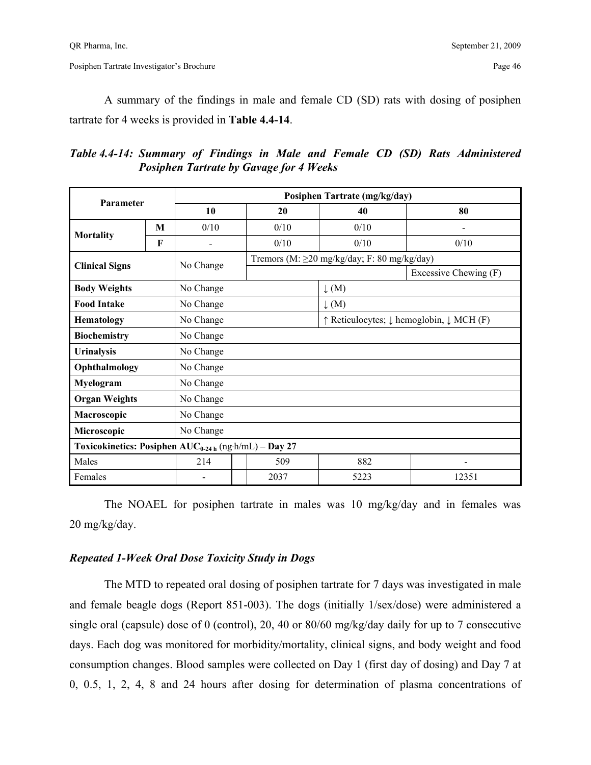A summary of the findings in male and female CD (SD) rats with dosing of posiphen tartrate for 4 weeks is provided in **Table 4.4-14**.

*Table 4.4-14: Summary of Findings in Male and Female CD (SD) Rats Administered Posiphen Tartrate by Gavage for 4 Weeks* 

| Parameter                                                        |   |                |              | Posiphen Tartrate (mg/kg/day)                                           |                          |  |  |
|------------------------------------------------------------------|---|----------------|--------------|-------------------------------------------------------------------------|--------------------------|--|--|
|                                                                  |   | 10             | 20           | 40                                                                      | 80                       |  |  |
|                                                                  | M | 0/10           | 0/10<br>0/10 |                                                                         | $\overline{\phantom{0}}$ |  |  |
| Mortality                                                        | F | $\overline{a}$ | 0/10         | 0/10                                                                    | 0/10                     |  |  |
|                                                                  |   | No Change      |              | Tremors (M: $\geq$ 20 mg/kg/day; F: 80 mg/kg/day)                       |                          |  |  |
| <b>Clinical Signs</b>                                            |   |                |              |                                                                         | Excessive Chewing (F)    |  |  |
| <b>Body Weights</b>                                              |   | No Change      |              | $\downarrow$ (M)                                                        |                          |  |  |
| <b>Food Intake</b>                                               |   | No Change      |              | $\downarrow$ (M)                                                        |                          |  |  |
| Hematology                                                       |   | No Change      |              | $\uparrow$ Reticulocytes; $\downarrow$ hemoglobin, $\downarrow$ MCH (F) |                          |  |  |
| <b>Biochemistry</b>                                              |   | No Change      |              |                                                                         |                          |  |  |
| <b>Urinalysis</b>                                                |   | No Change      |              |                                                                         |                          |  |  |
| Ophthalmology                                                    |   | No Change      |              |                                                                         |                          |  |  |
| Myelogram                                                        |   | No Change      |              |                                                                         |                          |  |  |
| <b>Organ Weights</b>                                             |   | No Change      |              |                                                                         |                          |  |  |
| Macroscopic                                                      |   | No Change      |              |                                                                         |                          |  |  |
| Microscopic                                                      |   | No Change      |              |                                                                         |                          |  |  |
| Toxicokinetics: Posiphen AUC <sub>0-24h</sub> (ng·h/mL) - Day 27 |   |                |              |                                                                         |                          |  |  |
| Males                                                            |   | 214            | 509          | 882                                                                     |                          |  |  |
| Females                                                          |   |                | 2037         | 5223                                                                    | 12351                    |  |  |

 The NOAEL for posiphen tartrate in males was 10 mg/kg/day and in females was 20 mg/kg/day.

## *Repeated 1-Week Oral Dose Toxicity Study in Dogs*

 The MTD to repeated oral dosing of posiphen tartrate for 7 days was investigated in male and female beagle dogs (Report 851-003). The dogs (initially 1/sex/dose) were administered a single oral (capsule) dose of 0 (control), 20, 40 or 80/60 mg/kg/day daily for up to 7 consecutive days. Each dog was monitored for morbidity/mortality, clinical signs, and body weight and food consumption changes. Blood samples were collected on Day 1 (first day of dosing) and Day 7 at 0, 0.5, 1, 2, 4, 8 and 24 hours after dosing for determination of plasma concentrations of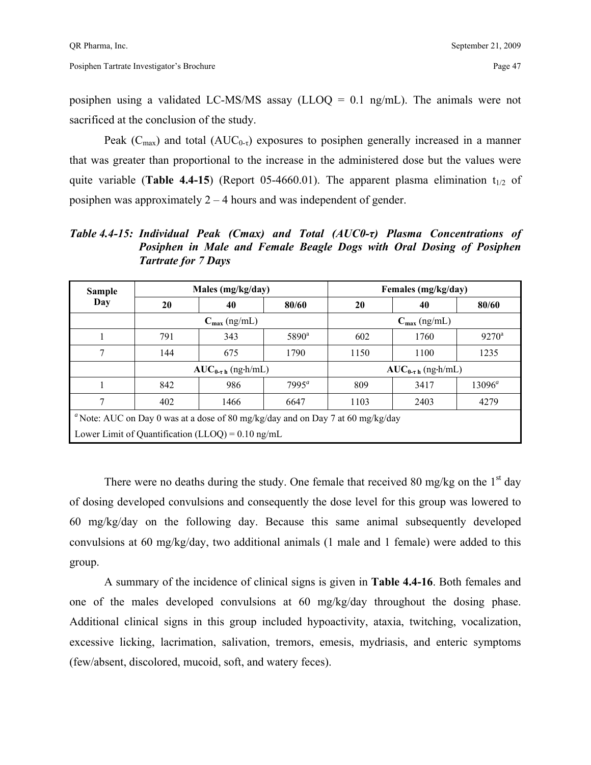posiphen using a validated LC-MS/MS assay (LLOQ = 0.1 ng/mL). The animals were not sacrificed at the conclusion of the study.

Peak ( $C_{\text{max}}$ ) and total ( $AUC_{0-\tau}$ ) exposures to posiphen generally increased in a manner that was greater than proportional to the increase in the administered dose but the values were quite variable (**Table 4.4-15**) (Report 05-4660.01). The apparent plasma elimination  $t_{1/2}$  of posiphen was approximately 2 – 4 hours and was independent of gender.

*Table 4.4-15: Individual Peak (Cmax) and Total (AUC0-τ) Plasma Concentrations of Posiphen in Male and Female Beagle Dogs with Oral Dosing of Posiphen Tartrate for 7 Days* 

| <b>Sample</b>                                                                  |                                                             | Males (mg/kg/day)          |                | Females (mg/kg/day)        |      |                |  |  |  |
|--------------------------------------------------------------------------------|-------------------------------------------------------------|----------------------------|----------------|----------------------------|------|----------------|--|--|--|
| Day                                                                            | 20                                                          | 40                         | 80/60          | 20                         | 40   | 80/60          |  |  |  |
|                                                                                |                                                             | $C_{\text{max}}$ (ng/mL)   |                | $C_{\text{max}}$ (ng/mL)   |      |                |  |  |  |
|                                                                                | 791                                                         | 343                        | $5890^{\rm a}$ | 602                        | 1760 | $9270^{\circ}$ |  |  |  |
| 7                                                                              | 144                                                         | 675                        | 1790           | 1150                       | 1100 | 1235           |  |  |  |
|                                                                                |                                                             | $AUC_{0-\tau h}$ (ng-h/mL) |                | $AUC_{0-\tau h}$ (ng.h/mL) |      |                |  |  |  |
|                                                                                | 842                                                         | 986                        | $7995^a$       | 809                        | 3417 | $13096^a$      |  |  |  |
|                                                                                | 402                                                         | 1466                       | 6647           | 1103                       | 2403 | 4279           |  |  |  |
| "Note: AUC on Day 0 was at a dose of 80 mg/kg/day and on Day 7 at 60 mg/kg/day |                                                             |                            |                |                            |      |                |  |  |  |
|                                                                                | Lower Limit of Quantification (LLOQ) = $0.10 \text{ ng/mL}$ |                            |                |                            |      |                |  |  |  |

There were no deaths during the study. One female that received 80 mg/kg on the  $1<sup>st</sup>$  day of dosing developed convulsions and consequently the dose level for this group was lowered to 60 mg/kg/day on the following day. Because this same animal subsequently developed convulsions at 60 mg/kg/day, two additional animals (1 male and 1 female) were added to this group.

 A summary of the incidence of clinical signs is given in **Table 4.4-16**. Both females and one of the males developed convulsions at 60 mg/kg/day throughout the dosing phase. Additional clinical signs in this group included hypoactivity, ataxia, twitching, vocalization, excessive licking, lacrimation, salivation, tremors, emesis, mydriasis, and enteric symptoms (few/absent, discolored, mucoid, soft, and watery feces).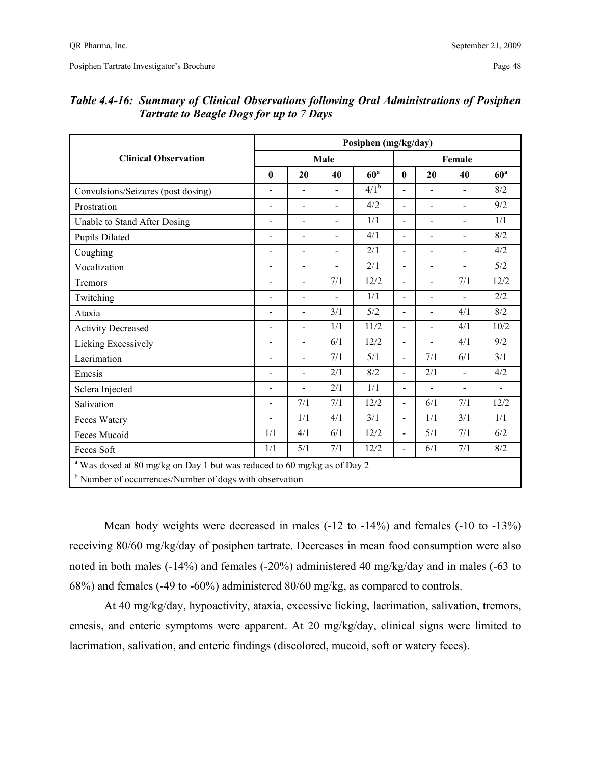|                                                                                     |                          |                |                          | Posiphen (mg/kg/day) |                          |                          |                          |                          |
|-------------------------------------------------------------------------------------|--------------------------|----------------|--------------------------|----------------------|--------------------------|--------------------------|--------------------------|--------------------------|
| <b>Clinical Observation</b>                                                         |                          |                | Male                     |                      |                          |                          | Female                   |                          |
|                                                                                     | $\bf{0}$                 | 20             | 40                       | 60 <sup>a</sup>      | $\bf{0}$                 | 20                       | 40                       | 60 <sup>a</sup>          |
| Convulsions/Seizures (post dosing)                                                  | $\overline{a}$           | $\blacksquare$ | $\blacksquare$           | $4/\overline{1^b}$   | $\blacksquare$           | $\blacksquare$           | $\blacksquare$           | 8/2                      |
| Prostration                                                                         | $\overline{a}$           | $\overline{a}$ | $\overline{a}$           | 4/2                  | $\overline{a}$           | $\overline{a}$           | $\blacksquare$           | 9/2                      |
| Unable to Stand After Dosing                                                        | $\blacksquare$           | $\blacksquare$ | $\overline{a}$           | 1/1                  | $\overline{a}$           | $\overline{a}$           | $\overline{a}$           | 1/1                      |
| <b>Pupils Dilated</b>                                                               | $\blacksquare$           | $\blacksquare$ | $\overline{\phantom{0}}$ | 4/1                  | $\overline{a}$           | $\blacksquare$           | $\overline{a}$           | 8/2                      |
| Coughing                                                                            | $\blacksquare$           | $\blacksquare$ | $\overline{a}$           | 2/1                  | $\overline{\phantom{a}}$ | -                        | $\blacksquare$           | 4/2                      |
| Vocalization                                                                        | $\overline{\phantom{m}}$ | $\blacksquare$ | $\overline{a}$           | 2/1                  | $\overline{\phantom{a}}$ | $\overline{\phantom{0}}$ | $\overline{\phantom{a}}$ | 5/2                      |
| Tremors                                                                             | $\overline{a}$           | $\blacksquare$ | 7/1                      | 12/2                 | $\blacksquare$           | $\overline{\phantom{0}}$ | 7/1                      | 12/2                     |
| Twitching                                                                           | $\blacksquare$           | $\blacksquare$ | $\overline{a}$           | 1/1                  | $\overline{a}$           | $\overline{a}$           | $\overline{a}$           | 2/2                      |
| Ataxia                                                                              | $\blacksquare$           | $\blacksquare$ | 3/1                      | 5/2                  | $\blacksquare$           | $\blacksquare$           | 4/1                      | 8/2                      |
| <b>Activity Decreased</b>                                                           | $\blacksquare$           | $\overline{a}$ | 1/1                      | 11/2                 | $\blacksquare$           | $\overline{a}$           | 4/1                      | 10/2                     |
| Licking Excessively                                                                 | $\overline{\phantom{a}}$ | $\blacksquare$ | 6/1                      | 12/2                 | $\blacksquare$           | $\overline{a}$           | 4/1                      | 9/2                      |
| Lacrimation                                                                         | $\overline{a}$           | $\blacksquare$ | 7/1                      | 5/1                  | $\overline{a}$           | 7/1                      | 6/1                      | 3/1                      |
| Emesis                                                                              | $\blacksquare$           | $\blacksquare$ | 2/1                      | 8/2                  | $\blacksquare$           | 2/1                      | $\overline{a}$           | 4/2                      |
| Sclera Injected                                                                     | $\overline{\phantom{a}}$ | $\blacksquare$ | 2/1                      | 1/1                  | -                        | $\overline{\phantom{0}}$ | $\overline{\phantom{a}}$ | $\overline{\phantom{a}}$ |
| Salivation                                                                          | $\overline{a}$           | 7/1            | 7/1                      | 12/2                 | $\overline{\phantom{0}}$ | 6/1                      | 7/1                      | 12/2                     |
| Feces Watery                                                                        | $\blacksquare$           | 1/1            | 4/1                      | 3/1                  | $\overline{a}$           | 1/1                      | 3/1                      | 1/1                      |
| Feces Mucoid                                                                        | 1/1                      | 4/1            | 6/1                      | 12/2                 | $\blacksquare$           | 5/1                      | 7/1                      | 6/2                      |
| Feces Soft                                                                          | 1/1                      | 5/1            | 7/1                      | 12/2                 | $\blacksquare$           | 6/1                      | 7/1                      | $8/2\,$                  |
| <sup>a</sup> Was dosed at 80 mg/kg on Day 1 but was reduced to 60 mg/kg as of Day 2 |                          |                |                          |                      |                          |                          |                          |                          |
| <sup>b</sup> Number of occurrences/Number of dogs with observation                  |                          |                |                          |                      |                          |                          |                          |                          |

## *Table 4.4-16: Summary of Clinical Observations following Oral Administrations of Posiphen Tartrate to Beagle Dogs for up to 7 Days*

 Mean body weights were decreased in males (-12 to -14%) and females (-10 to -13%) receiving 80/60 mg/kg/day of posiphen tartrate. Decreases in mean food consumption were also noted in both males (-14%) and females (-20%) administered 40 mg/kg/day and in males (-63 to 68%) and females (-49 to -60%) administered 80/60 mg/kg, as compared to controls.

 At 40 mg/kg/day, hypoactivity, ataxia, excessive licking, lacrimation, salivation, tremors, emesis, and enteric symptoms were apparent. At 20 mg/kg/day, clinical signs were limited to lacrimation, salivation, and enteric findings (discolored, mucoid, soft or watery feces).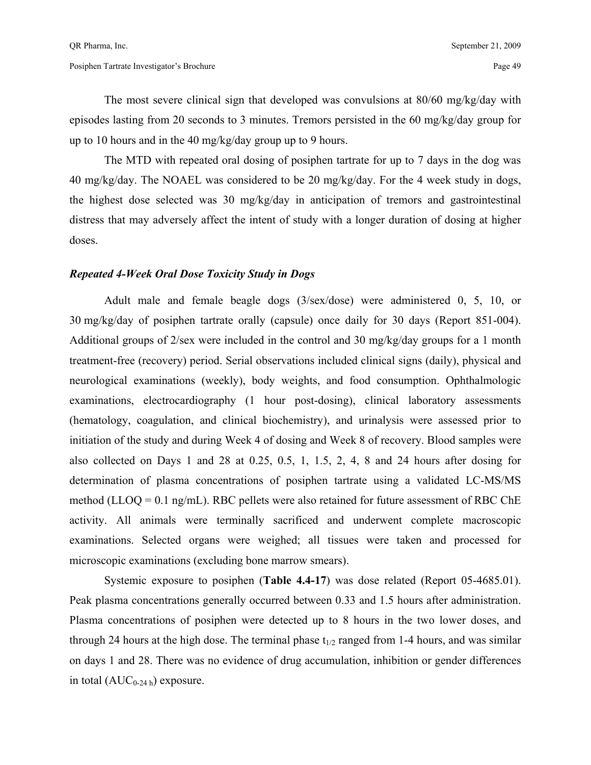The most severe clinical sign that developed was convulsions at 80/60 mg/kg/day with episodes lasting from 20 seconds to 3 minutes. Tremors persisted in the 60 mg/kg/day group for up to 10 hours and in the 40 mg/kg/day group up to 9 hours.

 The MTD with repeated oral dosing of posiphen tartrate for up to 7 days in the dog was 40 mg/kg/day. The NOAEL was considered to be 20 mg/kg/day. For the 4 week study in dogs, the highest dose selected was 30 mg/kg/day in anticipation of tremors and gastrointestinal distress that may adversely affect the intent of study with a longer duration of dosing at higher doses.

#### *Repeated 4-Week Oral Dose Toxicity Study in Dogs*

 Adult male and female beagle dogs (3/sex/dose) were administered 0, 5, 10, or 30 mg/kg/day of posiphen tartrate orally (capsule) once daily for 30 days (Report 851-004). Additional groups of 2/sex were included in the control and 30 mg/kg/day groups for a 1 month treatment-free (recovery) period. Serial observations included clinical signs (daily), physical and neurological examinations (weekly), body weights, and food consumption. Ophthalmologic examinations, electrocardiography (1 hour post-dosing), clinical laboratory assessments (hematology, coagulation, and clinical biochemistry), and urinalysis were assessed prior to initiation of the study and during Week 4 of dosing and Week 8 of recovery. Blood samples were also collected on Days 1 and 28 at 0.25, 0.5, 1, 1.5, 2, 4, 8 and 24 hours after dosing for determination of plasma concentrations of posiphen tartrate using a validated LC-MS/MS method (LLOQ =  $0.1$  ng/mL). RBC pellets were also retained for future assessment of RBC ChE activity. All animals were terminally sacrificed and underwent complete macroscopic examinations. Selected organs were weighed; all tissues were taken and processed for microscopic examinations (excluding bone marrow smears).

Systemic exposure to posiphen (**Table 4.4-17**) was dose related (Report 05-4685.01). Peak plasma concentrations generally occurred between 0.33 and 1.5 hours after administration. Plasma concentrations of posiphen were detected up to 8 hours in the two lower doses, and through 24 hours at the high dose. The terminal phase  $t_{1/2}$  ranged from 1-4 hours, and was similar on days 1 and 28. There was no evidence of drug accumulation, inhibition or gender differences in total  $(AUC_{0-24 h})$  exposure.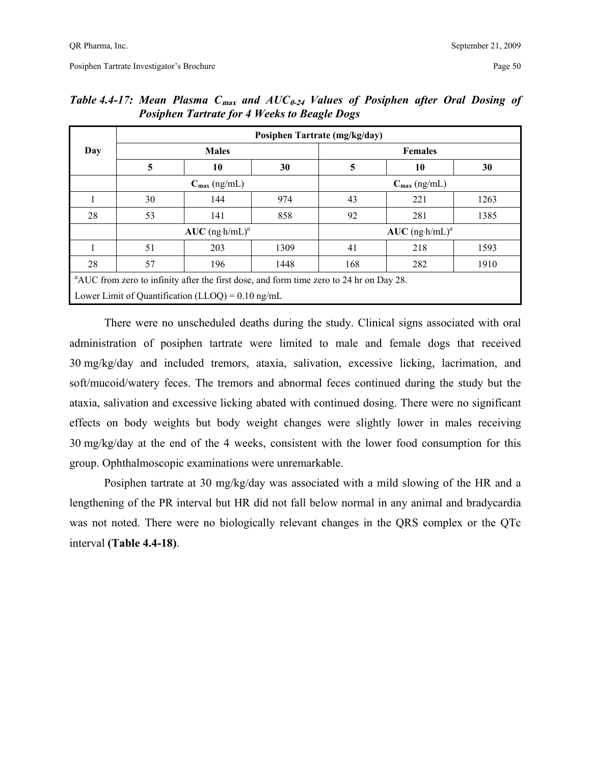|     |                                                                                         |                                                             |      | Posiphen Tartrate (mg/kg/day) |     |      |  |  |  |  |  |
|-----|-----------------------------------------------------------------------------------------|-------------------------------------------------------------|------|-------------------------------|-----|------|--|--|--|--|--|
| Day |                                                                                         | <b>Males</b>                                                |      | <b>Females</b>                |     |      |  |  |  |  |  |
|     | 5                                                                                       | 10                                                          | 30   | 5                             | 10  | 30   |  |  |  |  |  |
|     | $C_{\text{max}}$ (ng/mL)<br>$C_{\text{max}}$ (ng/mL)                                    |                                                             |      |                               |     |      |  |  |  |  |  |
|     | 30                                                                                      | 144                                                         | 974  | 43                            | 221 | 1263 |  |  |  |  |  |
| 28  | 53                                                                                      | 141                                                         | 858  | 92                            | 281 | 1385 |  |  |  |  |  |
|     |                                                                                         | $AUC$ (ng·h/mL) <sup>a</sup>                                |      | $AUC$ (ng h/mL) <sup>a</sup>  |     |      |  |  |  |  |  |
|     | 51                                                                                      | 203                                                         | 1309 | 41                            | 218 | 1593 |  |  |  |  |  |
| 28  | 57                                                                                      | 196                                                         | 1448 | 168                           | 282 | 1910 |  |  |  |  |  |
|     | "AUC from zero to infinity after the first dose, and form time zero to 24 hr on Day 28. |                                                             |      |                               |     |      |  |  |  |  |  |
|     |                                                                                         | Lower Limit of Quantification (LLOQ) = $0.10 \text{ ng/mL}$ |      |                               |     |      |  |  |  |  |  |

| Table 4.4-17: Mean Plasma $C_{max}$ and $AUC_{0.24}$ Values of Posiphen after Oral Dosing of |  |  |                                                     |  |  |  |  |
|----------------------------------------------------------------------------------------------|--|--|-----------------------------------------------------|--|--|--|--|
|                                                                                              |  |  | <b>Posiphen Tartrate for 4 Weeks to Beagle Dogs</b> |  |  |  |  |

There were no unscheduled deaths during the study. Clinical signs associated with oral administration of posiphen tartrate were limited to male and female dogs that received 30 mg/kg/day and included tremors, ataxia, salivation, excessive licking, lacrimation, and soft/mucoid/watery feces. The tremors and abnormal feces continued during the study but the ataxia, salivation and excessive licking abated with continued dosing. There were no significant effects on body weights but body weight changes were slightly lower in males receiving 30 mg/kg/day at the end of the 4 weeks, consistent with the lower food consumption for this group. Ophthalmoscopic examinations were unremarkable.

Posiphen tartrate at 30 mg/kg/day was associated with a mild slowing of the HR and a lengthening of the PR interval but HR did not fall below normal in any animal and bradycardia was not noted. There were no biologically relevant changes in the QRS complex or the QTc interval **(Table 4.4-18)**.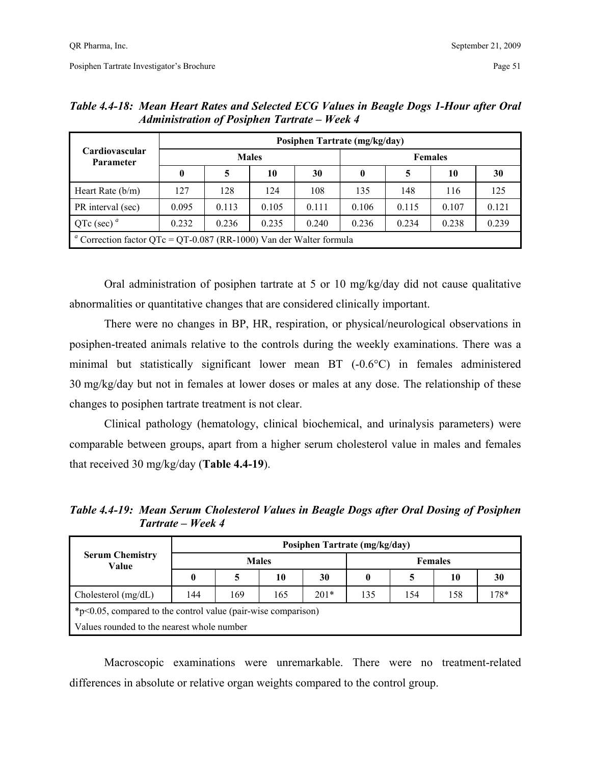|                                                                     | Posiphen Tartrate (mg/kg/day) |       |              |       |                |       |       |       |  |  |
|---------------------------------------------------------------------|-------------------------------|-------|--------------|-------|----------------|-------|-------|-------|--|--|
| Cardiovascular<br><b>Parameter</b>                                  |                               |       | <b>Males</b> |       | <b>Females</b> |       |       |       |  |  |
|                                                                     | $\boldsymbol{0}$              |       | 10           | 30    | $\bf{0}$       | 5     | 10    | 30    |  |  |
| Heart Rate $(b/m)$                                                  | 127                           | 128   | 124          | 108   | 135            | 148   | 116   | 125   |  |  |
| PR interval (sec)                                                   | 0.095                         | 0.113 | 0.105        | 0.111 | 0.106          | 0.115 | 0.107 | 0.121 |  |  |
| QTc (sec) $^a$                                                      | 0.232                         | 0.236 | 0.235        | 0.240 | 0.236          | 0.234 | 0.238 | 0.239 |  |  |
| " Correction factor QTc = QT-0.087 (RR-1000) Van der Walter formula |                               |       |              |       |                |       |       |       |  |  |

*Table 4.4-18: Mean Heart Rates and Selected ECG Values in Beagle Dogs 1-Hour after Oral Administration of Posiphen Tartrate – Week 4* 

Oral administration of posiphen tartrate at 5 or 10 mg/kg/day did not cause qualitative abnormalities or quantitative changes that are considered clinically important.

 There were no changes in BP, HR, respiration, or physical/neurological observations in posiphen-treated animals relative to the controls during the weekly examinations. There was a minimal but statistically significant lower mean BT (-0.6°C) in females administered 30 mg/kg/day but not in females at lower doses or males at any dose. The relationship of these changes to posiphen tartrate treatment is not clear.

Clinical pathology (hematology, clinical biochemical, and urinalysis parameters) were comparable between groups, apart from a higher serum cholesterol value in males and females that received 30 mg/kg/day (**Table 4.4-19**).

*Table 4.4-19: Mean Serum Cholesterol Values in Beagle Dogs after Oral Dosing of Posiphen Tartrate – Week 4* 

|                                                                  | Posiphen Tartrate (mg/kg/day) |              |     |        |                |     |     |      |  |  |
|------------------------------------------------------------------|-------------------------------|--------------|-----|--------|----------------|-----|-----|------|--|--|
| <b>Serum Chemistry</b><br>Value                                  |                               | <b>Males</b> |     |        | <b>Females</b> |     |     |      |  |  |
|                                                                  | 0                             |              | 10  | 30     | 0              |     | 10  | 30   |  |  |
| Cholesterol $(mg/dL)$                                            | 144                           | 169          | 165 | $201*$ | 135            | 154 | 158 | 178* |  |  |
| $*p<0.05$ , compared to the control value (pair-wise comparison) |                               |              |     |        |                |     |     |      |  |  |
| Values rounded to the nearest whole number                       |                               |              |     |        |                |     |     |      |  |  |

Macroscopic examinations were unremarkable. There were no treatment-related differences in absolute or relative organ weights compared to the control group.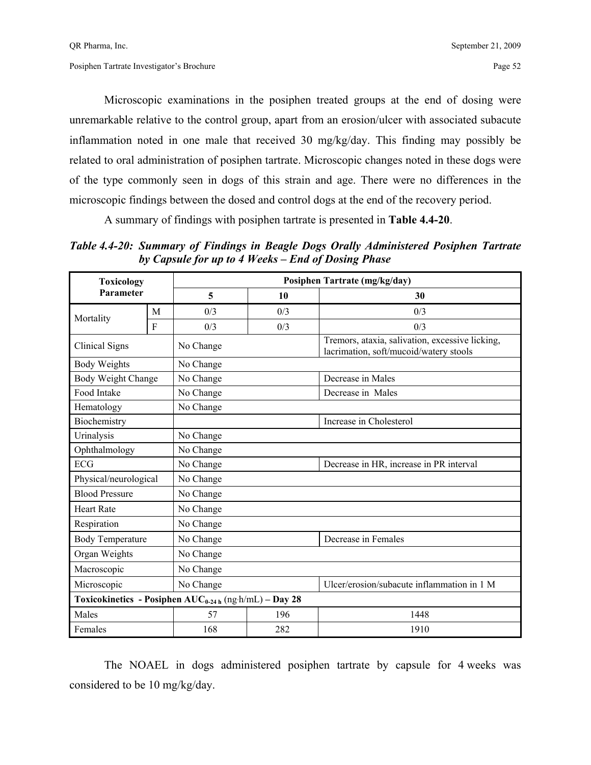Microscopic examinations in the posiphen treated groups at the end of dosing were unremarkable relative to the control group, apart from an erosion/ulcer with associated subacute inflammation noted in one male that received 30 mg/kg/day. This finding may possibly be related to oral administration of posiphen tartrate. Microscopic changes noted in these dogs were of the type commonly seen in dogs of this strain and age. There were no differences in the microscopic findings between the dosed and control dogs at the end of the recovery period.

A summary of findings with posiphen tartrate is presented in **Table 4.4-20**.

*Table 4.4-20: Summary of Findings in Beagle Dogs Orally Administered Posiphen Tartrate by Capsule for up to 4 Weeks – End of Dosing Phase* 

| <b>Toxicology</b>       |              |                                                             |     | Posiphen Tartrate (mg/kg/day)                                                             |
|-------------------------|--------------|-------------------------------------------------------------|-----|-------------------------------------------------------------------------------------------|
| Parameter               |              | 5                                                           | 10  | 30                                                                                        |
| Mortality               | M            | 0/3                                                         | 0/3 | 0/3                                                                                       |
|                         | $\mathbf{F}$ | 0/3                                                         | 0/3 | 0/3                                                                                       |
| Clinical Signs          |              | No Change                                                   |     | Tremors, ataxia, salivation, excessive licking,<br>lacrimation, soft/mucoid/watery stools |
| <b>Body Weights</b>     |              | No Change                                                   |     |                                                                                           |
| Body Weight Change      |              | No Change                                                   |     | Decrease in Males                                                                         |
| Food Intake             |              | No Change                                                   |     | Decrease in Males                                                                         |
| Hematology              |              | No Change                                                   |     |                                                                                           |
| Biochemistry            |              |                                                             |     | Increase in Cholesterol                                                                   |
| Urinalysis              |              | No Change                                                   |     |                                                                                           |
| Ophthalmology           |              | No Change                                                   |     |                                                                                           |
| <b>ECG</b>              |              | No Change                                                   |     | Decrease in HR, increase in PR interval                                                   |
| Physical/neurological   |              | No Change                                                   |     |                                                                                           |
| <b>Blood Pressure</b>   |              | No Change                                                   |     |                                                                                           |
| <b>Heart Rate</b>       |              | No Change                                                   |     |                                                                                           |
| Respiration             |              | No Change                                                   |     |                                                                                           |
| <b>Body Temperature</b> |              | No Change                                                   |     | Decrease in Females                                                                       |
| Organ Weights           |              | No Change                                                   |     |                                                                                           |
| Macroscopic             |              | No Change                                                   |     |                                                                                           |
| Microscopic             |              | No Change                                                   |     | Ulcer/erosion/subacute inflammation in 1 M                                                |
|                         |              | Toxicokinetics - Posiphen $AUC_{0.24 h}$ (ng·h/mL) – Day 28 |     |                                                                                           |
| Males                   |              | 57                                                          | 196 | 1448                                                                                      |
| Females                 |              | 168                                                         | 282 | 1910                                                                                      |

 The NOAEL in dogs administered posiphen tartrate by capsule for 4 weeks was considered to be 10 mg/kg/day.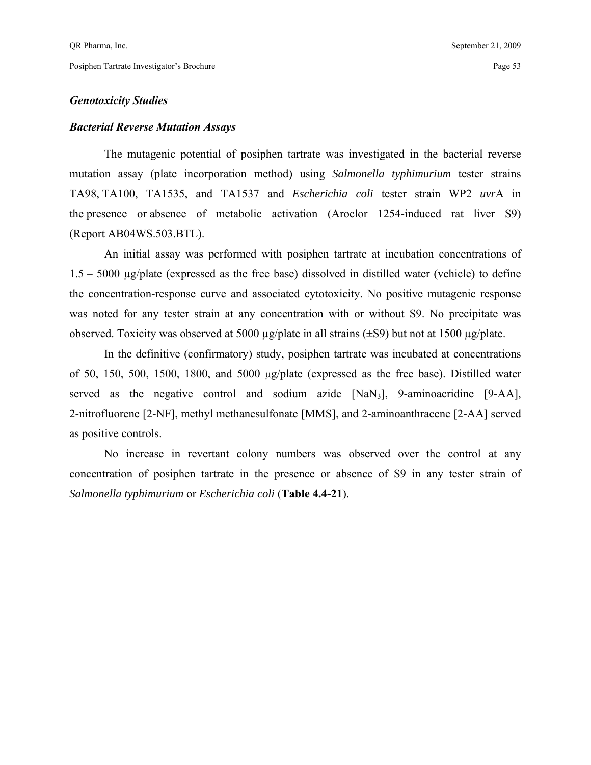## *Genotoxicity Studies*

## *Bacterial Reverse Mutation Assays*

 The mutagenic potential of posiphen tartrate was investigated in the bacterial reverse mutation assay (plate incorporation method) using *Salmonella typhimurium* tester strains TA98, TA100, TA1535, and TA1537 and *Escherichia coli* tester strain WP2 *uvr*A in the presence or absence of metabolic activation (Aroclor 1254-induced rat liver S9) (Report AB04WS.503.BTL).

 An initial assay was performed with posiphen tartrate at incubation concentrations of 1.5 – 5000 µg/plate (expressed as the free base) dissolved in distilled water (vehicle) to define the concentration-response curve and associated cytotoxicity. No positive mutagenic response was noted for any tester strain at any concentration with or without S9. No precipitate was observed. Toxicity was observed at 5000 µg/plate in all strains (±S9) but not at 1500 µg/plate.

 In the definitive (confirmatory) study, posiphen tartrate was incubated at concentrations of 50, 150, 500, 1500, 1800, and 5000 µg/plate (expressed as the free base). Distilled water served as the negative control and sodium azide [NaN3], 9-aminoacridine [9-AA], 2-nitrofluorene [2-NF], methyl methanesulfonate [MMS], and 2-aminoanthracene [2-AA] served as positive controls.

 No increase in revertant colony numbers was observed over the control at any concentration of posiphen tartrate in the presence or absence of S9 in any tester strain of *Salmonella typhimurium* or *Escherichia coli* (**Table 4.4-21**).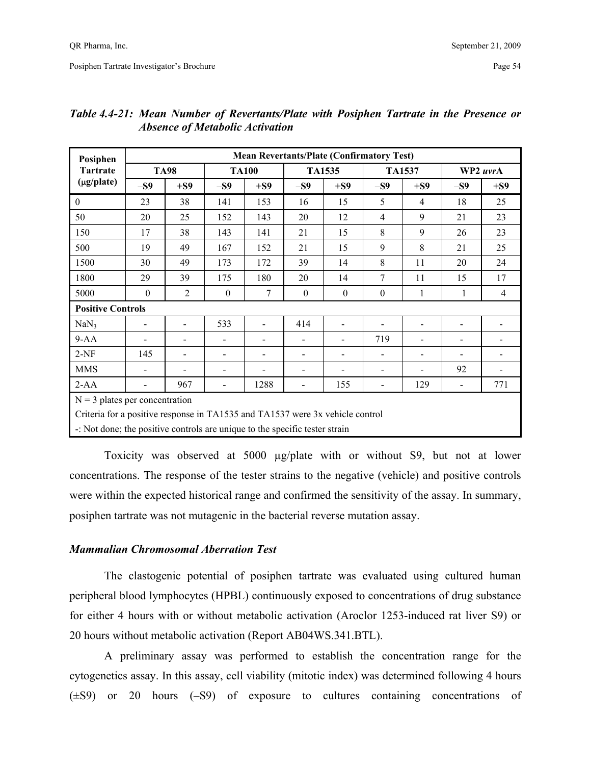| Posiphen                                                                      |                          | <b>Mean Revertants/Plate (Confirmatory Test)</b> |                              |                          |                              |                          |                |                          |                          |                              |  |  |  |
|-------------------------------------------------------------------------------|--------------------------|--------------------------------------------------|------------------------------|--------------------------|------------------------------|--------------------------|----------------|--------------------------|--------------------------|------------------------------|--|--|--|
| <b>Tartrate</b>                                                               |                          | <b>TA98</b>                                      |                              | <b>TA100</b>             |                              | <b>TA1535</b>            |                | <b>TA1537</b>            |                          | WP2 uvrA                     |  |  |  |
| $(\mu g / \text{plate})$                                                      | $-S9$                    | $+S9$                                            | $-S9$                        | $+S9$                    | $-S9$                        | $+S9$                    | $-S9$          | $+S9$                    | $-S9$                    | $+S9$                        |  |  |  |
| $\boldsymbol{0}$                                                              | 23                       | 38                                               | 141                          | 153                      | 16                           | 15                       | 5              | $\overline{4}$           | 18                       | 25                           |  |  |  |
| 50                                                                            | 20                       | 25                                               | 152                          | 143                      | 20                           | 12                       | $\overline{4}$ | 9                        | 21                       | 23                           |  |  |  |
| 150                                                                           | 17                       | 38                                               | 143                          | 141                      | 21                           | 15                       | 8              | 9                        | 26                       | 23                           |  |  |  |
| 500                                                                           | 19                       | 49                                               | 167                          | 152                      | 21                           | 15                       | 9              | 8                        | 21                       | 25                           |  |  |  |
| 1500                                                                          | 30                       | 49                                               | 173                          | 172                      | 39                           | 14                       | 8              | 11                       | 20                       | 24                           |  |  |  |
| 1800                                                                          | 29                       | 39                                               | 175                          | 180                      | 20                           | 14                       | 7              | 11                       | 15                       | 17                           |  |  |  |
| 5000                                                                          | $\theta$                 | $\overline{2}$                                   | $\mathbf{0}$                 | 7                        | $\theta$                     | $\theta$                 | $\theta$       | 1                        | 1                        | $\overline{4}$               |  |  |  |
| <b>Positive Controls</b>                                                      |                          |                                                  |                              |                          |                              |                          |                |                          |                          |                              |  |  |  |
| NaN <sub>3</sub>                                                              | $\overline{\phantom{a}}$ |                                                  | 533                          | -                        | 414                          | $\blacksquare$           |                | $\overline{\phantom{a}}$ |                          |                              |  |  |  |
| $9-AA$                                                                        |                          | $\overline{\phantom{0}}$                         | $\qquad \qquad \blacksquare$ | $\overline{\phantom{a}}$ | $\blacksquare$               | $\overline{\phantom{0}}$ | 719            | $\overline{\phantom{a}}$ | -                        | $\qquad \qquad \blacksquare$ |  |  |  |
| $2-NF$                                                                        | 145                      | $\overline{\phantom{0}}$                         | $\overline{a}$               | $\blacksquare$           | $\qquad \qquad \blacksquare$ | $\overline{\phantom{0}}$ |                | $\blacksquare$           | -                        | $\qquad \qquad \blacksquare$ |  |  |  |
| <b>MMS</b>                                                                    | $\overline{\phantom{a}}$ | $\overline{\phantom{a}}$                         |                              | $\blacksquare$           | $\overline{\phantom{a}}$     | $\overline{\phantom{0}}$ |                |                          | 92                       | $\qquad \qquad \blacksquare$ |  |  |  |
| $2-AA$                                                                        |                          | 967                                              |                              | 1288                     | $\overline{\phantom{a}}$     | 155                      |                | 129                      | $\overline{\phantom{0}}$ | 771                          |  |  |  |
| $N = 3$ plates per concentration                                              |                          |                                                  |                              |                          |                              |                          |                |                          |                          |                              |  |  |  |
| Criteria for a positive response in TA1535 and TA1537 were 3x vehicle control |                          |                                                  |                              |                          |                              |                          |                |                          |                          |                              |  |  |  |

## *Table 4.4-21: Mean Number of Revertants/Plate with Posiphen Tartrate in the Presence or Absence of Metabolic Activation*

-: Not done; the positive controls are unique to the specific tester strain

 Toxicity was observed at 5000 µg/plate with or without S9, but not at lower concentrations. The response of the tester strains to the negative (vehicle) and positive controls were within the expected historical range and confirmed the sensitivity of the assay. In summary, posiphen tartrate was not mutagenic in the bacterial reverse mutation assay.

## *Mammalian Chromosomal Aberration Test*

 The clastogenic potential of posiphen tartrate was evaluated using cultured human peripheral blood lymphocytes (HPBL) continuously exposed to concentrations of drug substance for either 4 hours with or without metabolic activation (Aroclor 1253-induced rat liver S9) or 20 hours without metabolic activation (Report AB04WS.341.BTL).

 A preliminary assay was performed to establish the concentration range for the cytogenetics assay. In this assay, cell viability (mitotic index) was determined following 4 hours (±S9) or 20 hours (–S9) of exposure to cultures containing concentrations of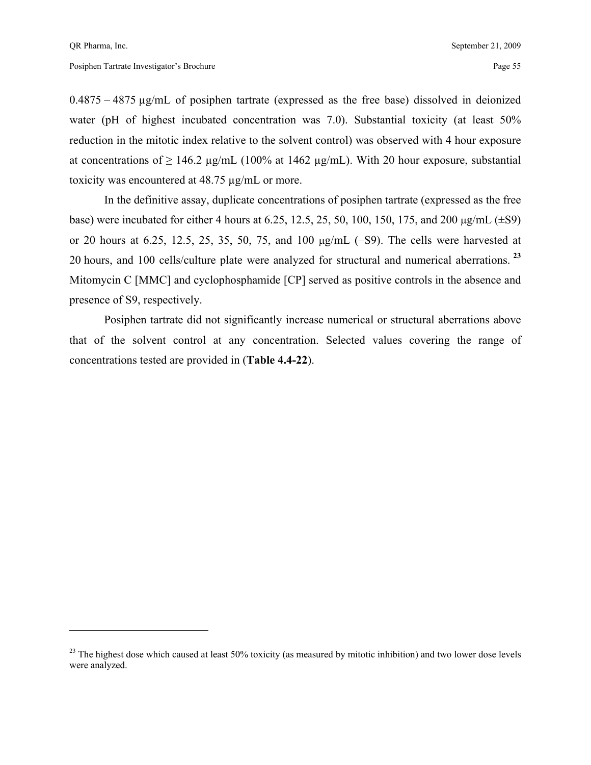<u>.</u>

 $0.4875 - 4875 \mu$ g/mL of posiphen tartrate (expressed as the free base) dissolved in deionized water (pH of highest incubated concentration was 7.0). Substantial toxicity (at least 50% reduction in the mitotic index relative to the solvent control) was observed with 4 hour exposure at concentrations of  $\geq 146.2$  µg/mL (100% at 1462 µg/mL). With 20 hour exposure, substantial toxicity was encountered at 48.75 µg/mL or more.

 In the definitive assay, duplicate concentrations of posiphen tartrate (expressed as the free base) were incubated for either 4 hours at 6.25, 12.5, 25, 50, 100, 150, 175, and 200 µg/mL (±S9) or 20 hours at 6.25, 12.5, 25, 35, 50, 75, and 100 µg/mL (–S9). The cells were harvested at 20 hours, and 100 cells/culture plate were analyzed for structural and numerical aberrations.**<sup>23</sup>** Mitomycin C [MMC] and cyclophosphamide [CP] served as positive controls in the absence and presence of S9, respectively.

 Posiphen tartrate did not significantly increase numerical or structural aberrations above that of the solvent control at any concentration. Selected values covering the range of concentrations tested are provided in (**Table 4.4-22**).

 $^{23}$  The highest dose which caused at least 50% toxicity (as measured by mitotic inhibition) and two lower dose levels were analyzed.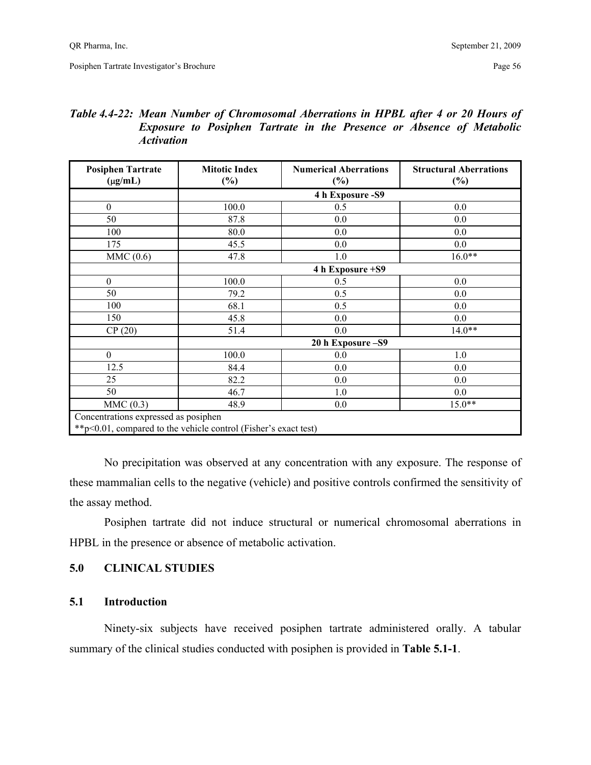## *Table 4.4-22: Mean Number of Chromosomal Aberrations in HPBL after 4 or 20 Hours of Exposure to Posiphen Tartrate in the Presence or Absence of Metabolic Activation*

| <b>Posiphen Tartrate</b><br>$(\mu g/mL)$                         | <b>Mitotic Index</b><br>$(\%)$ | <b>Numerical Aberrations</b><br>$(\%)$ | <b>Structural Aberrations</b><br>$(\%)$ |
|------------------------------------------------------------------|--------------------------------|----------------------------------------|-----------------------------------------|
|                                                                  |                                | 4 h Exposure - S9                      |                                         |
| $\boldsymbol{0}$                                                 | 100.0                          | 0.5                                    | 0.0                                     |
| 50                                                               | 87.8                           | 0.0                                    | 0.0                                     |
| 100                                                              | 80.0                           | 0.0                                    | 0.0                                     |
| 175                                                              | 45.5                           | 0.0                                    | 0.0                                     |
| MMC(0.6)                                                         | 47.8                           | 1.0                                    | $16.0**$                                |
|                                                                  |                                | 4 h Exposure +S9                       |                                         |
| $\theta$                                                         | 100.0                          | 0.5                                    | 0.0                                     |
| 50                                                               | 79.2                           | 0.5                                    | 0.0                                     |
| 100                                                              | 68.1                           | 0.5                                    | 0.0                                     |
| 150                                                              | 45.8                           | 0.0                                    | 0.0                                     |
| CP(20)                                                           | 51.4                           | 0.0                                    | $14.0**$                                |
|                                                                  |                                | 20 h Exposure - S9                     |                                         |
| $\mathbf{0}$                                                     | 100.0                          | 0.0                                    | 1.0                                     |
| 12.5                                                             | 84.4                           | 0.0                                    | 0.0                                     |
| 25                                                               | 82.2                           | 0.0                                    | 0.0                                     |
| 50                                                               | 46.7                           | 1.0                                    | 0.0                                     |
| MMC(0.3)                                                         | 48.9                           | 0.0                                    | $15.0**$                                |
| Concentrations expressed as posiphen                             |                                |                                        |                                         |
| ** p<0.01, compared to the vehicle control (Fisher's exact test) |                                |                                        |                                         |

 No precipitation was observed at any concentration with any exposure. The response of these mammalian cells to the negative (vehicle) and positive controls confirmed the sensitivity of the assay method.

 Posiphen tartrate did not induce structural or numerical chromosomal aberrations in HPBL in the presence or absence of metabolic activation.

## **5.0 CLINICAL STUDIES**

## **5.1 Introduction**

 Ninety-six subjects have received posiphen tartrate administered orally. A tabular summary of the clinical studies conducted with posiphen is provided in **Table 5.1-1**.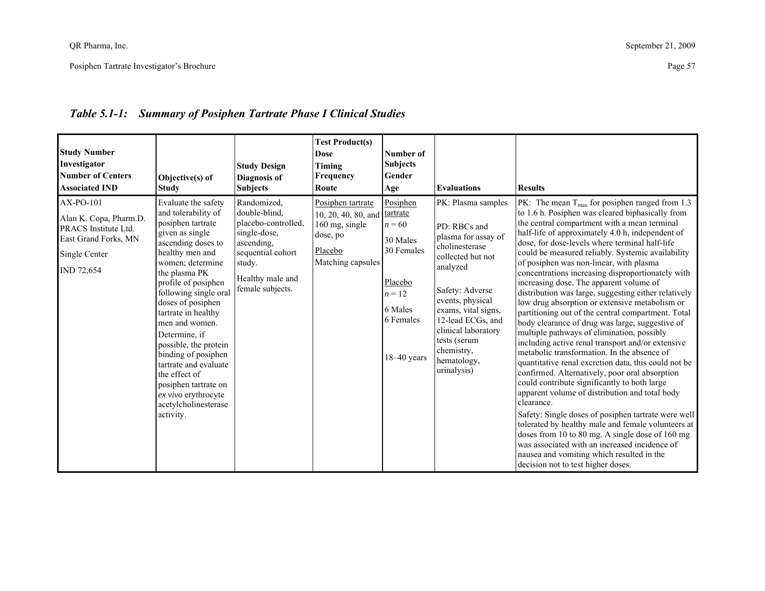| <b>Study Number</b><br>Investigator<br>Number of Centers<br><b>Associated IND</b>                                  | Objective(s) of<br><b>Study</b>                                                                                                                                                                                                                                                                                                                                                                                                                                               | <b>Study Design</b><br>Diagnosis of<br><b>Subjects</b>                                                                                                   | <b>Test Product(s)</b><br><b>Dose</b><br><b>Timing</b><br>Frequency<br>Route                           | Number of<br><b>Subjects</b><br>Gender<br>Age                                                                              | <b>Evaluations</b>                                                                                                                                                                                                                                                                 | <b>Results</b>                                                                                                                                                                                                                                                                                                                                                                                                                                                                                                                                                                                                                                                                                                                                                                                                                                                                                                                                                                                                                                                                                                                                                                                                                                                                                                                                                          |
|--------------------------------------------------------------------------------------------------------------------|-------------------------------------------------------------------------------------------------------------------------------------------------------------------------------------------------------------------------------------------------------------------------------------------------------------------------------------------------------------------------------------------------------------------------------------------------------------------------------|----------------------------------------------------------------------------------------------------------------------------------------------------------|--------------------------------------------------------------------------------------------------------|----------------------------------------------------------------------------------------------------------------------------|------------------------------------------------------------------------------------------------------------------------------------------------------------------------------------------------------------------------------------------------------------------------------------|-------------------------------------------------------------------------------------------------------------------------------------------------------------------------------------------------------------------------------------------------------------------------------------------------------------------------------------------------------------------------------------------------------------------------------------------------------------------------------------------------------------------------------------------------------------------------------------------------------------------------------------------------------------------------------------------------------------------------------------------------------------------------------------------------------------------------------------------------------------------------------------------------------------------------------------------------------------------------------------------------------------------------------------------------------------------------------------------------------------------------------------------------------------------------------------------------------------------------------------------------------------------------------------------------------------------------------------------------------------------------|
| AX-PO-101<br>Alan K. Copa, Pharm.D.<br>PRACS Institute Ltd.<br>East Grand Forks, MN<br>Single Center<br>IND 72,654 | Evaluate the safety<br>and tolerability of<br>posiphen tartrate<br>given as single<br>ascending doses to<br>healthy men and<br>women; determine<br>the plasma PK<br>profile of posiphen<br>following single oral<br>doses of posiphen<br>tartrate in healthy<br>men and women.<br>Determine, if<br>possible, the protein<br>binding of posiphen<br>tartrate and evaluate<br>the effect of<br>posiphen tartrate on<br>ex vivo erythrocyte<br>acetylcholinesterase<br>activity. | Randomized,<br>double-blind,<br>placebo-controlled,<br>single-dose,<br>ascending,<br>sequential cohort<br>study.<br>Healthy male and<br>female subjects. | Posiphen tartrate<br>10, 20, 40, 80, and<br>160 mg, single<br>dose, po<br>Placebo<br>Matching capsules | Posiphen<br>tartrate<br>$n = 60$<br>30 Males<br>30 Females<br>Placebo<br>$n = 12$<br>6 Males<br>6 Females<br>$18-40$ years | PK: Plasma samples<br>PD: RBCs and<br>plasma for assay of<br>cholinesterase<br>collected but not<br>analyzed<br>Safety: Adverse<br>events, physical<br>exams, vital signs,<br>12-lead ECGs, and<br>clinical laboratory<br>tests (serum<br>chemistry,<br>hematology,<br>urinalysis) | PK: The mean $T_{\text{max}}$ for posiphen ranged from 1.3<br>to 1.6 h. Posiphen was cleared biphasically from<br>the central compartment with a mean terminal<br>half-life of approximately 4.0 h, independent of<br>dose, for dose-levels where terminal half-life<br>could be measured reliably. Systemic availability<br>of posiphen was non-linear, with plasma<br>concentrations increasing disproportionately with<br>increasing dose. The apparent volume of<br>distribution was large, suggesting either relatively<br>low drug absorption or extensive metabolism or<br>partitioning out of the central compartment. Total<br>body clearance of drug was large, suggestive of<br>multiple pathways of elimination, possibly<br>including active renal transport and/or extensive<br>metabolic transformation. In the absence of<br>quantitative renal excretion data, this could not be<br>confirmed. Alternatively, poor oral absorption<br>could contribute significantly to both large<br>apparent volume of distribution and total body<br>clearance.<br>Safety: Single doses of posiphen tartrate were well<br>tolerated by healthy male and female volunteers at<br>doses from 10 to 80 mg. A single dose of 160 mg<br>was associated with an increased incidence of<br>nausea and vomiting which resulted in the<br>decision not to test higher doses. |

# *Table 5.1-1: Summary of Posiphen Tartrate Phase I Clinical Studies*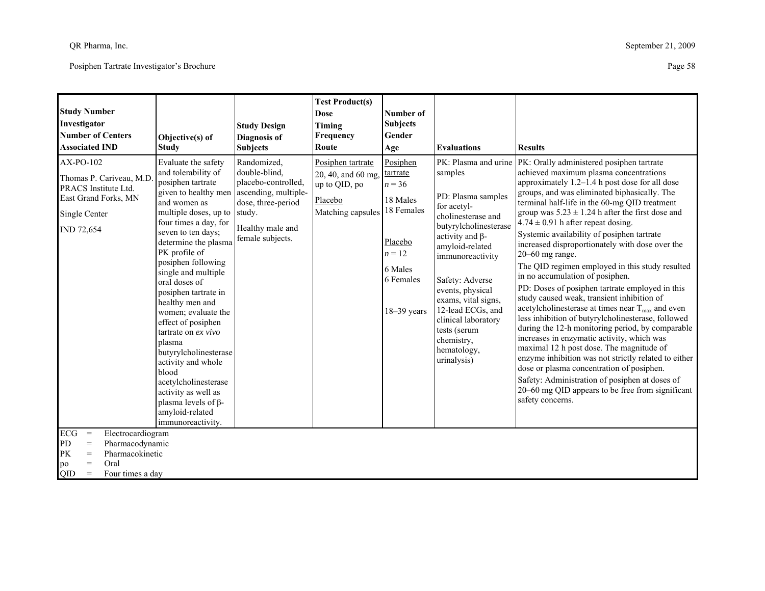| <b>Study Number</b><br>Investigator<br><b>Number of Centers</b><br><b>Associated IND</b>                                                                          | Objective(s) of<br><b>Study</b>                                                                                                                                                                                                                                                                                                                                                                                                                                                                                                                                                                     | <b>Study Design</b><br><b>Diagnosis</b> of<br><b>Subjects</b>                                                                             | <b>Test Product(s)</b><br><b>Dose</b><br>Timing<br>Frequency<br>Route                    | Number of<br><b>Subjects</b><br>Gender<br>Age                                                                              | <b>Evaluations</b>                                                                                                                                                                                                                                                                                                                 | <b>Results</b>                                                                                                                                                                                                                                                                                                                                                                                                                                                                                                                                                                                                                                                                                                                                                                                                                                                                                                                                                                                                                                                                                                                                                                  |
|-------------------------------------------------------------------------------------------------------------------------------------------------------------------|-----------------------------------------------------------------------------------------------------------------------------------------------------------------------------------------------------------------------------------------------------------------------------------------------------------------------------------------------------------------------------------------------------------------------------------------------------------------------------------------------------------------------------------------------------------------------------------------------------|-------------------------------------------------------------------------------------------------------------------------------------------|------------------------------------------------------------------------------------------|----------------------------------------------------------------------------------------------------------------------------|------------------------------------------------------------------------------------------------------------------------------------------------------------------------------------------------------------------------------------------------------------------------------------------------------------------------------------|---------------------------------------------------------------------------------------------------------------------------------------------------------------------------------------------------------------------------------------------------------------------------------------------------------------------------------------------------------------------------------------------------------------------------------------------------------------------------------------------------------------------------------------------------------------------------------------------------------------------------------------------------------------------------------------------------------------------------------------------------------------------------------------------------------------------------------------------------------------------------------------------------------------------------------------------------------------------------------------------------------------------------------------------------------------------------------------------------------------------------------------------------------------------------------|
| AX-PO-102<br>Thomas P. Cariveau, M.D.<br>PRACS Institute Ltd.<br>East Grand Forks, MN<br>Single Center<br><b>IND 72,654</b>                                       | Evaluate the safety<br>and tolerability of<br>posiphen tartrate<br>given to healthy men<br>and women as<br>multiple doses, up to study.<br>four times a day, for<br>seven to ten days;<br>determine the plasma<br>PK profile of<br>posiphen following<br>single and multiple<br>oral doses of<br>posiphen tartrate in<br>healthy men and<br>women; evaluate the<br>effect of posiphen<br>tartrate on ex vivo<br>plasma<br>butyrylcholinesterase<br>activity and whole<br>blood<br>acetylcholinesterase<br>activity as well as<br>plasma levels of $\beta$ -<br>amyloid-related<br>immunoreactivity. | Randomized,<br>double-blind,<br>placebo-controlled.<br>ascending, multiple-<br>dose, three-period<br>Healthy male and<br>female subjects. | Posiphen tartrate<br>20, 40, and 60 mg,<br>up to QID, po<br>Placebo<br>Matching capsules | Posiphen<br>tartrate<br>$n = 36$<br>18 Males<br>18 Females<br>Placebo<br>$n = 12$<br>6 Males<br>6 Females<br>$18-39$ years | samples<br>PD: Plasma samples<br>for acetyl-<br>cholinesterase and<br>butyrylcholinesterase<br>activity and $\beta$ -<br>amyloid-related<br>immunoreactivity<br>Safety: Adverse<br>events, physical<br>exams, vital signs,<br>12-lead ECGs, and<br>clinical laboratory<br>tests (serum<br>chemistry,<br>hematology,<br>urinalysis) | PK: Plasma and urine   PK: Orally administered posiphen tartrate<br>achieved maximum plasma concentrations<br>approximately 1.2-1.4 h post dose for all dose<br>groups, and was eliminated biphasically. The<br>terminal half-life in the 60-mg QID treatment<br>group was $5.23 \pm 1.24$ h after the first dose and<br>$4.74 \pm 0.91$ h after repeat dosing.<br>Systemic availability of posiphen tartrate<br>increased disproportionately with dose over the<br>$20-60$ mg range.<br>The QID regimen employed in this study resulted<br>in no accumulation of posiphen.<br>PD: Doses of posiphen tartrate employed in this<br>study caused weak, transient inhibition of<br>acetylcholinesterase at times near $T_{\text{max}}$ and even<br>less inhibition of butyrylcholinesterase, followed<br>during the 12-h monitoring period, by comparable<br>increases in enzymatic activity, which was<br>maximal 12 h post dose. The magnitude of<br>enzyme inhibition was not strictly related to either<br>dose or plasma concentration of posiphen.<br>Safety: Administration of posiphen at doses of<br>20–60 mg QID appears to be free from significant<br>safety concerns. |
| ECG<br>Electrocardiogram<br>$\,=\,$<br><b>PD</b><br>Pharmacodynamic<br>$=$<br>PK<br>Pharmacokinetic<br>$=$<br>Oral<br>$=$<br>po<br>QID<br>Four times a day<br>$=$ |                                                                                                                                                                                                                                                                                                                                                                                                                                                                                                                                                                                                     |                                                                                                                                           |                                                                                          |                                                                                                                            |                                                                                                                                                                                                                                                                                                                                    |                                                                                                                                                                                                                                                                                                                                                                                                                                                                                                                                                                                                                                                                                                                                                                                                                                                                                                                                                                                                                                                                                                                                                                                 |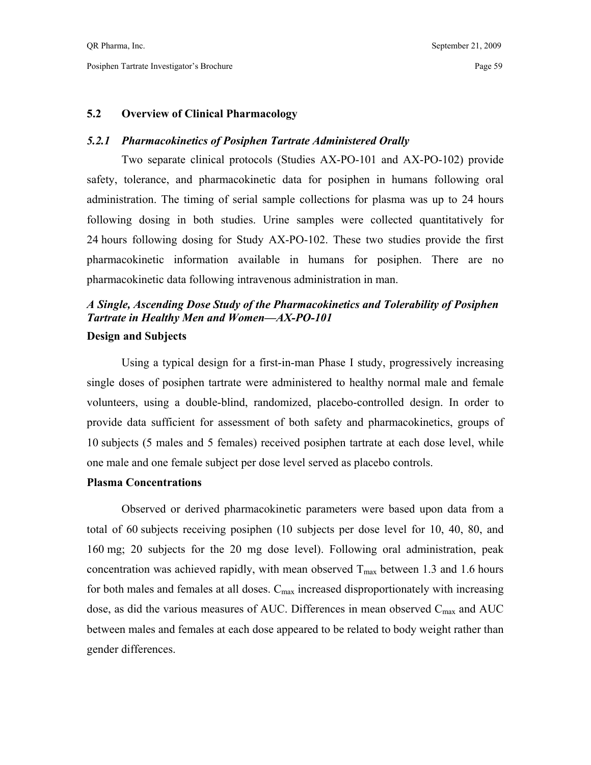## **5.2 Overview of Clinical Pharmacology**

## *5.2.1 Pharmacokinetics of Posiphen Tartrate Administered Orally*

 Two separate clinical protocols (Studies AX-PO-101 and AX-PO-102) provide safety, tolerance, and pharmacokinetic data for posiphen in humans following oral administration. The timing of serial sample collections for plasma was up to 24 hours following dosing in both studies. Urine samples were collected quantitatively for 24 hours following dosing for Study AX-PO-102. These two studies provide the first pharmacokinetic information available in humans for posiphen. There are no pharmacokinetic data following intravenous administration in man.

## *A Single, Ascending Dose Study of the Pharmacokinetics and Tolerability of Posiphen Tartrate in Healthy Men and Women—AX-PO-101*  **Design and Subjects**

 Using a typical design for a first-in-man Phase I study, progressively increasing single doses of posiphen tartrate were administered to healthy normal male and female volunteers, using a double-blind, randomized, placebo-controlled design. In order to provide data sufficient for assessment of both safety and pharmacokinetics, groups of 10 subjects (5 males and 5 females) received posiphen tartrate at each dose level, while one male and one female subject per dose level served as placebo controls.

#### **Plasma Concentrations**

 Observed or derived pharmacokinetic parameters were based upon data from a total of 60 subjects receiving posiphen (10 subjects per dose level for 10, 40, 80, and 160 mg; 20 subjects for the 20 mg dose level). Following oral administration, peak concentration was achieved rapidly, with mean observed  $T_{\text{max}}$  between 1.3 and 1.6 hours for both males and females at all doses.  $C_{\text{max}}$  increased disproportionately with increasing dose, as did the various measures of AUC. Differences in mean observed  $C_{\text{max}}$  and AUC between males and females at each dose appeared to be related to body weight rather than gender differences.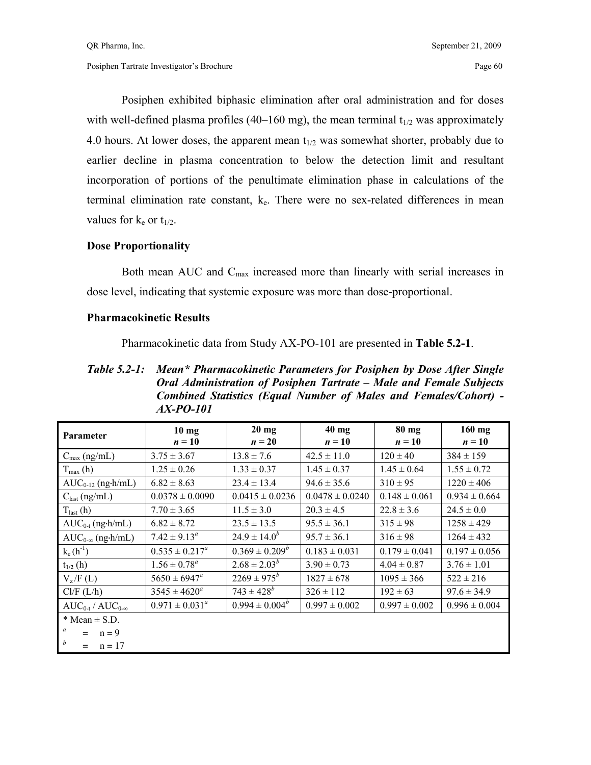Posiphen exhibited biphasic elimination after oral administration and for doses with well-defined plasma profiles (40–160 mg), the mean terminal  $t_{1/2}$  was approximately 4.0 hours. At lower doses, the apparent mean  $t_{1/2}$  was somewhat shorter, probably due to earlier decline in plasma concentration to below the detection limit and resultant incorporation of portions of the penultimate elimination phase in calculations of the terminal elimination rate constant,  $k_e$ . There were no sex-related differences in mean values for  $k_e$  or  $t_{1/2}$ .

## **Dose Proportionality**

Both mean AUC and  $C_{\text{max}}$  increased more than linearly with serial increases in dose level, indicating that systemic exposure was more than dose-proportional.

## **Pharmacokinetic Results**

Pharmacokinetic data from Study AX-PO-101 are presented in **Table 5.2-1**.

*Table 5.2-1: Mean\* Pharmacokinetic Parameters for Posiphen by Dose After Single Oral Administration of Posiphen Tartrate – Male and Female Subjects Combined Statistics (Equal Number of Males and Females/Cohort) - AX-PO-101* 

| Parameter                    | $10 \text{ mg}$<br>$n = 10$ | $20 \text{ mg}$<br>$n=20$ | $40$ mg<br>$n = 10$ | 80 mg<br>$n = 10$ | $160$ mg<br>$n = 10$ |
|------------------------------|-----------------------------|---------------------------|---------------------|-------------------|----------------------|
| $C_{\text{max}}$ (ng/mL)     | $3.75 \pm 3.67$             | $13.8 \pm 7.6$            | $42.5 \pm 11.0$     | $120 \pm 40$      | $384 \pm 159$        |
| $T_{\text{max}}(h)$          | $1.25 \pm 0.26$             | $1.33 \pm 0.37$           | $1.45 \pm 0.37$     | $1.45 \pm 0.64$   | $1.55 \pm 0.72$      |
| $AUC_{0-12}$ (ng-h/mL)       | $6.82 \pm 8.63$             | $23.4 \pm 13.4$           | $94.6 \pm 35.6$     | $310 \pm 95$      | $1220 \pm 406$       |
| $C_{\text{last}}$ (ng/mL)    | $0.0378 \pm 0.0090$         | $0.0415 \pm 0.0236$       | $0.0478 \pm 0.0240$ | $0.148 \pm 0.061$ | $0.934 \pm 0.664$    |
| $T_{last}(h)$                | $7.70 \pm 3.65$             | $11.5 \pm 3.0$            | $20.3 \pm 4.5$      | $22.8 \pm 3.6$    | $24.5 \pm 0.0$       |
| $AUC_{0-t}$ (ng·h/mL)        | $6.82 \pm 8.72$             | $23.5 \pm 13.5$           | $95.5 \pm 36.1$     | $315 \pm 98$      | $1258 \pm 429$       |
| $AUC_{0-\infty}$ (ng-h/mL)   | $7.42 \pm 9.13^{\circ}$     | $24.9 \pm 14.0^b$         | $95.7 \pm 36.1$     | $316 \pm 98$      | $1264 \pm 432$       |
| $k_e(h^{-1})$                | $0.535 \pm 0.217^a$         | $0.369 \pm 0.209^b$       | $0.183 \pm 0.031$   | $0.179 \pm 0.041$ | $0.197 \pm 0.056$    |
| $t_{1/2}$ (h)                | $1.56 \pm 0.78^a$           | $2.68 \pm 2.03^{b}$       | $3.90 \pm 0.73$     | $4.04 \pm 0.87$   | $3.76 \pm 1.01$      |
| $V_z/F(L)$                   | $5650 \pm 6947^{\circ}$     | $2269 \pm 975^b$          | $1827 \pm 678$      | $1095 \pm 366$    | $522 \pm 216$        |
| Cl/F (L/h)                   | $3545 \pm 4620^a$           | $743 \pm 428^b$           | $326 \pm 112$       | $192 \pm 63$      | $97.6 \pm 34.9$      |
| $AUC_{0-t}/AUC_{0-\infty}$   | $0.971 \pm 0.031^a$         | $0.994 \pm 0.004^b$       | $0.997 \pm 0.002$   | $0.997 \pm 0.002$ | $0.996 \pm 0.004$    |
| $*$ Mean $\pm$ S.D.          |                             |                           |                     |                   |                      |
| $\boldsymbol{a}$<br>$n = 9$  |                             |                           |                     |                   |                      |
| $\boldsymbol{b}$<br>$n = 17$ |                             |                           |                     |                   |                      |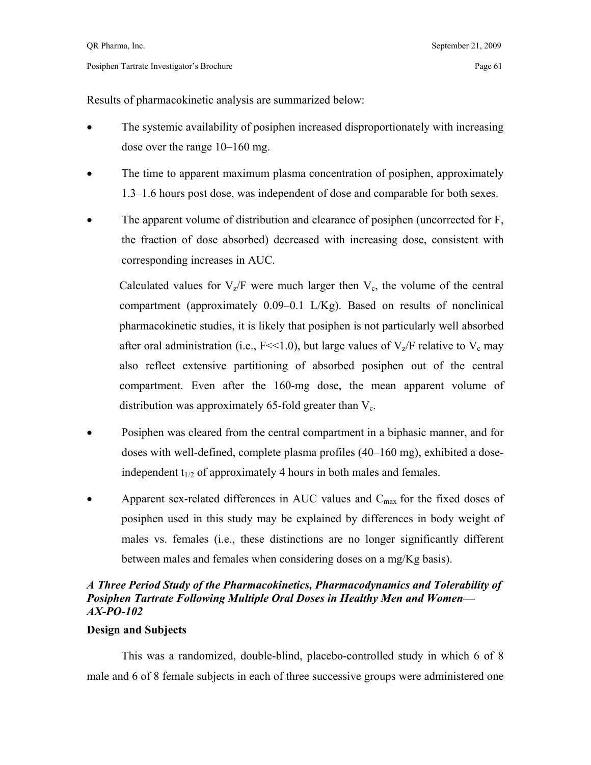Results of pharmacokinetic analysis are summarized below:

- The systemic availability of posiphen increased disproportionately with increasing dose over the range 10–160 mg.
- The time to apparent maximum plasma concentration of posiphen, approximately 1.3–1.6 hours post dose, was independent of dose and comparable for both sexes.
- The apparent volume of distribution and clearance of posiphen (uncorrected for F, the fraction of dose absorbed) decreased with increasing dose, consistent with corresponding increases in AUC.

Calculated values for  $V_z/F$  were much larger then  $V_c$ , the volume of the central compartment (approximately 0.09–0.1 L/Kg). Based on results of nonclinical pharmacokinetic studies, it is likely that posiphen is not particularly well absorbed after oral administration (i.e.,  $F \ll 1.0$ ), but large values of  $V_z/F$  relative to  $V_c$  may also reflect extensive partitioning of absorbed posiphen out of the central compartment. Even after the 160-mg dose, the mean apparent volume of distribution was approximately 65-fold greater than  $V_c$ .

- Posiphen was cleared from the central compartment in a biphasic manner, and for doses with well-defined, complete plasma profiles (40–160 mg), exhibited a doseindependent  $t_{1/2}$  of approximately 4 hours in both males and females.
- Apparent sex-related differences in AUC values and  $C_{\text{max}}$  for the fixed doses of posiphen used in this study may be explained by differences in body weight of males vs. females (i.e., these distinctions are no longer significantly different between males and females when considering doses on a mg/Kg basis).

## *A Three Period Study of the Pharmacokinetics, Pharmacodynamics and Tolerability of Posiphen Tartrate Following Multiple Oral Doses in Healthy Men and Women— AX-PO-102*

## **Design and Subjects**

 This was a randomized, double-blind, placebo-controlled study in which 6 of 8 male and 6 of 8 female subjects in each of three successive groups were administered one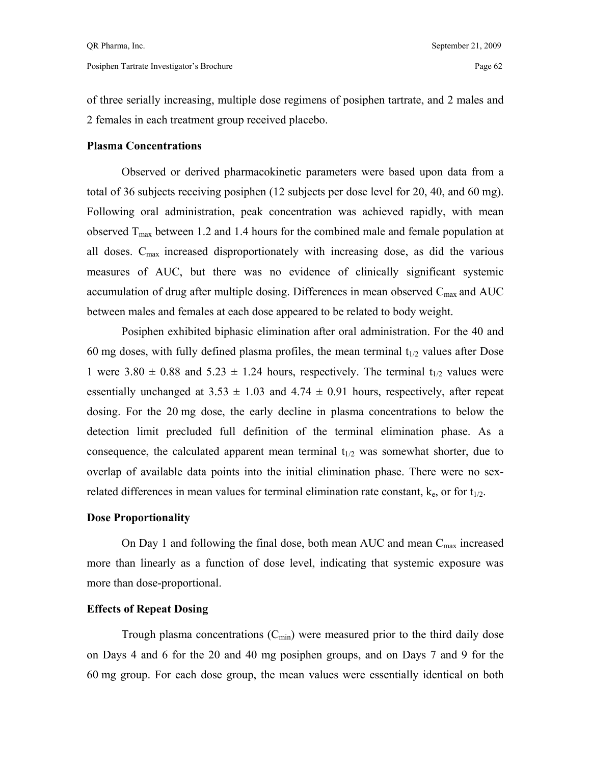of three serially increasing, multiple dose regimens of posiphen tartrate, and 2 males and 2 females in each treatment group received placebo.

## **Plasma Concentrations**

 Observed or derived pharmacokinetic parameters were based upon data from a total of 36 subjects receiving posiphen (12 subjects per dose level for 20, 40, and 60 mg). Following oral administration, peak concentration was achieved rapidly, with mean observed  $T_{\text{max}}$  between 1.2 and 1.4 hours for the combined male and female population at all doses.  $C_{\text{max}}$  increased disproportionately with increasing dose, as did the various measures of AUC, but there was no evidence of clinically significant systemic accumulation of drug after multiple dosing. Differences in mean observed  $C_{\text{max}}$  and  $AUC$ between males and females at each dose appeared to be related to body weight.

 Posiphen exhibited biphasic elimination after oral administration. For the 40 and 60 mg doses, with fully defined plasma profiles, the mean terminal  $t_{1/2}$  values after Dose 1 were  $3.80 \pm 0.88$  and  $5.23 \pm 1.24$  hours, respectively. The terminal t<sub>1/2</sub> values were essentially unchanged at  $3.53 \pm 1.03$  and  $4.74 \pm 0.91$  hours, respectively, after repeat dosing. For the 20 mg dose, the early decline in plasma concentrations to below the detection limit precluded full definition of the terminal elimination phase. As a consequence, the calculated apparent mean terminal  $t_{1/2}$  was somewhat shorter, due to overlap of available data points into the initial elimination phase. There were no sexrelated differences in mean values for terminal elimination rate constant,  $k_e$ , or for  $t_{1/2}$ .

## **Dose Proportionality**

On Day 1 and following the final dose, both mean AUC and mean  $C_{\text{max}}$  increased more than linearly as a function of dose level, indicating that systemic exposure was more than dose-proportional.

## **Effects of Repeat Dosing**

Trough plasma concentrations  $(C_{\text{min}})$  were measured prior to the third daily dose on Days 4 and 6 for the 20 and 40 mg posiphen groups, and on Days 7 and 9 for the 60 mg group. For each dose group, the mean values were essentially identical on both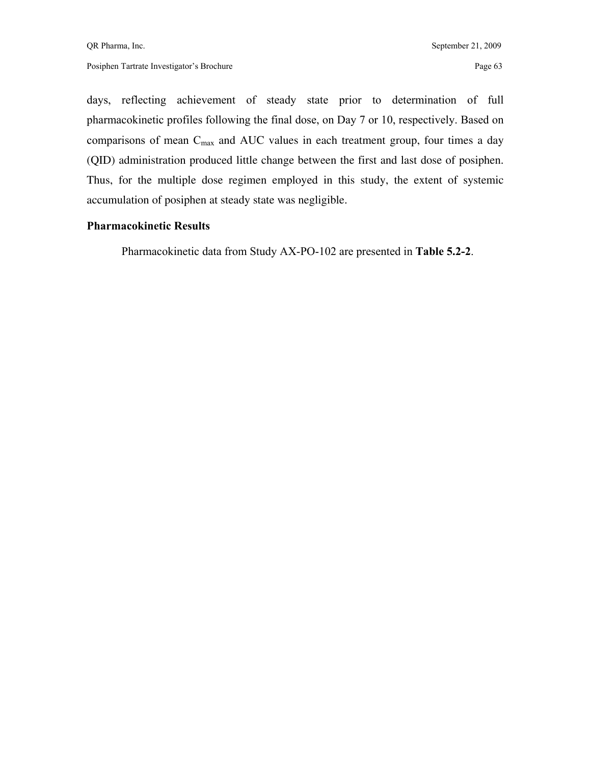days, reflecting achievement of steady state prior to determination of full pharmacokinetic profiles following the final dose, on Day 7 or 10, respectively. Based on comparisons of mean C<sub>max</sub> and AUC values in each treatment group, four times a day (QID) administration produced little change between the first and last dose of posiphen. Thus, for the multiple dose regimen employed in this study, the extent of systemic accumulation of posiphen at steady state was negligible.

## **Pharmacokinetic Results**

Pharmacokinetic data from Study AX-PO-102 are presented in **Table 5.2-2**.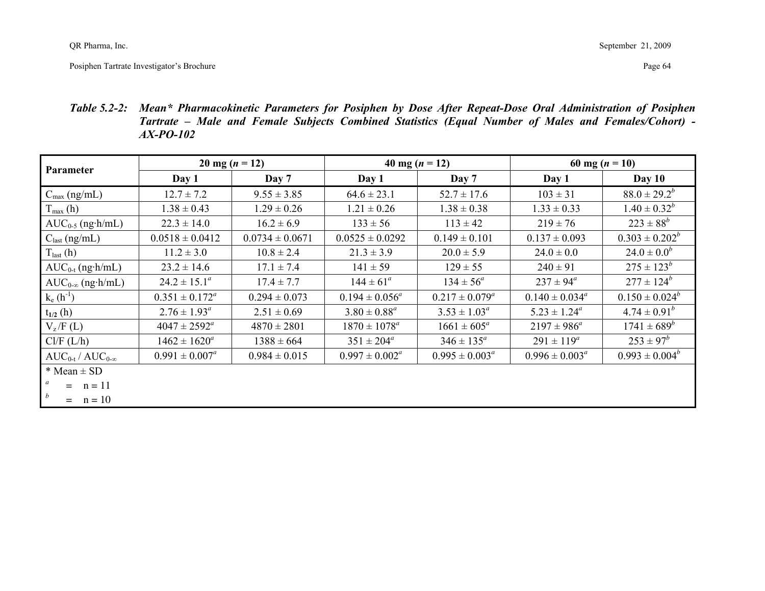*Table 5.2-2: Mean\* Pharmacokinetic Parameters for Posiphen by Dose After Repeat-Dose Oral Administration of Posiphen Tartrate – Male and Female Subjects Combined Statistics (Equal Number of Males and Females/Cohort) - AX-PO-102* 

|                                  |                         | $20 \text{ mg} (n = 12)$ | 40 mg $(n = 12)$    |                        |                      | 60 mg $(n = 10)$    |
|----------------------------------|-------------------------|--------------------------|---------------------|------------------------|----------------------|---------------------|
| Parameter                        | Day 1                   | Day 7                    | Day 1               | Day 7                  | Day 1                | Day $10$            |
| $C_{\text{max}}$ (ng/mL)         | $12.7 \pm 7.2$          | $9.55 \pm 3.85$          | $64.6 \pm 23.1$     | $52.7 \pm 17.6$        | $103 \pm 31$         | $88.0 \pm 29.2^b$   |
| $T_{\text{max}}$ (h)             | $1.38 \pm 0.43$         | $1.29 \pm 0.26$          | $1.21 \pm 0.26$     | $1.38 \pm 0.38$        | $1.33 \pm 0.33$      | $1.40 \pm 0.32^b$   |
| $AUC_{0-5}$ (ng·h/mL)            | $22.3 \pm 14.0$         | $16.2 \pm 6.9$           | $133 \pm 56$        | $113 \pm 42$           | $219 \pm 76$         | $223 \pm 88^b$      |
| $C_{\text{last}}$ (ng/mL)        | $0.0518 \pm 0.0412$     | $0.0734 \pm 0.0671$      | $0.0525 \pm 0.0292$ | $0.149 \pm 0.101$      | $0.137 \pm 0.093$    | $0.303 \pm 0.202^b$ |
| $T_{last}(h)$                    | $11.2 \pm 3.0$          | $10.8 \pm 2.4$           | $21.3 \pm 3.9$      | $20.0 \pm 5.9$         | $24.0 \pm 0.0$       | $24.0 \pm 0.0^b$    |
| $AUC_{0-t}$ (ng·h/mL)            | $23.2 \pm 14.6$         | $17.1 \pm 7.4$           | $141 \pm 59$        | $129 \pm 55$           | $240 \pm 91$         | $275 \pm 123^b$     |
| $AUC_{0-\infty}$ (ng·h/mL)       | $24.2 \pm 15.1^a$       | $17.4 \pm 7.7$           | $144 \pm 61^a$      | $134 \pm 56^a$         | $237 \pm 94^{\circ}$ | $277 \pm 124^b$     |
| $k_e(h^{-1})$                    | $0.351 \pm 0.172^a$     | $0.294 \pm 0.073$        | $0.194 \pm 0.056^a$ | $0.217 \pm 0.079^a$    | $0.140 \pm 0.034^a$  | $0.150 \pm 0.024^b$ |
| $t_{1/2}$ (h)                    | $2.76 \pm 1.93^{\circ}$ | $2.51 \pm 0.69$          | $3.80 \pm 0.88^a$   | $3.53 \pm 1.03^a$      | $5.23 \pm 1.24^a$    | $4.74 \pm 0.91^b$   |
| $V_z/F(L)$                       | $4047 \pm 2592^{\circ}$ | $4870 \pm 2801$          | $1870 \pm 1078^a$   | $1661 \pm 605^{\circ}$ | $2197 \pm 986^a$     | $1741 \pm 689^b$    |
| Cl/F (L/h)                       | $1462 \pm 1620^a$       | $1388 \pm 664$           | $351 \pm 204^a$     | $346 \pm 135^{\circ}$  | $291 \pm 119^a$      | $253 \pm 97^b$      |
| $AUC_{0-t}/AUC_{0-\infty}$       | $0.991 \pm 0.007^a$     | $0.984 \pm 0.015$        | $0.997 \pm 0.002^a$ | $0.995 \pm 0.003^a$    | $0.996 \pm 0.003^a$  | $0.993 \pm 0.004^b$ |
| $*$ Mean $\pm$ SD                |                         |                          |                     |                        |                      |                     |
| $=$ $n = 11$                     |                         |                          |                     |                        |                      |                     |
| $\boldsymbol{b}$<br>$=$ $n = 10$ |                         |                          |                     |                        |                      |                     |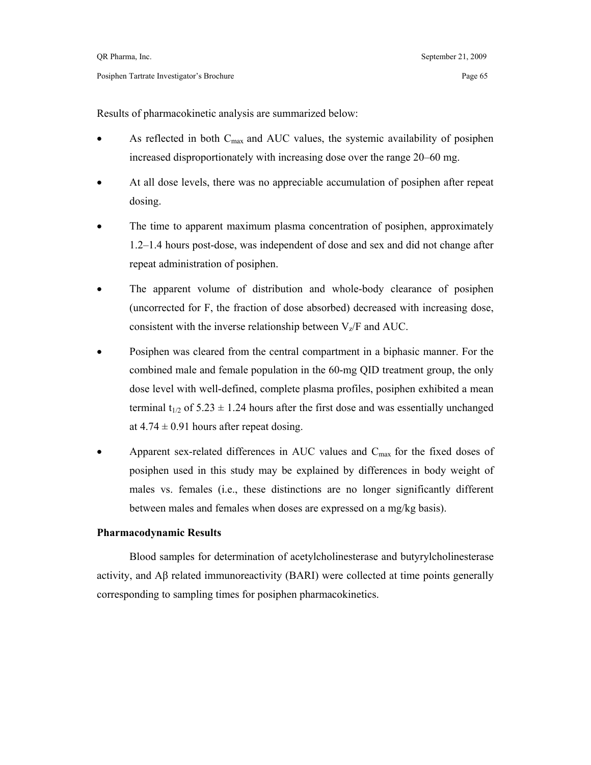Results of pharmacokinetic analysis are summarized below:

- As reflected in both  $C_{\text{max}}$  and AUC values, the systemic availability of posiphen increased disproportionately with increasing dose over the range 20–60 mg.
- At all dose levels, there was no appreciable accumulation of posiphen after repeat dosing.
- The time to apparent maximum plasma concentration of posiphen, approximately 1.2–1.4 hours post-dose, was independent of dose and sex and did not change after repeat administration of posiphen.
- The apparent volume of distribution and whole-body clearance of posiphen (uncorrected for F, the fraction of dose absorbed) decreased with increasing dose, consistent with the inverse relationship between  $V_z$  and AUC.
- Posiphen was cleared from the central compartment in a biphasic manner. For the combined male and female population in the 60-mg QID treatment group, the only dose level with well-defined, complete plasma profiles, posiphen exhibited a mean terminal  $t_{1/2}$  of 5.23  $\pm$  1.24 hours after the first dose and was essentially unchanged at  $4.74 \pm 0.91$  hours after repeat dosing.
- Apparent sex-related differences in AUC values and  $C_{\text{max}}$  for the fixed doses of posiphen used in this study may be explained by differences in body weight of males vs. females (i.e., these distinctions are no longer significantly different between males and females when doses are expressed on a mg/kg basis).

#### **Pharmacodynamic Results**

 Blood samples for determination of acetylcholinesterase and butyrylcholinesterase activity, and Aβ related immunoreactivity (BARI) were collected at time points generally corresponding to sampling times for posiphen pharmacokinetics.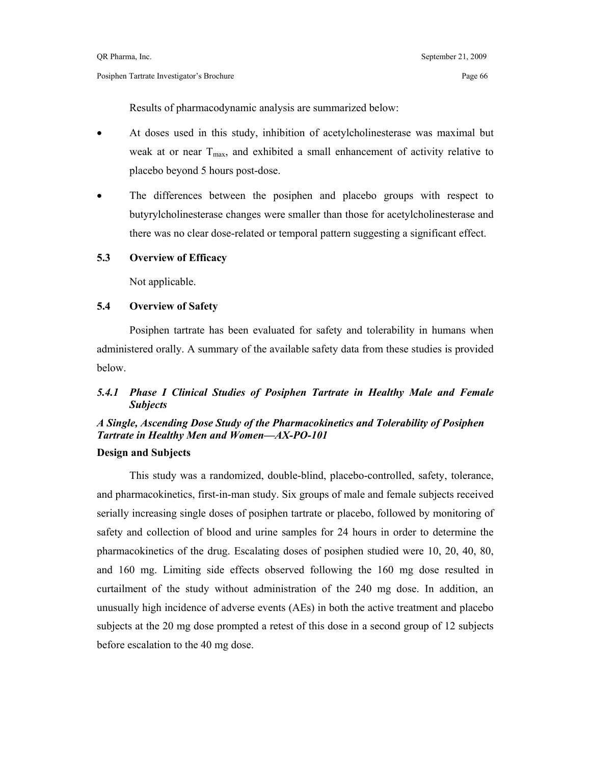Results of pharmacodynamic analysis are summarized below:

- At doses used in this study, inhibition of acetylcholinesterase was maximal but weak at or near  $T_{\text{max}}$ , and exhibited a small enhancement of activity relative to placebo beyond 5 hours post-dose.
- The differences between the posiphen and placebo groups with respect to butyrylcholinesterase changes were smaller than those for acetylcholinesterase and there was no clear dose-related or temporal pattern suggesting a significant effect.

#### **5.3 Overview of Efficacy**

Not applicable.

#### **5.4 Overview of Safety**

 Posiphen tartrate has been evaluated for safety and tolerability in humans when administered orally. A summary of the available safety data from these studies is provided below.

## *5.4.1 Phase I Clinical Studies of Posiphen Tartrate in Healthy Male and Female Subjects*

# *A Single, Ascending Dose Study of the Pharmacokinetics and Tolerability of Posiphen Tartrate in Healthy Men and Women—AX-PO-101*

## **Design and Subjects**

 This study was a randomized, double-blind, placebo-controlled, safety, tolerance, and pharmacokinetics, first-in-man study. Six groups of male and female subjects received serially increasing single doses of posiphen tartrate or placebo, followed by monitoring of safety and collection of blood and urine samples for 24 hours in order to determine the pharmacokinetics of the drug. Escalating doses of posiphen studied were 10, 20, 40, 80, and 160 mg. Limiting side effects observed following the 160 mg dose resulted in curtailment of the study without administration of the 240 mg dose. In addition, an unusually high incidence of adverse events (AEs) in both the active treatment and placebo subjects at the 20 mg dose prompted a retest of this dose in a second group of 12 subjects before escalation to the 40 mg dose.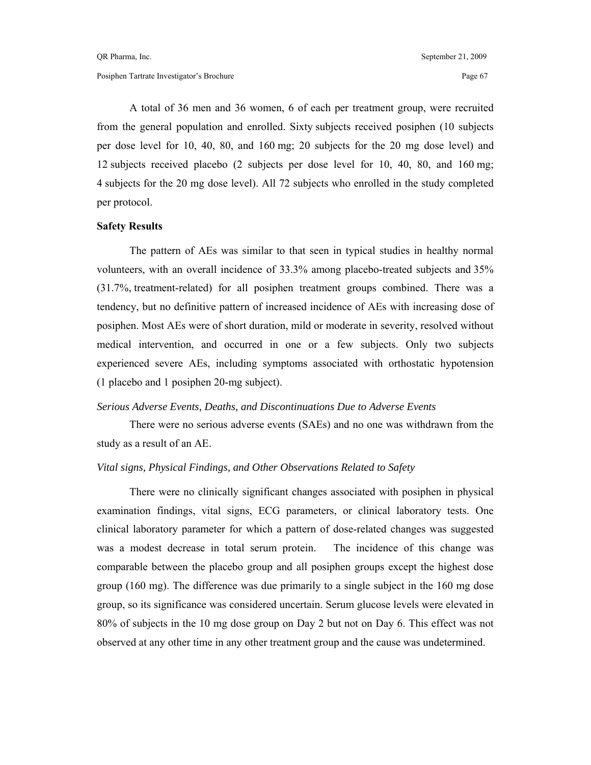A total of 36 men and 36 women, 6 of each per treatment group, were recruited from the general population and enrolled. Sixty subjects received posiphen (10 subjects per dose level for 10, 40, 80, and 160 mg; 20 subjects for the 20 mg dose level) and 12 subjects received placebo (2 subjects per dose level for 10, 40, 80, and 160 mg; 4 subjects for the 20 mg dose level). All 72 subjects who enrolled in the study completed per protocol.

#### **Safety Results**

 The pattern of AEs was similar to that seen in typical studies in healthy normal volunteers, with an overall incidence of 33.3% among placebo-treated subjects and 35% (31.7%, treatment-related) for all posiphen treatment groups combined. There was a tendency, but no definitive pattern of increased incidence of AEs with increasing dose of posiphen. Most AEs were of short duration, mild or moderate in severity, resolved without medical intervention, and occurred in one or a few subjects. Only two subjects experienced severe AEs, including symptoms associated with orthostatic hypotension (1 placebo and 1 posiphen 20-mg subject).

#### *Serious Adverse Events, Deaths, and Discontinuations Due to Adverse Events*

 There were no serious adverse events (SAEs) and no one was withdrawn from the study as a result of an AE.

## *Vital signs, Physical Findings, and Other Observations Related to Safety*

 There were no clinically significant changes associated with posiphen in physical examination findings, vital signs, ECG parameters, or clinical laboratory tests. One clinical laboratory parameter for which a pattern of dose-related changes was suggested was a modest decrease in total serum protein. The incidence of this change was comparable between the placebo group and all posiphen groups except the highest dose group (160 mg). The difference was due primarily to a single subject in the 160 mg dose group, so its significance was considered uncertain. Serum glucose levels were elevated in 80% of subjects in the 10 mg dose group on Day 2 but not on Day 6. This effect was not observed at any other time in any other treatment group and the cause was undetermined.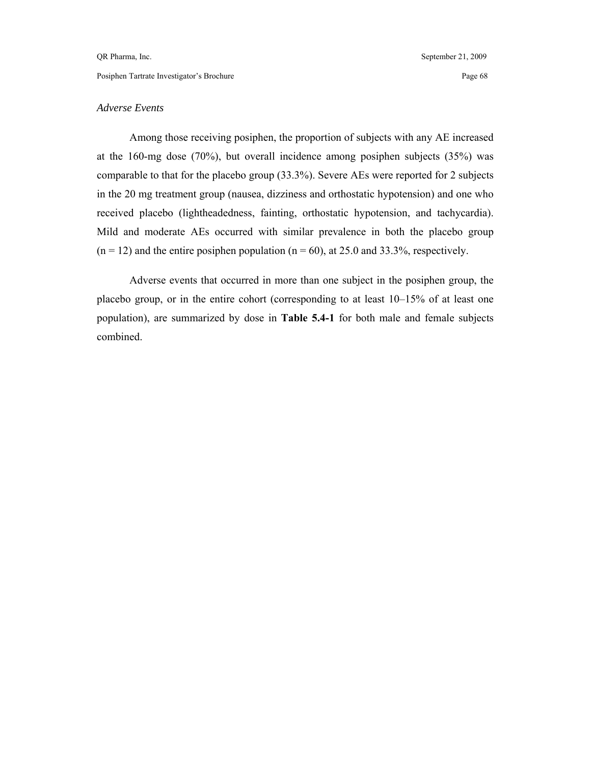#### *Adverse Events*

 Among those receiving posiphen, the proportion of subjects with any AE increased at the 160-mg dose (70%), but overall incidence among posiphen subjects (35%) was comparable to that for the placebo group (33.3%). Severe AEs were reported for 2 subjects in the 20 mg treatment group (nausea, dizziness and orthostatic hypotension) and one who received placebo (lightheadedness, fainting, orthostatic hypotension, and tachycardia). Mild and moderate AEs occurred with similar prevalence in both the placebo group  $(n = 12)$  and the entire posiphen population  $(n = 60)$ , at 25.0 and 33.3%, respectively.

 Adverse events that occurred in more than one subject in the posiphen group, the placebo group, or in the entire cohort (corresponding to at least 10–15% of at least one population), are summarized by dose in **Table 5.4-1** for both male and female subjects combined.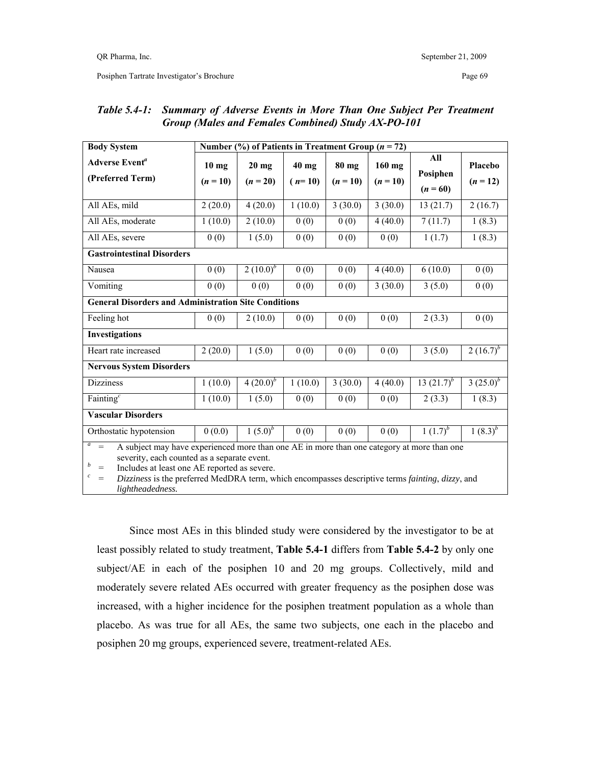| <b>Body System</b>                                                                                                                                                                                                                                                                                                                                                              | Number (%) of Patients in Treatment Group ( $n = 72$ ) |                       |                     |                     |                        |                               |                       |  |  |  |
|---------------------------------------------------------------------------------------------------------------------------------------------------------------------------------------------------------------------------------------------------------------------------------------------------------------------------------------------------------------------------------|--------------------------------------------------------|-----------------------|---------------------|---------------------|------------------------|-------------------------------|-----------------------|--|--|--|
| Adverse Event <sup>a</sup><br>(Preferred Term)                                                                                                                                                                                                                                                                                                                                  | $10$ mg<br>$(n = 10)$                                  | $20$ mg<br>$(n = 20)$ | $40$ mg<br>$(n=10)$ | 80 mg<br>$(n = 10)$ | $160$ mg<br>$(n = 10)$ | All<br>Posiphen<br>$(n = 60)$ | Placebo<br>$(n = 12)$ |  |  |  |
| All AEs, mild                                                                                                                                                                                                                                                                                                                                                                   | 2(20.0)                                                | 4(20.0)               | 1(10.0)             | 3(30.0)             | 3(30.0)                | 13(21.7)                      | 2(16.7)               |  |  |  |
| All AEs, moderate                                                                                                                                                                                                                                                                                                                                                               | 1(10.0)                                                | 2(10.0)               | 0(0)                | 0(0)                | 4(40.0)                | 7(11.7)                       | 1(8.3)                |  |  |  |
| All AEs, severe                                                                                                                                                                                                                                                                                                                                                                 | 0(0)                                                   | 1(5.0)                | 0(0)                | 0(0)                | 0(0)                   | 1(1.7)                        | 1(8.3)                |  |  |  |
| <b>Gastrointestinal Disorders</b>                                                                                                                                                                                                                                                                                                                                               |                                                        |                       |                     |                     |                        |                               |                       |  |  |  |
| Nausea                                                                                                                                                                                                                                                                                                                                                                          | 0(0)                                                   | 2 $(10.0)^b$          | 0(0)                | 0(0)                | 4(40.0)                | 6(10.0)                       | 0(0)                  |  |  |  |
| Vomiting                                                                                                                                                                                                                                                                                                                                                                        | 0(0)                                                   | 0(0)                  | 0(0)                | 0(0)                | 3(30.0)                | 3(5.0)                        | 0(0)                  |  |  |  |
| <b>General Disorders and Administration Site Conditions</b>                                                                                                                                                                                                                                                                                                                     |                                                        |                       |                     |                     |                        |                               |                       |  |  |  |
| Feeling hot                                                                                                                                                                                                                                                                                                                                                                     | 0(0)                                                   | 2(10.0)               | 0(0)                | 0(0)                | 0(0)                   | 2(3.3)                        | 0(0)                  |  |  |  |
| <b>Investigations</b>                                                                                                                                                                                                                                                                                                                                                           |                                                        |                       |                     |                     |                        |                               |                       |  |  |  |
| Heart rate increased                                                                                                                                                                                                                                                                                                                                                            | 2(20.0)                                                | 1(5.0)                | 0(0)                | 0(0)                | 0(0)                   | 3(5.0)                        | $2(16.7)^{b}$         |  |  |  |
| <b>Nervous System Disorders</b>                                                                                                                                                                                                                                                                                                                                                 |                                                        |                       |                     |                     |                        |                               |                       |  |  |  |
| <b>Dizziness</b>                                                                                                                                                                                                                                                                                                                                                                | 1(10.0)                                                | $4(20.0)^{b}$         | 1(10.0)             | 3(30.0)             | 4(40.0)                | 13 $(21.7)^b$                 | $3(25.0)^{b}$         |  |  |  |
| Fainting $^c$                                                                                                                                                                                                                                                                                                                                                                   | 1(10.0)                                                | 1(5.0)                | 0(0)                | 0(0)                | 0(0)                   | 2(3.3)                        | 1(8.3)                |  |  |  |
| <b>Vascular Disorders</b>                                                                                                                                                                                                                                                                                                                                                       |                                                        |                       |                     |                     |                        |                               |                       |  |  |  |
| Orthostatic hypotension                                                                                                                                                                                                                                                                                                                                                         | 0(0.0)                                                 | $1(5.0)^{b}$          | 0(0)                | 0(0)                | 0(0)                   | $1(1.7)^{b}$                  | $1(8.3)^{b}$          |  |  |  |
| $a$ =<br>A subject may have experienced more than one AE in more than one category at more than one<br>severity, each counted as a separate event.<br>b<br>Includes at least one AE reported as severe.<br>$=$<br>$\boldsymbol{c}$<br>Dizziness is the preferred MedDRA term, which encompasses descriptive terms fainting, dizzy, and<br>$\qquad \qquad =$<br>lightheadedness. |                                                        |                       |                     |                     |                        |                               |                       |  |  |  |

## *Table 5.4-1: Summary of Adverse Events in More Than One Subject Per Treatment Group (Males and Females Combined) Study AX-PO-101*

 Since most AEs in this blinded study were considered by the investigator to be at least possibly related to study treatment, **Table 5.4-1** differs from **Table 5.4-2** by only one subject/AE in each of the posiphen 10 and 20 mg groups. Collectively, mild and moderately severe related AEs occurred with greater frequency as the posiphen dose was increased, with a higher incidence for the posiphen treatment population as a whole than placebo. As was true for all AEs, the same two subjects, one each in the placebo and posiphen 20 mg groups, experienced severe, treatment-related AEs.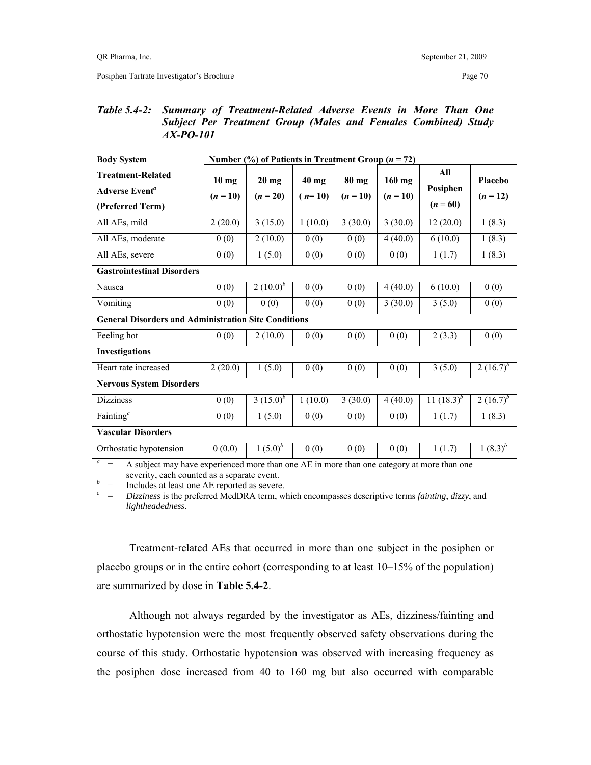## *Table 5.4-2: Summary of Treatment-Related Adverse Events in More Than One Subject Per Treatment Group (Males and Females Combined) Study AX-PO-101*

| <b>Body System</b>                                                                                                                                                                                                                                                                                                                                                                                   | Number (%) of Patients in Treatment Group ( $n = 72$ ) |                       |                   |                     |                        |                               |                       |  |  |  |
|------------------------------------------------------------------------------------------------------------------------------------------------------------------------------------------------------------------------------------------------------------------------------------------------------------------------------------------------------------------------------------------------------|--------------------------------------------------------|-----------------------|-------------------|---------------------|------------------------|-------------------------------|-----------------------|--|--|--|
| <b>Treatment-Related</b><br>Adverse Event <sup>a</sup><br>(Preferred Term)                                                                                                                                                                                                                                                                                                                           | $10$ mg<br>$(n = 10)$                                  | $20$ mg<br>$(n = 20)$ | 40 mg<br>$(n=10)$ | 80 mg<br>$(n = 10)$ | $160$ mg<br>$(n = 10)$ | All<br>Posiphen<br>$(n = 60)$ | Placebo<br>$(n = 12)$ |  |  |  |
| All AEs, mild                                                                                                                                                                                                                                                                                                                                                                                        | 2(20.0)                                                | 3(15.0)               | 1(10.0)           | 3(30.0)             | 3(30.0)                | 12(20.0)                      | 1(8.3)                |  |  |  |
| All AEs, moderate                                                                                                                                                                                                                                                                                                                                                                                    | 0(0)                                                   | 2(10.0)               | 0(0)              | 0(0)                | 4(40.0)                | 6(10.0)                       | 1(8.3)                |  |  |  |
| All AEs, severe                                                                                                                                                                                                                                                                                                                                                                                      | 0(0)                                                   | 1(5.0)                | 0(0)              | 0(0)                | 0(0)                   | 1(1.7)                        | 1(8.3)                |  |  |  |
| <b>Gastrointestinal Disorders</b>                                                                                                                                                                                                                                                                                                                                                                    |                                                        |                       |                   |                     |                        |                               |                       |  |  |  |
| Nausea                                                                                                                                                                                                                                                                                                                                                                                               | 0(0)                                                   | $2(10.0)^{b}$         | 0(0)              | 0(0)                | 4(40.0)                | 6(10.0)                       | 0(0)                  |  |  |  |
| Vomiting                                                                                                                                                                                                                                                                                                                                                                                             | 0(0)                                                   | 0(0)                  | 0(0)              | 0(0)                | 3(30.0)                | 3(5.0)                        | 0(0)                  |  |  |  |
| <b>General Disorders and Administration Site Conditions</b>                                                                                                                                                                                                                                                                                                                                          |                                                        |                       |                   |                     |                        |                               |                       |  |  |  |
| Feeling hot                                                                                                                                                                                                                                                                                                                                                                                          | 0(0)                                                   | 2(10.0)               | 0(0)              | 0(0)                | 0(0)                   | 2(3.3)                        | 0(0)                  |  |  |  |
| <b>Investigations</b>                                                                                                                                                                                                                                                                                                                                                                                |                                                        |                       |                   |                     |                        |                               |                       |  |  |  |
| Heart rate increased                                                                                                                                                                                                                                                                                                                                                                                 | 2(20.0)                                                | 1(5.0)                | 0(0)              | 0(0)                | 0(0)                   | 3(5.0)                        | $2(16.7)^{b}$         |  |  |  |
| <b>Nervous System Disorders</b>                                                                                                                                                                                                                                                                                                                                                                      |                                                        |                       |                   |                     |                        |                               |                       |  |  |  |
| <b>Dizziness</b>                                                                                                                                                                                                                                                                                                                                                                                     | 0(0)                                                   | 3 $(15.0)^b$          | 1(10.0)           | 3(30.0)             | 4(40.0)                | 11 $(18.3)^b$                 | $2(16.7)^{b}$         |  |  |  |
| Fainting $^c$                                                                                                                                                                                                                                                                                                                                                                                        | 0(0)                                                   | 1(5.0)                | 0(0)              | 0(0)                | 0(0)                   | 1(1.7)                        | 1(8.3)                |  |  |  |
| <b>Vascular Disorders</b>                                                                                                                                                                                                                                                                                                                                                                            |                                                        |                       |                   |                     |                        |                               |                       |  |  |  |
| Orthostatic hypotension                                                                                                                                                                                                                                                                                                                                                                              | 0(0.0)                                                 | $1(5.0)^b$            | 0(0)              | 0(0)                | 0(0)                   | 1(1.7)                        | $1(8.3)^{b}$          |  |  |  |
| $\boldsymbol{a}$<br>$\equiv$<br>A subject may have experienced more than one AE in more than one category at more than one<br>severity, each counted as a separate event.<br>b<br>$\quad =$<br>Includes at least one AE reported as severe.<br>$\boldsymbol{c}$<br>Dizziness is the preferred MedDRA term, which encompasses descriptive terms fainting, dizzy, and<br>$\quad =$<br>lightheadedness. |                                                        |                       |                   |                     |                        |                               |                       |  |  |  |

 Treatment-related AEs that occurred in more than one subject in the posiphen or placebo groups or in the entire cohort (corresponding to at least 10–15% of the population) are summarized by dose in **Table 5.4-2**.

 Although not always regarded by the investigator as AEs, dizziness/fainting and orthostatic hypotension were the most frequently observed safety observations during the course of this study. Orthostatic hypotension was observed with increasing frequency as the posiphen dose increased from 40 to 160 mg but also occurred with comparable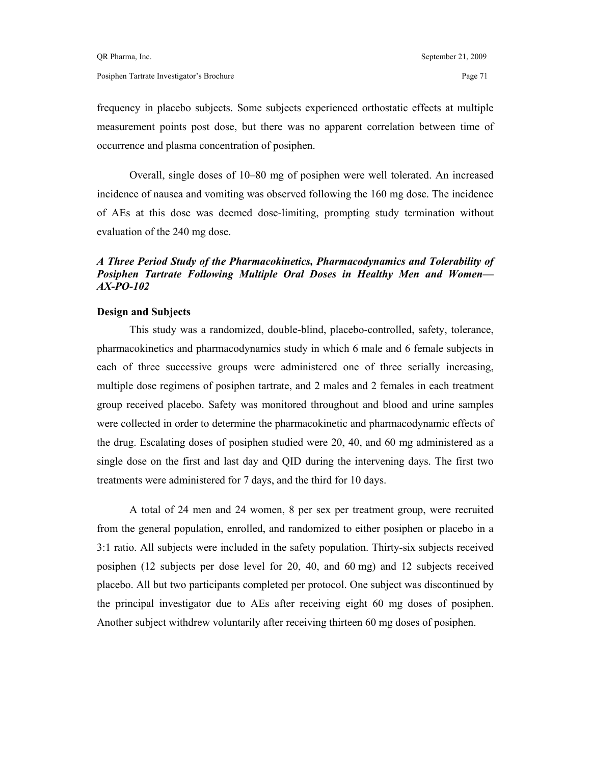frequency in placebo subjects. Some subjects experienced orthostatic effects at multiple measurement points post dose, but there was no apparent correlation between time of occurrence and plasma concentration of posiphen.

 Overall, single doses of 10–80 mg of posiphen were well tolerated. An increased incidence of nausea and vomiting was observed following the 160 mg dose. The incidence of AEs at this dose was deemed dose-limiting, prompting study termination without evaluation of the 240 mg dose.

## *A Three Period Study of the Pharmacokinetics, Pharmacodynamics and Tolerability of Posiphen Tartrate Following Multiple Oral Doses in Healthy Men and Women— AX-PO-102*

#### **Design and Subjects**

 This study was a randomized, double-blind, placebo-controlled, safety, tolerance, pharmacokinetics and pharmacodynamics study in which 6 male and 6 female subjects in each of three successive groups were administered one of three serially increasing, multiple dose regimens of posiphen tartrate, and 2 males and 2 females in each treatment group received placebo. Safety was monitored throughout and blood and urine samples were collected in order to determine the pharmacokinetic and pharmacodynamic effects of the drug. Escalating doses of posiphen studied were 20, 40, and 60 mg administered as a single dose on the first and last day and QID during the intervening days. The first two treatments were administered for 7 days, and the third for 10 days.

 A total of 24 men and 24 women, 8 per sex per treatment group, were recruited from the general population, enrolled, and randomized to either posiphen or placebo in a 3:1 ratio. All subjects were included in the safety population. Thirty-six subjects received posiphen (12 subjects per dose level for 20, 40, and 60 mg) and 12 subjects received placebo. All but two participants completed per protocol. One subject was discontinued by the principal investigator due to AEs after receiving eight 60 mg doses of posiphen. Another subject withdrew voluntarily after receiving thirteen 60 mg doses of posiphen.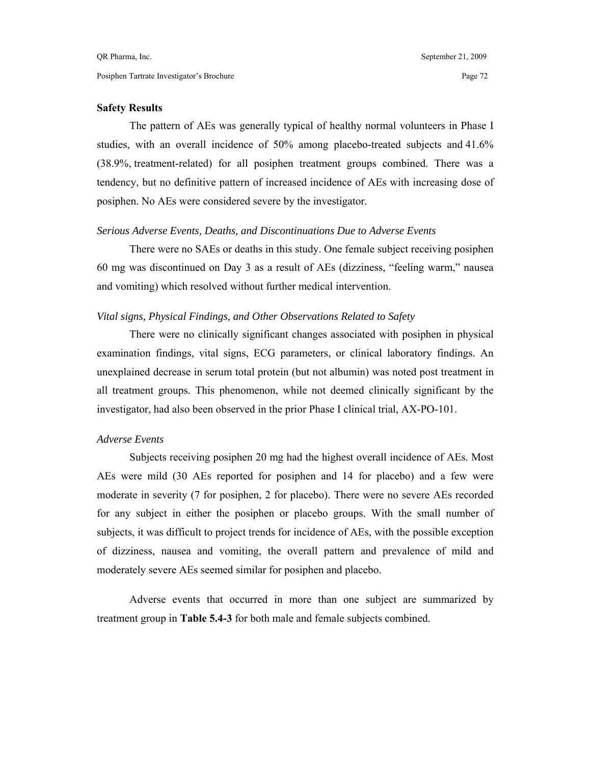#### **Safety Results**

 The pattern of AEs was generally typical of healthy normal volunteers in Phase I studies, with an overall incidence of 50% among placebo-treated subjects and 41.6% (38.9%, treatment-related) for all posiphen treatment groups combined. There was a tendency, but no definitive pattern of increased incidence of AEs with increasing dose of posiphen. No AEs were considered severe by the investigator.

#### *Serious Adverse Events, Deaths, and Discontinuations Due to Adverse Events*

 There were no SAEs or deaths in this study. One female subject receiving posiphen 60 mg was discontinued on Day 3 as a result of AEs (dizziness, "feeling warm," nausea and vomiting) which resolved without further medical intervention.

## *Vital signs, Physical Findings, and Other Observations Related to Safety*

 There were no clinically significant changes associated with posiphen in physical examination findings, vital signs, ECG parameters, or clinical laboratory findings. An unexplained decrease in serum total protein (but not albumin) was noted post treatment in all treatment groups. This phenomenon, while not deemed clinically significant by the investigator, had also been observed in the prior Phase I clinical trial, AX-PO-101.

#### *Adverse Events*

 Subjects receiving posiphen 20 mg had the highest overall incidence of AEs. Most AEs were mild (30 AEs reported for posiphen and 14 for placebo) and a few were moderate in severity (7 for posiphen, 2 for placebo). There were no severe AEs recorded for any subject in either the posiphen or placebo groups. With the small number of subjects, it was difficult to project trends for incidence of AEs, with the possible exception of dizziness, nausea and vomiting, the overall pattern and prevalence of mild and moderately severe AEs seemed similar for posiphen and placebo.

 Adverse events that occurred in more than one subject are summarized by treatment group in **Table 5.4-3** for both male and female subjects combined.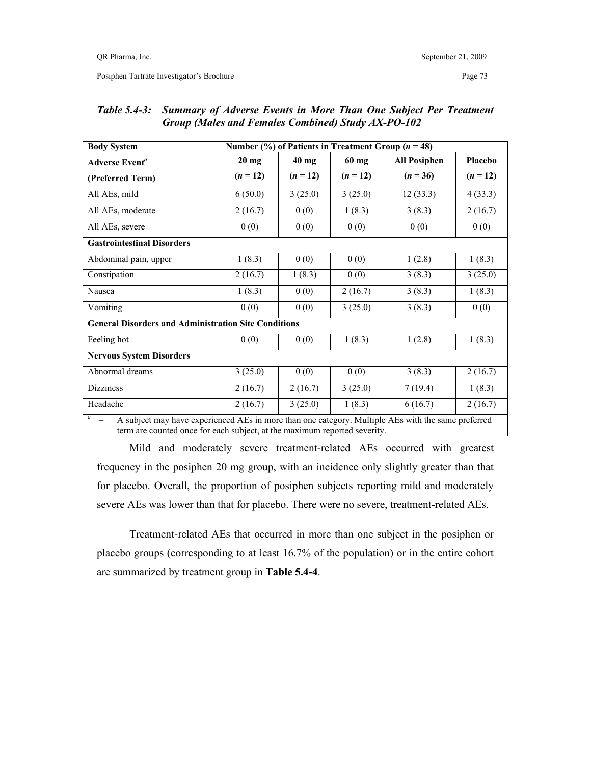Posiphen Tartrate Investigator's Brochure Page 73

| <b>Body System</b>                                                                                                                                                                                         | Number $(\% )$ of Patients in Treatment Group ( $n = 48$ ) |          |            |                     |          |  |  |  |
|------------------------------------------------------------------------------------------------------------------------------------------------------------------------------------------------------------|------------------------------------------------------------|----------|------------|---------------------|----------|--|--|--|
| <b>Adverse Event<sup>a</sup></b>                                                                                                                                                                           | $20$ mg                                                    | $40$ mg  | $60$ mg    | <b>All Posiphen</b> | Placebo  |  |  |  |
| (Preferred Term)                                                                                                                                                                                           | $(n=12)$                                                   | $(n=12)$ | $(n = 12)$ | $(n = 36)$          | $(n=12)$ |  |  |  |
| All AEs, mild                                                                                                                                                                                              | 6(50.0)                                                    | 3(25.0)  | 3(25.0)    | 12(33.3)            | 4(33.3)  |  |  |  |
| All AEs, moderate                                                                                                                                                                                          | 2(16.7)                                                    | 0(0)     | 1(8.3)     | 3(8.3)              | 2(16.7)  |  |  |  |
| All AEs, severe                                                                                                                                                                                            | 0(0)                                                       | 0(0)     | 0(0)       | 0(0)                | 0(0)     |  |  |  |
| <b>Gastrointestinal Disorders</b>                                                                                                                                                                          |                                                            |          |            |                     |          |  |  |  |
| Abdominal pain, upper                                                                                                                                                                                      | 1(8.3)                                                     | 0(0)     | 0(0)       | 1(2.8)              | 1(8.3)   |  |  |  |
| Constipation                                                                                                                                                                                               | 2(16.7)                                                    | 1(8.3)   | 0(0)       | 3(8.3)              | 3(25.0)  |  |  |  |
| Nausea                                                                                                                                                                                                     | 1(8.3)                                                     | 0(0)     | 2(16.7)    | 3(8.3)              | 1(8.3)   |  |  |  |
| Vomiting                                                                                                                                                                                                   | 0(0)                                                       | 0(0)     | 3(25.0)    | 3(8.3)              | 0(0)     |  |  |  |
| <b>General Disorders and Administration Site Conditions</b>                                                                                                                                                |                                                            |          |            |                     |          |  |  |  |
| Feeling hot                                                                                                                                                                                                | 0(0)                                                       | 0(0)     | 1(8.3)     | 1(2.8)              | 1(8.3)   |  |  |  |
| <b>Nervous System Disorders</b>                                                                                                                                                                            |                                                            |          |            |                     |          |  |  |  |
| Abnormal dreams                                                                                                                                                                                            | 3(25.0)                                                    | 0(0)     | 0(0)       | 3(8.3)              | 2(16.7)  |  |  |  |
| <b>Dizziness</b>                                                                                                                                                                                           | 2(16.7)                                                    | 2(16.7)  | 3(25.0)    | 7(19.4)             | 1(8.3)   |  |  |  |
| Headache                                                                                                                                                                                                   | 2(16.7)                                                    | 3(25.0)  | 1(8.3)     | 6(16.7)             | 2(16.7)  |  |  |  |
| $\boldsymbol{a}$<br>A subject may have experienced AEs in more than one category. Multiple AEs with the same preferred<br>$=$<br>term are counted once for each subject, at the maximum reported severity. |                                                            |          |            |                     |          |  |  |  |

## *Table 5.4-3: Summary of Adverse Events in More Than One Subject Per Treatment Group (Males and Females Combined) Study AX-PO-102*

 Mild and moderately severe treatment-related AEs occurred with greatest frequency in the posiphen 20 mg group, with an incidence only slightly greater than that for placebo. Overall, the proportion of posiphen subjects reporting mild and moderately severe AEs was lower than that for placebo. There were no severe, treatment-related AEs.

 Treatment-related AEs that occurred in more than one subject in the posiphen or placebo groups (corresponding to at least 16.7% of the population) or in the entire cohort are summarized by treatment group in **Table 5.4-4**.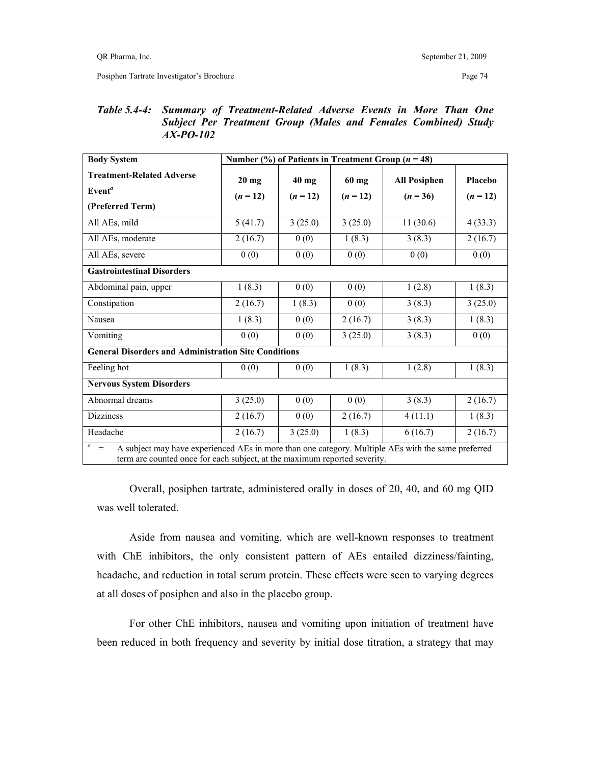## *Table 5.4-4: Summary of Treatment-Related Adverse Events in More Than One Subject Per Treatment Group (Males and Females Combined) Study AX-PO-102*

| <b>Body System</b>                                                                                                                                                                                         | Number $(\%)$ of Patients in Treatment Group ( $n = 48$ ) |            |          |                     |            |  |  |  |
|------------------------------------------------------------------------------------------------------------------------------------------------------------------------------------------------------------|-----------------------------------------------------------|------------|----------|---------------------|------------|--|--|--|
| <b>Treatment-Related Adverse</b>                                                                                                                                                                           | $20$ mg                                                   | $40$ mg    | 60 mg    | <b>All Posiphen</b> | Placebo    |  |  |  |
| Even <sup>a</sup>                                                                                                                                                                                          | $(n = 12)$                                                | $(n = 12)$ | $(n=12)$ | $(n = 36)$          | $(n = 12)$ |  |  |  |
| (Preferred Term)                                                                                                                                                                                           |                                                           |            |          |                     |            |  |  |  |
| All AEs, mild                                                                                                                                                                                              | 5(41.7)                                                   | 3(25.0)    | 3(25.0)  | 11(30.6)            | 4(33.3)    |  |  |  |
| All AEs, moderate                                                                                                                                                                                          | 2(16.7)                                                   | 0(0)       | 1(8.3)   | 3(8.3)              | 2(16.7)    |  |  |  |
| All AEs, severe                                                                                                                                                                                            | 0(0)                                                      | 0(0)       | 0(0)     | 0(0)                | 0(0)       |  |  |  |
| <b>Gastrointestinal Disorders</b>                                                                                                                                                                          |                                                           |            |          |                     |            |  |  |  |
| Abdominal pain, upper                                                                                                                                                                                      | 1(8.3)                                                    | 0(0)       | 0(0)     | 1(2.8)              | 1(8.3)     |  |  |  |
| Constipation                                                                                                                                                                                               | 2(16.7)                                                   | 1(8.3)     | 0(0)     | 3(8.3)              | 3(25.0)    |  |  |  |
| Nausea                                                                                                                                                                                                     | 1(8.3)                                                    | 0(0)       | 2(16.7)  | 3(8.3)              | 1(8.3)     |  |  |  |
| Vomiting                                                                                                                                                                                                   | 0(0)                                                      | 0(0)       | 3(25.0)  | 3(8.3)              | 0(0)       |  |  |  |
| <b>General Disorders and Administration Site Conditions</b>                                                                                                                                                |                                                           |            |          |                     |            |  |  |  |
| Feeling hot                                                                                                                                                                                                | 0(0)                                                      | 0(0)       | 1(8.3)   | 1(2.8)              | 1(8.3)     |  |  |  |
| <b>Nervous System Disorders</b>                                                                                                                                                                            |                                                           |            |          |                     |            |  |  |  |
| Abnormal dreams                                                                                                                                                                                            | 3(25.0)                                                   | 0(0)       | 0(0)     | 3(8.3)              | 2(16.7)    |  |  |  |
| <b>Dizziness</b>                                                                                                                                                                                           | 2(16.7)                                                   | 0(0)       | 2(16.7)  | 4(11.1)             | 1(8.3)     |  |  |  |
| Headache                                                                                                                                                                                                   | 2(16.7)                                                   | 3(25.0)    | 1(8.3)   | 6(16.7)             | 2(16.7)    |  |  |  |
| $\boldsymbol{a}$<br>$=$<br>A subject may have experienced AEs in more than one category. Multiple AEs with the same preferred<br>term are counted once for each subject, at the maximum reported severity. |                                                           |            |          |                     |            |  |  |  |

 Overall, posiphen tartrate, administered orally in doses of 20, 40, and 60 mg QID was well tolerated.

 Aside from nausea and vomiting, which are well-known responses to treatment with ChE inhibitors, the only consistent pattern of AEs entailed dizziness/fainting, headache, and reduction in total serum protein. These effects were seen to varying degrees at all doses of posiphen and also in the placebo group.

 For other ChE inhibitors, nausea and vomiting upon initiation of treatment have been reduced in both frequency and severity by initial dose titration, a strategy that may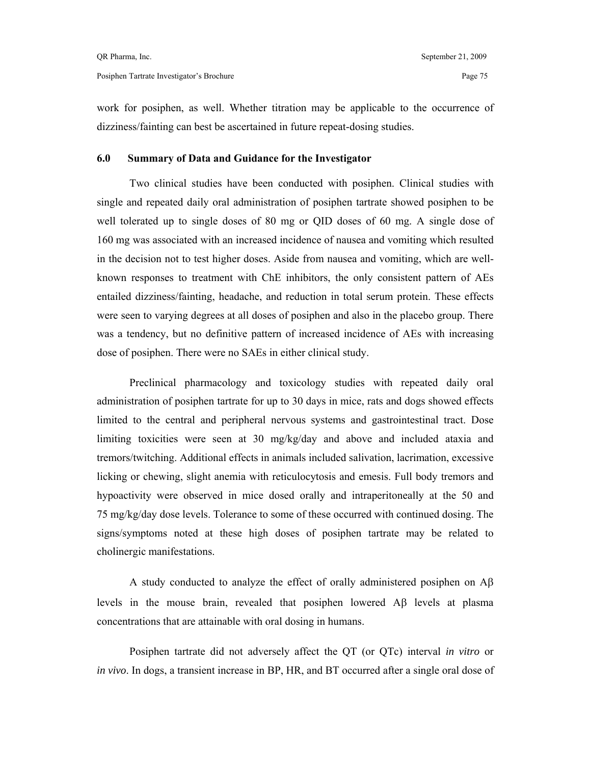work for posiphen, as well. Whether titration may be applicable to the occurrence of dizziness/fainting can best be ascertained in future repeat-dosing studies.

## **6.0 Summary of Data and Guidance for the Investigator**

 Two clinical studies have been conducted with posiphen. Clinical studies with single and repeated daily oral administration of posiphen tartrate showed posiphen to be well tolerated up to single doses of 80 mg or QID doses of 60 mg. A single dose of 160 mg was associated with an increased incidence of nausea and vomiting which resulted in the decision not to test higher doses. Aside from nausea and vomiting, which are wellknown responses to treatment with ChE inhibitors, the only consistent pattern of AEs entailed dizziness/fainting, headache, and reduction in total serum protein. These effects were seen to varying degrees at all doses of posiphen and also in the placebo group. There was a tendency, but no definitive pattern of increased incidence of AEs with increasing dose of posiphen. There were no SAEs in either clinical study.

 Preclinical pharmacology and toxicology studies with repeated daily oral administration of posiphen tartrate for up to 30 days in mice, rats and dogs showed effects limited to the central and peripheral nervous systems and gastrointestinal tract. Dose limiting toxicities were seen at 30 mg/kg/day and above and included ataxia and tremors/twitching. Additional effects in animals included salivation, lacrimation, excessive licking or chewing, slight anemia with reticulocytosis and emesis. Full body tremors and hypoactivity were observed in mice dosed orally and intraperitoneally at the 50 and 75 mg/kg/day dose levels. Tolerance to some of these occurred with continued dosing. The signs/symptoms noted at these high doses of posiphen tartrate may be related to cholinergic manifestations.

A study conducted to analyze the effect of orally administered posiphen on  $\mathbf{A}\boldsymbol{\beta}$ levels in the mouse brain, revealed that posiphen lowered Αβ levels at plasma concentrations that are attainable with oral dosing in humans.

 Posiphen tartrate did not adversely affect the QT (or QTc) interval *in vitro* or *in vivo*. In dogs, a transient increase in BP, HR, and BT occurred after a single oral dose of